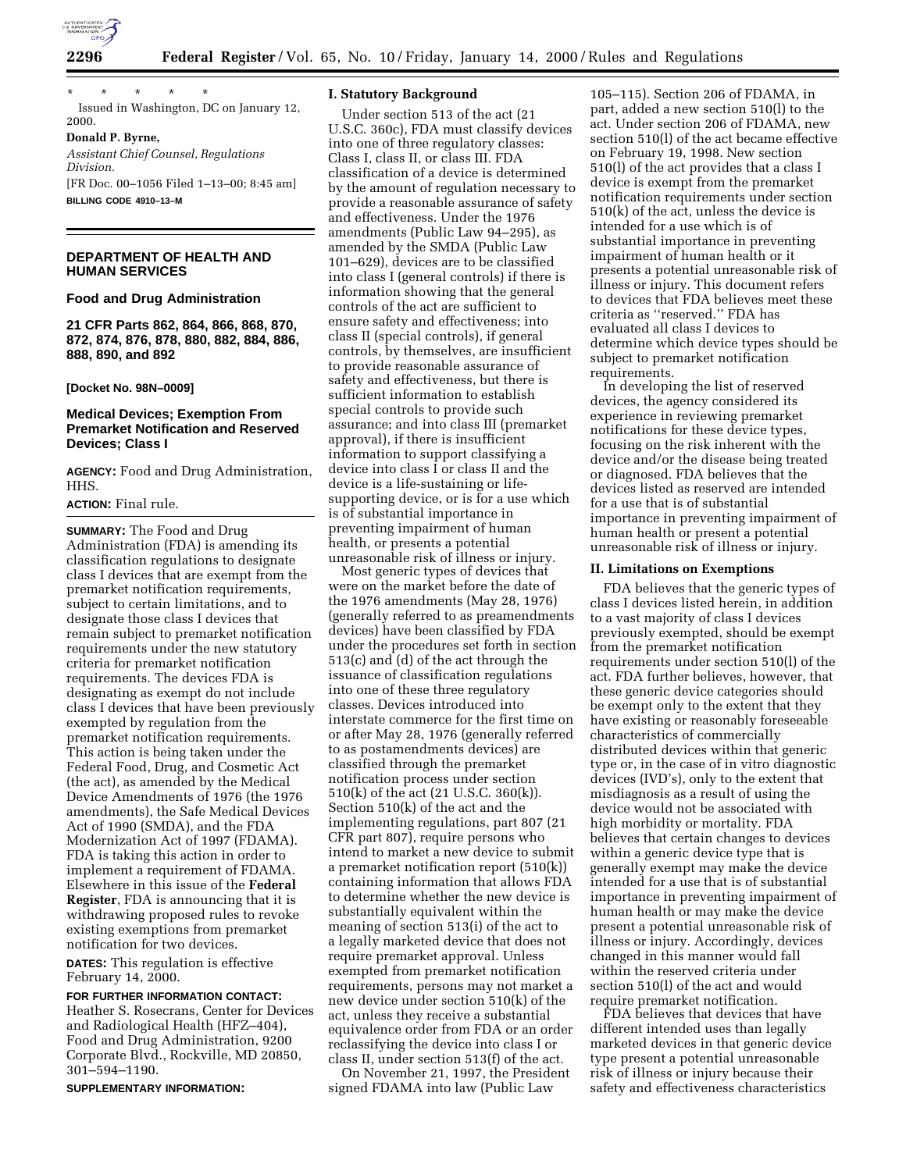

**2296 Federal Register** / Vol. 65, No. 10 / Friday, January 14, 2000 / Rules and Regulations

\* \* \* \* \* Issued in Washington, DC on January 12, 2000.

**Donald P. Byrne,**

*Assistant Chief Counsel, Regulations Division.* [FR Doc. 00–1056 Filed 1–13–00; 8:45 am] **BILLING CODE 4910–13–M**

**DEPARTMENT OF HEALTH AND HUMAN SERVICES**

**Food and Drug Administration**

**21 CFR Parts 862, 864, 866, 868, 870, 872, 874, 876, 878, 880, 882, 884, 886, 888, 890, and 892**

**[Docket No. 98N–0009]**

# **Medical Devices; Exemption From Premarket Notification and Reserved Devices; Class I**

**AGENCY:** Food and Drug Administration, HHS.

# **ACTION:** Final rule.

**SUMMARY:** The Food and Drug Administration (FDA) is amending its classification regulations to designate class I devices that are exempt from the premarket notification requirements, subject to certain limitations, and to designate those class I devices that remain subject to premarket notification requirements under the new statutory criteria for premarket notification requirements. The devices FDA is designating as exempt do not include class I devices that have been previously exempted by regulation from the premarket notification requirements. This action is being taken under the Federal Food, Drug, and Cosmetic Act (the act), as amended by the Medical Device Amendments of 1976 (the 1976 amendments), the Safe Medical Devices Act of 1990 (SMDA), and the FDA Modernization Act of 1997 (FDAMA). FDA is taking this action in order to implement a requirement of FDAMA. Elsewhere in this issue of the **Federal Register**, FDA is announcing that it is withdrawing proposed rules to revoke existing exemptions from premarket notification for two devices.

**DATES:** This regulation is effective February 14, 2000.

**FOR FURTHER INFORMATION CONTACT:** Heather S. Rosecrans, Center for Devices and Radiological Health (HFZ–404), Food and Drug Administration, 9200 Corporate Blvd., Rockville, MD 20850, 301–594–1190.

**SUPPLEMENTARY INFORMATION:**

# **I. Statutory Background**

Under section 513 of the act (21 U.S.C. 360c), FDA must classify devices into one of three regulatory classes: Class I, class II, or class III. FDA classification of a device is determined by the amount of regulation necessary to provide a reasonable assurance of safety and effectiveness. Under the 1976 amendments (Public Law 94–295), as amended by the SMDA (Public Law 101–629), devices are to be classified into class I (general controls) if there is information showing that the general controls of the act are sufficient to ensure safety and effectiveness; into class II (special controls), if general controls, by themselves, are insufficient to provide reasonable assurance of safety and effectiveness, but there is sufficient information to establish special controls to provide such assurance; and into class III (premarket approval), if there is insufficient information to support classifying a device into class I or class II and the device is a life-sustaining or lifesupporting device, or is for a use which is of substantial importance in preventing impairment of human health, or presents a potential unreasonable risk of illness or injury.

Most generic types of devices that were on the market before the date of the 1976 amendments (May 28, 1976) (generally referred to as preamendments devices) have been classified by FDA under the procedures set forth in section 513(c) and (d) of the act through the issuance of classification regulations into one of these three regulatory classes. Devices introduced into interstate commerce for the first time on or after May 28, 1976 (generally referred to as postamendments devices) are classified through the premarket notification process under section 510(k) of the act (21 U.S.C. 360(k)). Section 510(k) of the act and the implementing regulations, part 807 (21 CFR part 807), require persons who intend to market a new device to submit a premarket notification report (510(k)) containing information that allows FDA to determine whether the new device is substantially equivalent within the meaning of section 513(i) of the act to a legally marketed device that does not require premarket approval. Unless exempted from premarket notification requirements, persons may not market a new device under section 510(k) of the act, unless they receive a substantial equivalence order from FDA or an order reclassifying the device into class I or class II, under section 513(f) of the act.

On November 21, 1997, the President signed FDAMA into law (Public Law

105–115). Section 206 of FDAMA, in part, added a new section 510(l) to the act. Under section 206 of FDAMA, new section 510(l) of the act became effective on February 19, 1998. New section 510(l) of the act provides that a class I device is exempt from the premarket notification requirements under section 510(k) of the act, unless the device is intended for a use which is of substantial importance in preventing impairment of human health or it presents a potential unreasonable risk of illness or injury. This document refers to devices that FDA believes meet these criteria as ''reserved.'' FDA has evaluated all class I devices to determine which device types should be subject to premarket notification requirements.

In developing the list of reserved devices, the agency considered its experience in reviewing premarket notifications for these device types, focusing on the risk inherent with the device and/or the disease being treated or diagnosed. FDA believes that the devices listed as reserved are intended for a use that is of substantial importance in preventing impairment of human health or present a potential unreasonable risk of illness or injury.

#### **II. Limitations on Exemptions**

FDA believes that the generic types of class I devices listed herein, in addition to a vast majority of class I devices previously exempted, should be exempt from the premarket notification requirements under section 510(l) of the act. FDA further believes, however, that these generic device categories should be exempt only to the extent that they have existing or reasonably foreseeable characteristics of commercially distributed devices within that generic type or, in the case of in vitro diagnostic devices (IVD's), only to the extent that misdiagnosis as a result of using the device would not be associated with high morbidity or mortality. FDA believes that certain changes to devices within a generic device type that is generally exempt may make the device intended for a use that is of substantial importance in preventing impairment of human health or may make the device present a potential unreasonable risk of illness or injury. Accordingly, devices changed in this manner would fall within the reserved criteria under section 510(l) of the act and would require premarket notification.

FDA believes that devices that have different intended uses than legally marketed devices in that generic device type present a potential unreasonable risk of illness or injury because their safety and effectiveness characteristics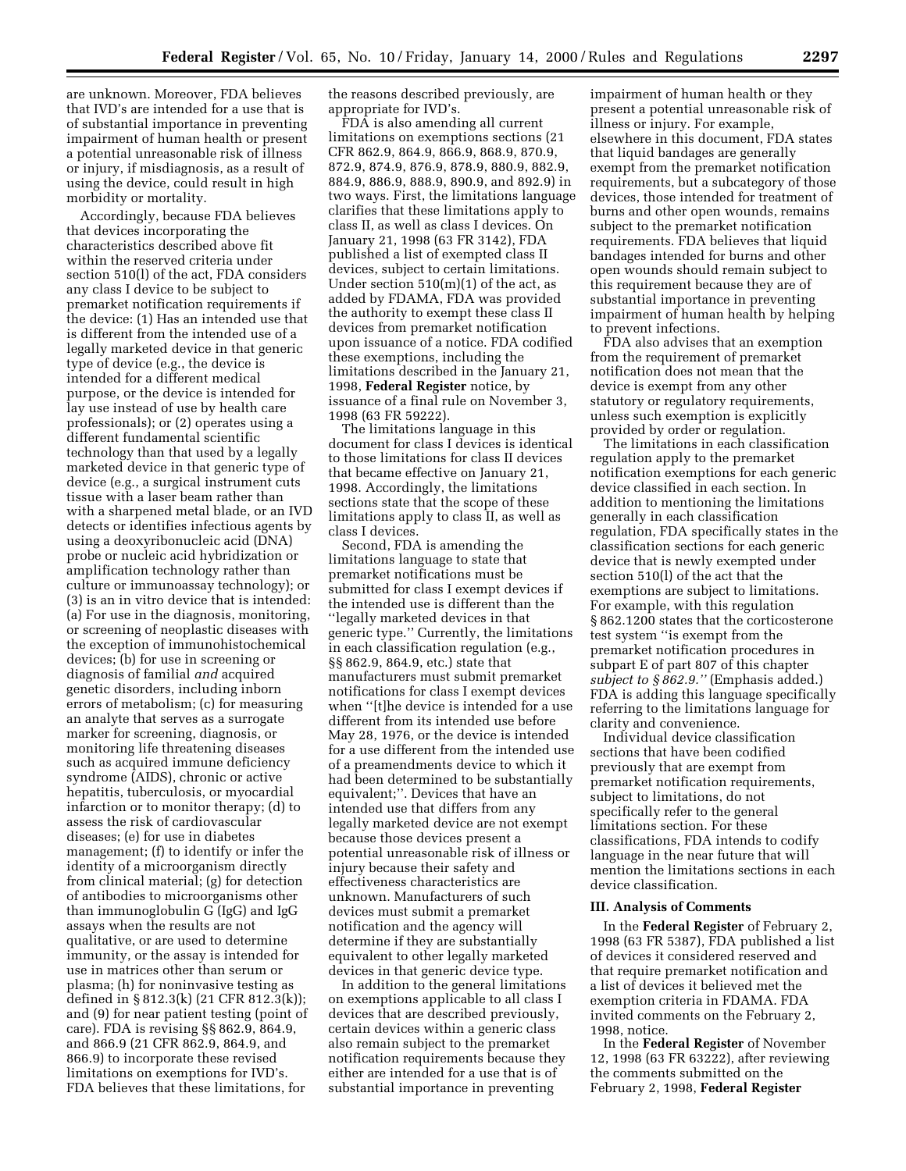are unknown. Moreover, FDA believes that IVD's are intended for a use that is of substantial importance in preventing impairment of human health or present a potential unreasonable risk of illness or injury, if misdiagnosis, as a result of using the device, could result in high morbidity or mortality.

Accordingly, because FDA believes that devices incorporating the characteristics described above fit within the reserved criteria under section 510(l) of the act, FDA considers any class I device to be subject to premarket notification requirements if the device: (1) Has an intended use that is different from the intended use of a legally marketed device in that generic type of device (e.g., the device is intended for a different medical purpose, or the device is intended for lay use instead of use by health care professionals); or (2) operates using a different fundamental scientific technology than that used by a legally marketed device in that generic type of device (e.g., a surgical instrument cuts tissue with a laser beam rather than with a sharpened metal blade, or an IVD detects or identifies infectious agents by using a deoxyribonucleic acid (DNA) probe or nucleic acid hybridization or amplification technology rather than culture or immunoassay technology); or (3) is an in vitro device that is intended: (a) For use in the diagnosis, monitoring, or screening of neoplastic diseases with the exception of immunohistochemical devices; (b) for use in screening or diagnosis of familial *and* acquired genetic disorders, including inborn errors of metabolism; (c) for measuring an analyte that serves as a surrogate marker for screening, diagnosis, or monitoring life threatening diseases such as acquired immune deficiency syndrome (AIDS), chronic or active hepatitis, tuberculosis, or myocardial infarction or to monitor therapy; (d) to assess the risk of cardiovascular diseases; (e) for use in diabetes management; (f) to identify or infer the identity of a microorganism directly from clinical material; (g) for detection of antibodies to microorganisms other than immunoglobulin G (IgG) and IgG assays when the results are not qualitative, or are used to determine immunity, or the assay is intended for use in matrices other than serum or plasma; (h) for noninvasive testing as defined in § 812.3(k) (21 CFR 812.3(k)); and (9) for near patient testing (point of care). FDA is revising §§ 862.9, 864.9, and 866.9 (21 CFR 862.9, 864.9, and 866.9) to incorporate these revised limitations on exemptions for IVD's. FDA believes that these limitations, for

the reasons described previously, are appropriate for IVD's.

FDA is also amending all current limitations on exemptions sections (21 CFR 862.9, 864.9, 866.9, 868.9, 870.9, 872.9, 874.9, 876.9, 878.9, 880.9, 882.9, 884.9, 886.9, 888.9, 890.9, and 892.9) in two ways. First, the limitations language clarifies that these limitations apply to class II, as well as class I devices. On January 21, 1998 (63 FR 3142), FDA published a list of exempted class II devices, subject to certain limitations. Under section  $510(m)(1)$  of the act, as added by FDAMA, FDA was provided the authority to exempt these class II devices from premarket notification upon issuance of a notice. FDA codified these exemptions, including the limitations described in the January 21, 1998, **Federal Register** notice, by issuance of a final rule on November 3, 1998 (63 FR 59222).

The limitations language in this document for class I devices is identical to those limitations for class II devices that became effective on January 21, 1998. Accordingly, the limitations sections state that the scope of these limitations apply to class II, as well as class I devices.

Second, FDA is amending the limitations language to state that premarket notifications must be submitted for class I exempt devices if the intended use is different than the ''legally marketed devices in that generic type.'' Currently, the limitations in each classification regulation (e.g., §§ 862.9, 864.9, etc.) state that manufacturers must submit premarket notifications for class I exempt devices when ''[t]he device is intended for a use different from its intended use before May 28, 1976, or the device is intended for a use different from the intended use of a preamendments device to which it had been determined to be substantially equivalent;''. Devices that have an intended use that differs from any legally marketed device are not exempt because those devices present a potential unreasonable risk of illness or injury because their safety and effectiveness characteristics are unknown. Manufacturers of such devices must submit a premarket notification and the agency will determine if they are substantially equivalent to other legally marketed devices in that generic device type.

In addition to the general limitations on exemptions applicable to all class I devices that are described previously, certain devices within a generic class also remain subject to the premarket notification requirements because they either are intended for a use that is of substantial importance in preventing

impairment of human health or they present a potential unreasonable risk of illness or injury. For example, elsewhere in this document, FDA states that liquid bandages are generally exempt from the premarket notification requirements, but a subcategory of those devices, those intended for treatment of burns and other open wounds, remains subject to the premarket notification requirements. FDA believes that liquid bandages intended for burns and other open wounds should remain subject to this requirement because they are of substantial importance in preventing impairment of human health by helping to prevent infections.

FDA also advises that an exemption from the requirement of premarket notification does not mean that the device is exempt from any other statutory or regulatory requirements, unless such exemption is explicitly provided by order or regulation.

The limitations in each classification regulation apply to the premarket notification exemptions for each generic device classified in each section. In addition to mentioning the limitations generally in each classification regulation, FDA specifically states in the classification sections for each generic device that is newly exempted under section 510(l) of the act that the exemptions are subject to limitations. For example, with this regulation § 862.1200 states that the corticosterone test system ''is exempt from the premarket notification procedures in subpart E of part 807 of this chapter *subject to § 862.9.''* (Emphasis added.) FDA is adding this language specifically referring to the limitations language for clarity and convenience.

Individual device classification sections that have been codified previously that are exempt from premarket notification requirements, subject to limitations, do not specifically refer to the general limitations section. For these classifications, FDA intends to codify language in the near future that will mention the limitations sections in each device classification.

#### **III. Analysis of Comments**

In the **Federal Register** of February 2, 1998 (63 FR 5387), FDA published a list of devices it considered reserved and that require premarket notification and a list of devices it believed met the exemption criteria in FDAMA. FDA invited comments on the February 2, 1998, notice.

In the **Federal Register** of November 12, 1998 (63 FR 63222), after reviewing the comments submitted on the February 2, 1998, **Federal Register**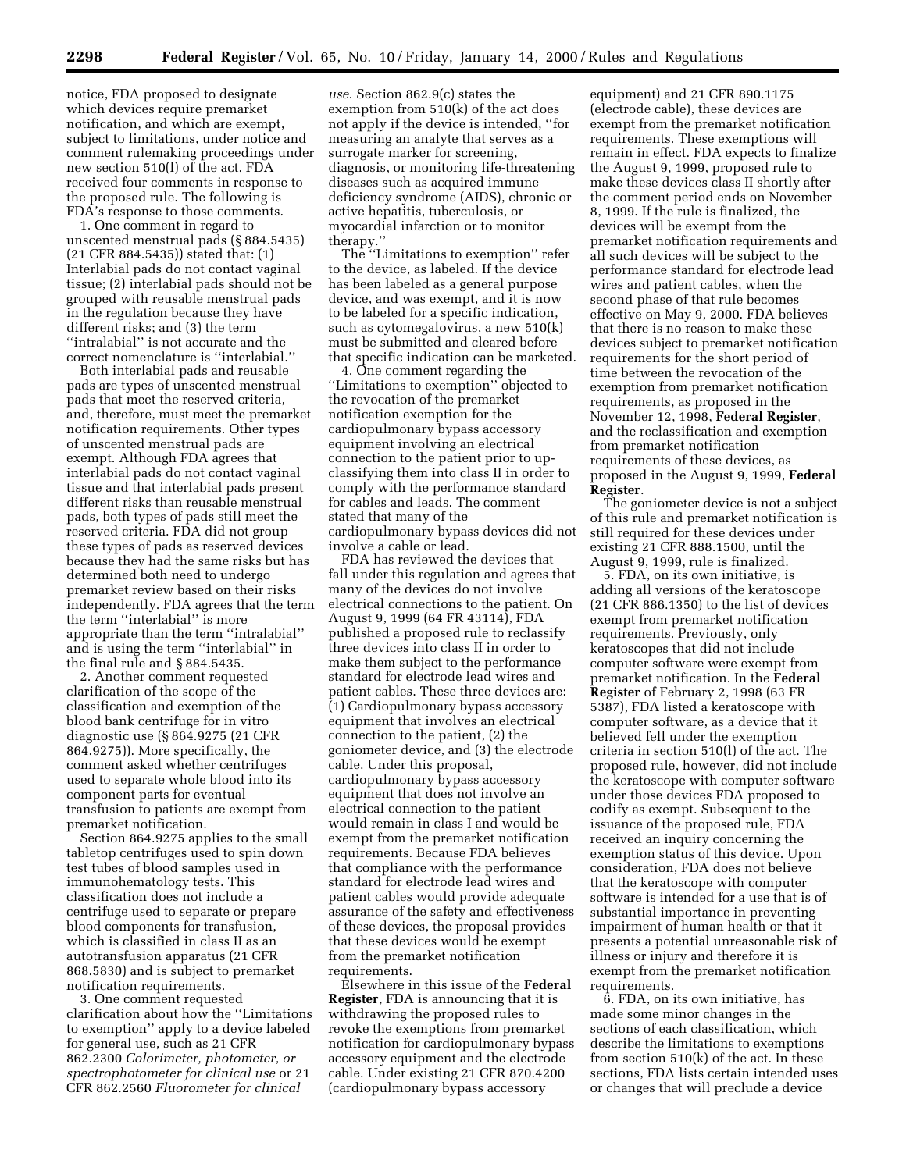notice, FDA proposed to designate which devices require premarket notification, and which are exempt, subject to limitations, under notice and comment rulemaking proceedings under new section 510(l) of the act. FDA received four comments in response to the proposed rule. The following is FDA's response to those comments.

1. One comment in regard to unscented menstrual pads (§ 884.5435) (21 CFR 884.5435)) stated that: (1) Interlabial pads do not contact vaginal tissue; (2) interlabial pads should not be grouped with reusable menstrual pads in the regulation because they have different risks; and (3) the term ''intralabial'' is not accurate and the correct nomenclature is ''interlabial.''

Both interlabial pads and reusable pads are types of unscented menstrual pads that meet the reserved criteria, and, therefore, must meet the premarket notification requirements. Other types of unscented menstrual pads are exempt. Although FDA agrees that interlabial pads do not contact vaginal tissue and that interlabial pads present different risks than reusable menstrual pads, both types of pads still meet the reserved criteria. FDA did not group these types of pads as reserved devices because they had the same risks but has determined both need to undergo premarket review based on their risks independently. FDA agrees that the term the term ''interlabial'' is more appropriate than the term ''intralabial'' and is using the term ''interlabial'' in the final rule and § 884.5435.

2. Another comment requested clarification of the scope of the classification and exemption of the blood bank centrifuge for in vitro diagnostic use (§ 864.9275 (21 CFR 864.9275)). More specifically, the comment asked whether centrifuges used to separate whole blood into its component parts for eventual transfusion to patients are exempt from premarket notification.

Section 864.9275 applies to the small tabletop centrifuges used to spin down test tubes of blood samples used in immunohematology tests. This classification does not include a centrifuge used to separate or prepare blood components for transfusion, which is classified in class II as an autotransfusion apparatus (21 CFR 868.5830) and is subject to premarket notification requirements.

3. One comment requested clarification about how the ''Limitations to exemption'' apply to a device labeled for general use, such as 21 CFR 862.2300 *Colorimeter, photometer, or spectrophotometer for clinical use* or 21 CFR 862.2560 *Fluorometer for clinical*

*use*. Section 862.9(c) states the exemption from 510(k) of the act does not apply if the device is intended, ''for measuring an analyte that serves as a surrogate marker for screening, diagnosis, or monitoring life-threatening diseases such as acquired immune deficiency syndrome (AIDS), chronic or active hepatitis, tuberculosis, or myocardial infarction or to monitor therapy.''

The ''Limitations to exemption'' refer to the device, as labeled. If the device has been labeled as a general purpose device, and was exempt, and it is now to be labeled for a specific indication, such as cytomegalovirus, a new 510(k) must be submitted and cleared before that specific indication can be marketed.

4. One comment regarding the ''Limitations to exemption'' objected to the revocation of the premarket notification exemption for the cardiopulmonary bypass accessory equipment involving an electrical connection to the patient prior to upclassifying them into class II in order to comply with the performance standard for cables and leads. The comment stated that many of the cardiopulmonary bypass devices did not involve a cable or lead.

FDA has reviewed the devices that fall under this regulation and agrees that many of the devices do not involve electrical connections to the patient. On August 9, 1999 (64 FR 43114), FDA published a proposed rule to reclassify three devices into class II in order to make them subject to the performance standard for electrode lead wires and patient cables. These three devices are: (1) Cardiopulmonary bypass accessory equipment that involves an electrical connection to the patient, (2) the goniometer device, and (3) the electrode cable. Under this proposal, cardiopulmonary bypass accessory equipment that does not involve an electrical connection to the patient would remain in class I and would be exempt from the premarket notification requirements. Because FDA believes that compliance with the performance standard for electrode lead wires and patient cables would provide adequate assurance of the safety and effectiveness of these devices, the proposal provides that these devices would be exempt from the premarket notification requirements.

Elsewhere in this issue of the **Federal Register**, FDA is announcing that it is withdrawing the proposed rules to revoke the exemptions from premarket notification for cardiopulmonary bypass accessory equipment and the electrode cable. Under existing 21 CFR 870.4200 (cardiopulmonary bypass accessory

equipment) and 21 CFR 890.1175 (electrode cable), these devices are exempt from the premarket notification requirements. These exemptions will remain in effect. FDA expects to finalize the August 9, 1999, proposed rule to make these devices class II shortly after the comment period ends on November 8, 1999. If the rule is finalized, the devices will be exempt from the premarket notification requirements and all such devices will be subject to the performance standard for electrode lead wires and patient cables, when the second phase of that rule becomes effective on May 9, 2000. FDA believes that there is no reason to make these devices subject to premarket notification requirements for the short period of time between the revocation of the exemption from premarket notification requirements, as proposed in the November 12, 1998, **Federal Register**, and the reclassification and exemption from premarket notification requirements of these devices, as proposed in the August 9, 1999, **Federal Register**.

The goniometer device is not a subject of this rule and premarket notification is still required for these devices under existing 21 CFR 888.1500, until the August 9, 1999, rule is finalized.

5. FDA, on its own initiative, is adding all versions of the keratoscope (21 CFR 886.1350) to the list of devices exempt from premarket notification requirements. Previously, only keratoscopes that did not include computer software were exempt from premarket notification. In the **Federal Register** of February 2, 1998 (63 FR 5387), FDA listed a keratoscope with computer software, as a device that it believed fell under the exemption criteria in section 510(l) of the act. The proposed rule, however, did not include the keratoscope with computer software under those devices FDA proposed to codify as exempt. Subsequent to the issuance of the proposed rule, FDA received an inquiry concerning the exemption status of this device. Upon consideration, FDA does not believe that the keratoscope with computer software is intended for a use that is of substantial importance in preventing impairment of human health or that it presents a potential unreasonable risk of illness or injury and therefore it is exempt from the premarket notification requirements.

6. FDA, on its own initiative, has made some minor changes in the sections of each classification, which describe the limitations to exemptions from section 510(k) of the act. In these sections, FDA lists certain intended uses or changes that will preclude a device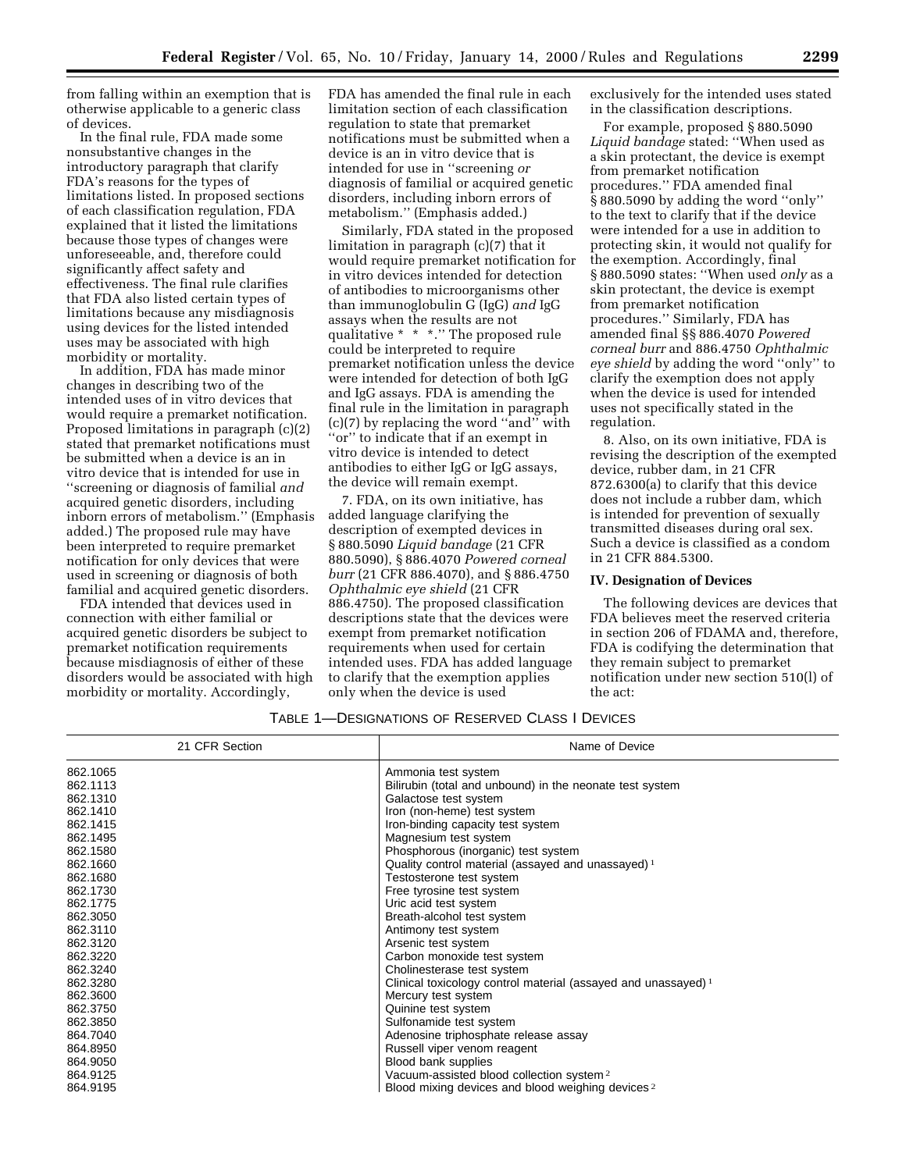from falling within an exemption that is otherwise applicable to a generic class of devices.

In the final rule, FDA made some nonsubstantive changes in the introductory paragraph that clarify FDA's reasons for the types of limitations listed. In proposed sections of each classification regulation, FDA explained that it listed the limitations because those types of changes were unforeseeable, and, therefore could significantly affect safety and effectiveness. The final rule clarifies that FDA also listed certain types of limitations because any misdiagnosis using devices for the listed intended uses may be associated with high morbidity or mortality.

In addition, FDA has made minor changes in describing two of the intended uses of in vitro devices that would require a premarket notification. Proposed limitations in paragraph (c)(2) stated that premarket notifications must be submitted when a device is an in vitro device that is intended for use in ''screening or diagnosis of familial *and* acquired genetic disorders, including inborn errors of metabolism.'' (Emphasis added.) The proposed rule may have been interpreted to require premarket notification for only devices that were used in screening or diagnosis of both familial and acquired genetic disorders.

FDA intended that devices used in connection with either familial or acquired genetic disorders be subject to premarket notification requirements because misdiagnosis of either of these disorders would be associated with high morbidity or mortality. Accordingly,

FDA has amended the final rule in each limitation section of each classification regulation to state that premarket notifications must be submitted when a device is an in vitro device that is intended for use in ''screening *or* diagnosis of familial or acquired genetic disorders, including inborn errors of metabolism.'' (Emphasis added.)

Similarly, FDA stated in the proposed limitation in paragraph (c)(7) that it would require premarket notification for in vitro devices intended for detection of antibodies to microorganisms other than immunoglobulin G (IgG) *and* IgG assays when the results are not qualitative \* \* \*.'' The proposed rule could be interpreted to require premarket notification unless the device were intended for detection of both IgG and IgG assays. FDA is amending the final rule in the limitation in paragraph (c)(7) by replacing the word ''and'' with "or" to indicate that if an exempt in vitro device is intended to detect antibodies to either IgG or IgG assays, the device will remain exempt.

7. FDA, on its own initiative, has added language clarifying the description of exempted devices in § 880.5090 *Liquid bandage* (21 CFR 880.5090), § 886.4070 *Powered corneal burr* (21 CFR 886.4070), and § 886.4750 *Ophthalmic eye shield* (21 CFR 886.4750). The proposed classification descriptions state that the devices were exempt from premarket notification requirements when used for certain intended uses. FDA has added language to clarify that the exemption applies only when the device is used

exclusively for the intended uses stated in the classification descriptions.

For example, proposed § 880.5090 *Liquid bandage* stated: ''When used as a skin protectant, the device is exempt from premarket notification procedures.'' FDA amended final § 880.5090 by adding the word ''only'' to the text to clarify that if the device were intended for a use in addition to protecting skin, it would not qualify for the exemption. Accordingly, final § 880.5090 states: ''When used *only* as a skin protectant, the device is exempt from premarket notification procedures.'' Similarly, FDA has amended final §§ 886.4070 *Powered corneal burr* and 886.4750 *Ophthalmic eye shield* by adding the word ''only'' to clarify the exemption does not apply when the device is used for intended uses not specifically stated in the regulation.

8. Also, on its own initiative, FDA is revising the description of the exempted device, rubber dam, in 21 CFR 872.6300(a) to clarify that this device does not include a rubber dam, which is intended for prevention of sexually transmitted diseases during oral sex. Such a device is classified as a condom in 21 CFR 884.5300.

#### **IV. Designation of Devices**

The following devices are devices that FDA believes meet the reserved criteria in section 206 of FDAMA and, therefore, FDA is codifying the determination that they remain subject to premarket notification under new section 510(l) of the act:

# TABLE 1—DESIGNATIONS OF RESERVED CLASS I DEVICES

| 21 CFR Section | Name of Device                                                            |
|----------------|---------------------------------------------------------------------------|
| 862.1065       | Ammonia test system                                                       |
| 862.1113       | Bilirubin (total and unbound) in the neonate test system                  |
| 862.1310       | Galactose test system                                                     |
| 862.1410       | Iron (non-heme) test system                                               |
| 862.1415       | Iron-binding capacity test system                                         |
| 862.1495       | Magnesium test system                                                     |
| 862.1580       | Phosphorous (inorganic) test system                                       |
| 862.1660       | Quality control material (assayed and unassayed) <sup>1</sup>             |
| 862.1680       | Testosterone test system                                                  |
| 862.1730       | Free tyrosine test system                                                 |
| 862.1775       | Uric acid test system                                                     |
| 862.3050       | Breath-alcohol test system                                                |
| 862.3110       | Antimony test system                                                      |
| 862.3120       | Arsenic test system                                                       |
| 862.3220       | Carbon monoxide test system                                               |
| 862.3240       | Cholinesterase test system                                                |
| 862.3280       | Clinical toxicology control material (assayed and unassayed) <sup>1</sup> |
| 862.3600       | Mercury test system                                                       |
| 862,3750       | Quinine test system                                                       |
| 862.3850       | Sulfonamide test system                                                   |
| 864.7040       | Adenosine triphosphate release assay                                      |
| 864.8950       | Russell viper venom reagent                                               |
| 864.9050       | Blood bank supplies                                                       |
| 864.9125       | Vacuum-assisted blood collection system <sup>2</sup>                      |
| 864.9195       | Blood mixing devices and blood weighing devices <sup>2</sup>              |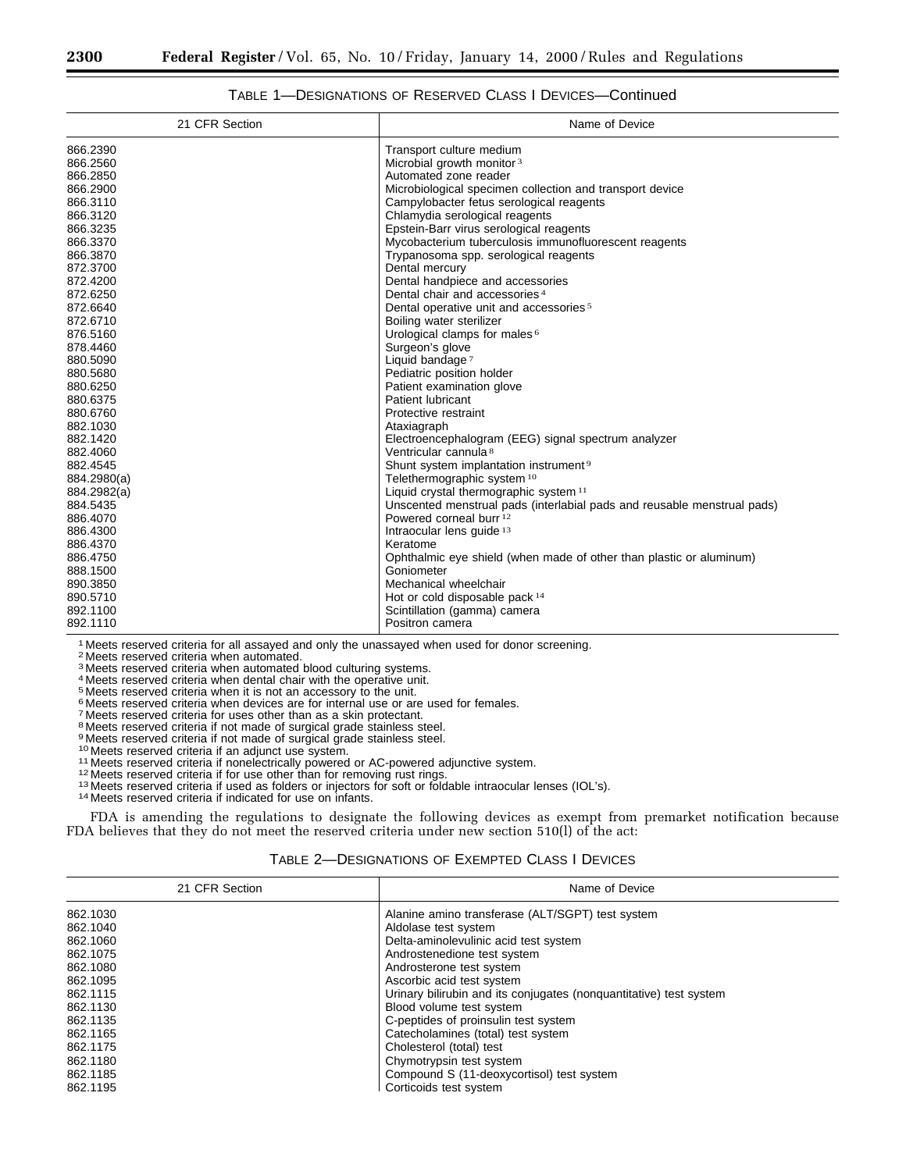| 21 CFR Section | Name of Device                                                          |
|----------------|-------------------------------------------------------------------------|
| 866.2390       | Transport culture medium                                                |
| 866.2560       | Microbial growth monitor <sup>3</sup>                                   |
| 866.2850       | Automated zone reader                                                   |
| 866.2900       | Microbiological specimen collection and transport device                |
| 866.3110       | Campylobacter fetus serological reagents                                |
| 866.3120       | Chlamydia serological reagents                                          |
| 866.3235       | Epstein-Barr virus serological reagents                                 |
| 866.3370       | Mycobacterium tuberculosis immunofluorescent reagents                   |
| 866.3870       | Trypanosoma spp. serological reagents                                   |
| 872.3700       | Dental mercury                                                          |
| 872.4200       | Dental handpiece and accessories                                        |
| 872.6250       | Dental chair and accessories <sup>4</sup>                               |
| 872.6640       | Dental operative unit and accessories <sup>5</sup>                      |
| 872.6710       | Boiling water sterilizer                                                |
| 876.5160       | Urological clamps for males <sup>6</sup>                                |
| 878.4460       | Surgeon's glove                                                         |
| 880.5090       | Liquid bandage 7                                                        |
| 880.5680       | Pediatric position holder                                               |
| 880.6250       | Patient examination glove                                               |
| 880.6375       | Patient lubricant                                                       |
| 880.6760       | Protective restraint                                                    |
| 882.1030       | Ataxiagraph                                                             |
| 882.1420       | Electroencephalogram (EEG) signal spectrum analyzer                     |
| 882.4060       | Ventricular cannula <sup>8</sup>                                        |
| 882.4545       | Shunt system implantation instrument <sup>9</sup>                       |
| 884.2980(a)    | Telethermographic system 10                                             |
| 884.2982(a)    | Liquid crystal thermographic system <sup>11</sup>                       |
| 884.5435       | Unscented menstrual pads (interlabial pads and reusable menstrual pads) |
| 886.4070       | Powered corneal burr <sup>12</sup>                                      |
| 886.4300       | Intraocular lens guide 13                                               |
| 886.4370       | Keratome                                                                |
| 886.4750       | Ophthalmic eye shield (when made of other than plastic or aluminum)     |
| 888.1500       | Goniometer                                                              |
| 890.3850       | Mechanical wheelchair                                                   |
| 890.5710       | Hot or cold disposable pack 14                                          |
| 892.1100       | Scintillation (gamma) camera                                            |
| 892.1110       | Positron camera                                                         |

# TABLE 1—DESIGNATIONS OF RESERVED CLASS I DEVICES—Continued

1 Meets reserved criteria for all assayed and only the unassayed when used for donor screening. 2 Meets reserved criteria when automated.

<sup>3</sup> Meets reserved criteria when automated blood culturing systems.<br><sup>5</sup> Meets reserved criteria when dental chair with the operative unit.<br><sup>5</sup> Meets reserved criteria when it is not an accessory to the unit.<br><sup>6</sup> Meets rese

<sup>8</sup> Meets reserved criteria if not made of surgical grade stainless steel.

9 Meets reserved criteria if not made of surgical grade stainless steel.

<sup>9</sup> Meets reserved criteria if an adjunct use state state state of the system.<br><sup>11</sup> Meets reserved criteria if an adjunctive system.<br><sup>11</sup> Meets reserved criteria if for use other than for removing rust rings.<br><sup>12</sup> Meets re

FDA is amending the regulations to designate the following devices as exempt from premarket notification because FDA believes that they do not meet the reserved criteria under new section 510(l) of the act:

# TABLE 2—DESIGNATIONS OF EXEMPTED CLASS I DEVICES

| 21 CFR Section | Name of Device                                                     |
|----------------|--------------------------------------------------------------------|
| 862.1030       | Alanine amino transferase (ALT/SGPT) test system                   |
| 862.1040       | Aldolase test system                                               |
| 862.1060       | Delta-aminolevulinic acid test system                              |
| 862.1075       | Androstenedione test system                                        |
| 862.1080       | Androsterone test system                                           |
| 862.1095       | Ascorbic acid test system                                          |
| 862.1115       | Urinary bilirubin and its conjugates (nonquantitative) test system |
| 862.1130       | Blood volume test system                                           |
| 862.1135       | C-peptides of proinsulin test system                               |
| 862.1165       | Catecholamines (total) test system                                 |
| 862.1175       | Cholesterol (total) test                                           |
| 862.1180       | Chymotrypsin test system                                           |
| 862.1185       | Compound S (11-deoxycortisol) test system                          |
| 862.1195       | Corticoids test system                                             |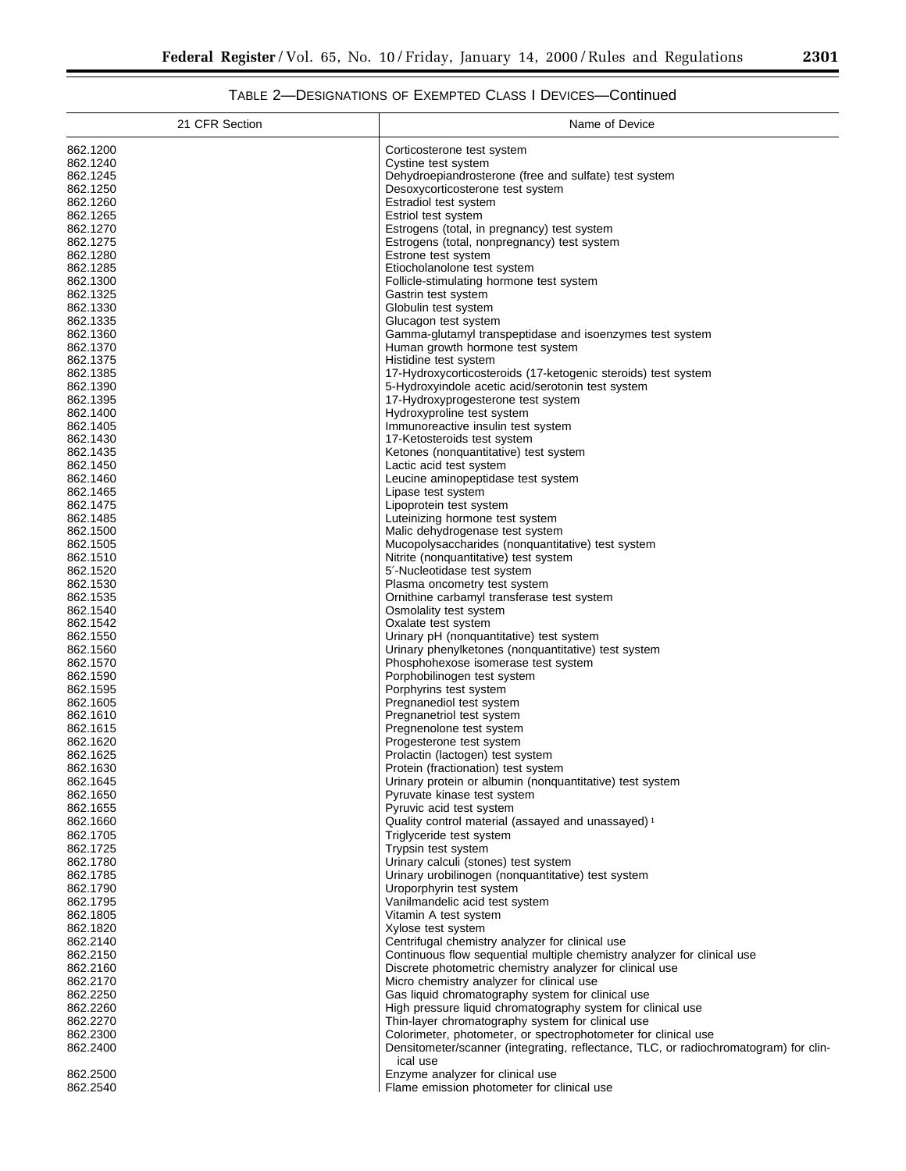# TABLE 2—DESIGNATIONS OF EXEMPTED CLASS I DEVICES—Continued

| 21 CFR Section       | Name of Device                                                                                   |
|----------------------|--------------------------------------------------------------------------------------------------|
| 862.1200             | Corticosterone test system                                                                       |
| 862.1240             | Cystine test system                                                                              |
| 862.1245             | Dehydroepiandrosterone (free and sulfate) test system                                            |
| 862.1250             | Desoxycorticosterone test system                                                                 |
| 862.1260             | Estradiol test system                                                                            |
| 862.1265             | Estriol test system                                                                              |
| 862.1270             | Estrogens (total, in pregnancy) test system                                                      |
| 862.1275             | Estrogens (total, nonpregnancy) test system                                                      |
| 862.1280             | Estrone test system                                                                              |
| 862.1285             | Etiocholanolone test system                                                                      |
| 862.1300             | Follicle-stimulating hormone test system                                                         |
| 862.1325             | Gastrin test system                                                                              |
| 862.1330             | Globulin test system                                                                             |
| 862.1335<br>862.1360 | Glucagon test system                                                                             |
| 862.1370             | Gamma-glutamyl transpeptidase and isoenzymes test system<br>Human growth hormone test system     |
| 862.1375             | Histidine test system                                                                            |
| 862.1385             | 17-Hydroxycorticosteroids (17-ketogenic steroids) test system                                    |
| 862.1390             | 5-Hydroxyindole acetic acid/serotonin test system                                                |
| 862.1395             | 17-Hydroxyprogesterone test system                                                               |
| 862.1400             | Hydroxyproline test system                                                                       |
| 862.1405             | Immunoreactive insulin test system                                                               |
| 862.1430             | 17-Ketosteroids test system                                                                      |
| 862.1435             | Ketones (nonquantitative) test system                                                            |
| 862.1450             | Lactic acid test system                                                                          |
| 862.1460             | Leucine aminopeptidase test system                                                               |
| 862.1465             | Lipase test system                                                                               |
| 862.1475<br>862.1485 | Lipoprotein test system                                                                          |
| 862.1500             | Luteinizing hormone test system<br>Malic dehydrogenase test system                               |
| 862.1505             | Mucopolysaccharides (nonquantitative) test system                                                |
| 862.1510             | Nitrite (nonquantitative) test system                                                            |
| 862.1520             | 5'-Nucleotidase test system                                                                      |
| 862.1530             | Plasma oncometry test system                                                                     |
| 862.1535             | Ornithine carbamyl transferase test system                                                       |
| 862.1540             | Osmolality test system                                                                           |
| 862.1542             | Oxalate test system                                                                              |
| 862.1550             | Urinary pH (nonquantitative) test system                                                         |
| 862.1560             | Urinary phenylketones (nonquantitative) test system                                              |
| 862.1570             | Phosphohexose isomerase test system<br>Porphobilinogen test system                               |
| 862.1590<br>862.1595 | Porphyrins test system                                                                           |
| 862.1605             | Pregnanediol test system                                                                         |
| 862.1610             | Pregnanetriol test system                                                                        |
| 862.1615             | Pregnenolone test system                                                                         |
| 862.1620             | Progesterone test system                                                                         |
| 862.1625             | Prolactin (lactogen) test system                                                                 |
| 862.1630             | Protein (fractionation) test system                                                              |
| 862.1645             | Urinary protein or albumin (nonquantitative) test system                                         |
| 862.1650             | Pyruvate kinase test system                                                                      |
| 862.1655             | Pyruvic acid test system                                                                         |
| 862.1660             | Quality control material (assayed and unassayed) <sup>1</sup>                                    |
| 862.1705<br>862.1725 | Triglyceride test system<br>Trypsin test system                                                  |
| 862.1780             | Urinary calculi (stones) test system                                                             |
| 862.1785             | Urinary urobilinogen (nonquantitative) test system                                               |
| 862.1790             | Uroporphyrin test system                                                                         |
| 862.1795             | Vanilmandelic acid test system                                                                   |
| 862.1805             | Vitamin A test system                                                                            |
| 862.1820             | Xylose test system                                                                               |
| 862.2140             | Centrifugal chemistry analyzer for clinical use                                                  |
| 862.2150             | Continuous flow sequential multiple chemistry analyzer for clinical use                          |
| 862.2160             | Discrete photometric chemistry analyzer for clinical use                                         |
| 862.2170             | Micro chemistry analyzer for clinical use                                                        |
| 862.2250             | Gas liquid chromatography system for clinical use                                                |
| 862.2260             | High pressure liquid chromatography system for clinical use                                      |
| 862.2270             | Thin-layer chromatography system for clinical use                                                |
| 862.2300             | Colorimeter, photometer, or spectrophotometer for clinical use                                   |
| 862.2400             | Densitometer/scanner (integrating, reflectance, TLC, or radiochromatogram) for clin-<br>ical use |
| 862.2500             | Enzyme analyzer for clinical use                                                                 |
| 862.2540             | Flame emission photometer for clinical use                                                       |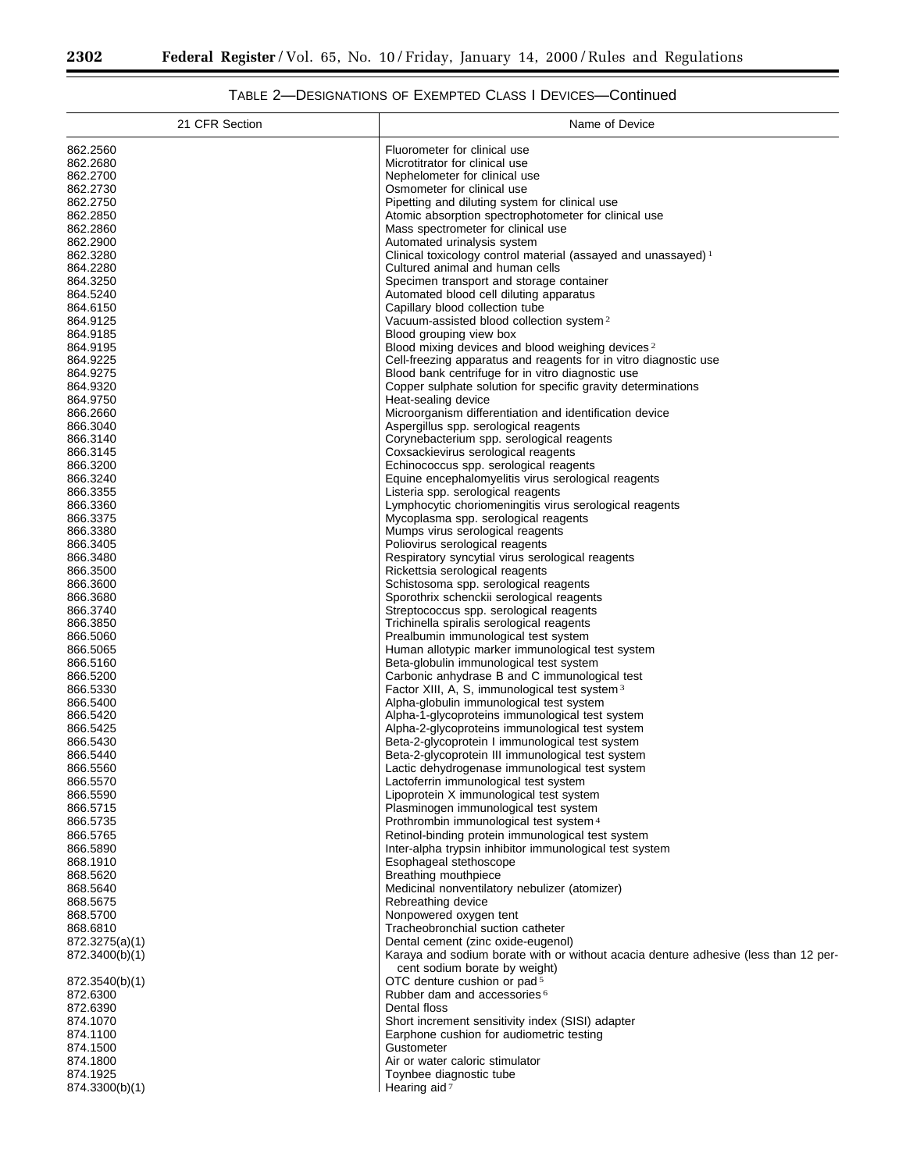#### 21 CFR Section **Name of Device Name of Device** 862.2560 Fluorometer for clinical use 862.2680 Microtitrator for clinical use 862.2700 **Nephelometer for clinical use** 862.2730 **Osmometer for clinical use**<br>862.2750 **Pipetting and diluting system** 862.2750 Pipetting and diluting system for clinical use<br>B62.2850 Philosophy Atomic absorption spectrophotometer for clinical use 862.2850 Atomic absorption spectrophotometer for clinical use<br>B62.2860 Mass spectrometer for clinical use 862.2860 Mass spectrometer for clinical use 862.2900 Mass spectrometer for clinical use 862.2900 Automated urinalysis system 862.3280 Clinical toxicology control material (assayed and unassayed) 1 864.2280 Cultured animal and human cells 864.3250 Specimen transport and storage container<br>864.5240 Specimen transport and storage container<br>Automated blood cell diluting apparatus 864.5240 <br>864.6150 <br>Capillary blood collection tube 864.6150 Capillary blood collection tube<br>864.9125 Capillary blood collection tube 864.9125 Vacuum-assisted blood collection system 2 Blood grouping view box 864.9195 Blood mixing devices and blood weighing devices 2 864.9225 **Cell-freezing apparatus and reagents for in vitro diagnostic use** cases of  $\vert$  Cell-freezing apparatus and reagents for in vitro diagnostic use 864.9275 Blood bank centrifuge for in vitro diagnostic use 864.9320 **Copper sulphate solution for specific gravity determinations**<br>R64.9750 **Copper sulphate solution** for specific gravity determinations 864.9750 Heat-sealing device<br>866.2660 Heat-sealing device and the method of the Microorganism different 866.2660 Microorganism differentiation and identification device<br>866.3040 Microorganism differentiation and identification device Aspergillus spp. serological reagents 866.3140 Corynebacterium spp. serological reagents 866.3145 Coxsackievirus serological reagents 866.3200 **Echinococcus spp. serological reagents** 866.3240 Equine encephalomyelitis virus serological reagents 866.3355 Listeria spp. serological reagents 866.3360 **Lymphocytic choriomeningitis virus serological reagents**<br>1996.3375 **Lymphocytic choriomeningitis virus serological reagents** 866.3375 Mycoplasma spp. serological reagents<br>866.3380 Mumps virus serological reagents Mumps virus serological reagents 866.3405 Poliovirus serological reagents Respiratory syncytial virus serological reagents 866.3500 Rickettsia serological reagents 866.3600 Schistosoma spp. serological reagents<br>866.3680 Sporothrix schenckii serological reagents 866.3680 Sporothrix schenckii serological reagents 866.3740 Streptococcus spp. serological reagents 866.3850 Trichinella spiralis serological reagents Prealbumin immunological test system 866.5065 **Human allotypic marker immunological test system** 866.5160 Beta-globulin immunological test system<br>866.5200 Beta-globulin immunological test system<br>Carbonic anhydrase B and C immunolog 866.5200 Carbonic anhydrase B and C immunological test<br>866.5330 **Carbonic Actor XIII, A, S, immunological test** system<sup>3</sup> 866.5330 **Factor XIII, A, S, immunological test system 3**<br>866.5400 **Factor XIII, A, S, immunological test system** 3 866.5400 Alpha-globulin immunological test system 866.5420 Alpha-1-glycoproteins immunological test system<br>866.5425 Alpha-2-glycoproteins immunological test system Alpha-2-glycoproteins immunological test system 866.5430 Beta-2-glycoprotein I immunological test system 866.5440 Beta-2-glycoprotein III immunological test system 866.5560 Lactic dehydrogenase immunological test system 866.5570 Lactoferrin immunological test system 866.5590 Lipoprotein X immunological test system 866.5715 Plasminogen immunological test system 866.5735 Prothrombin immunological test system 4 866.5765 Retinol-binding protein immunological test system 866.5890 Inter-alpha trypsin inhibitor immunological test system 868.1910 **Esophageal stethoscope** 868.5620 Breathing mouthpiece 868.5640 Medicinal nonventilatory nebulizer (atomizer) 868.5675 Rebreathing device 868.5700 Nonpowered oxygen tent 868.6810 Tracheobronchial suction catheter 872.3275(a)(1) Dental cement (zinc oxide-eugenol) 872.3400(b)(1) Karaya and sodium borate with or without acacia denture adhesive (less than 12 percent sodium borate by weight)  $872.3540(b)(1)$   $\qquad \qquad$  OTC denture cushion or pad  $5$ 872.6300 Rubber dam and accessories 6<br>872.6390 Rubber dam and accessories 6 Dental floss 874.1070 Short increment sensitivity index (SISI) adapter 874.1100 **Earphone cushion for audiometric testing** Earphone cushion for audiometric testing 874.1500 Gustometer 874.1800 **Air or water caloric stimulator** Air or water caloric stimulator 874.1925 Toynbee diagnostic tube  $874.3300(b)(1)$  Hearing aid 7

# TABLE 2—DESIGNATIONS OF EXEMPTED CLASS I DEVICES—Continued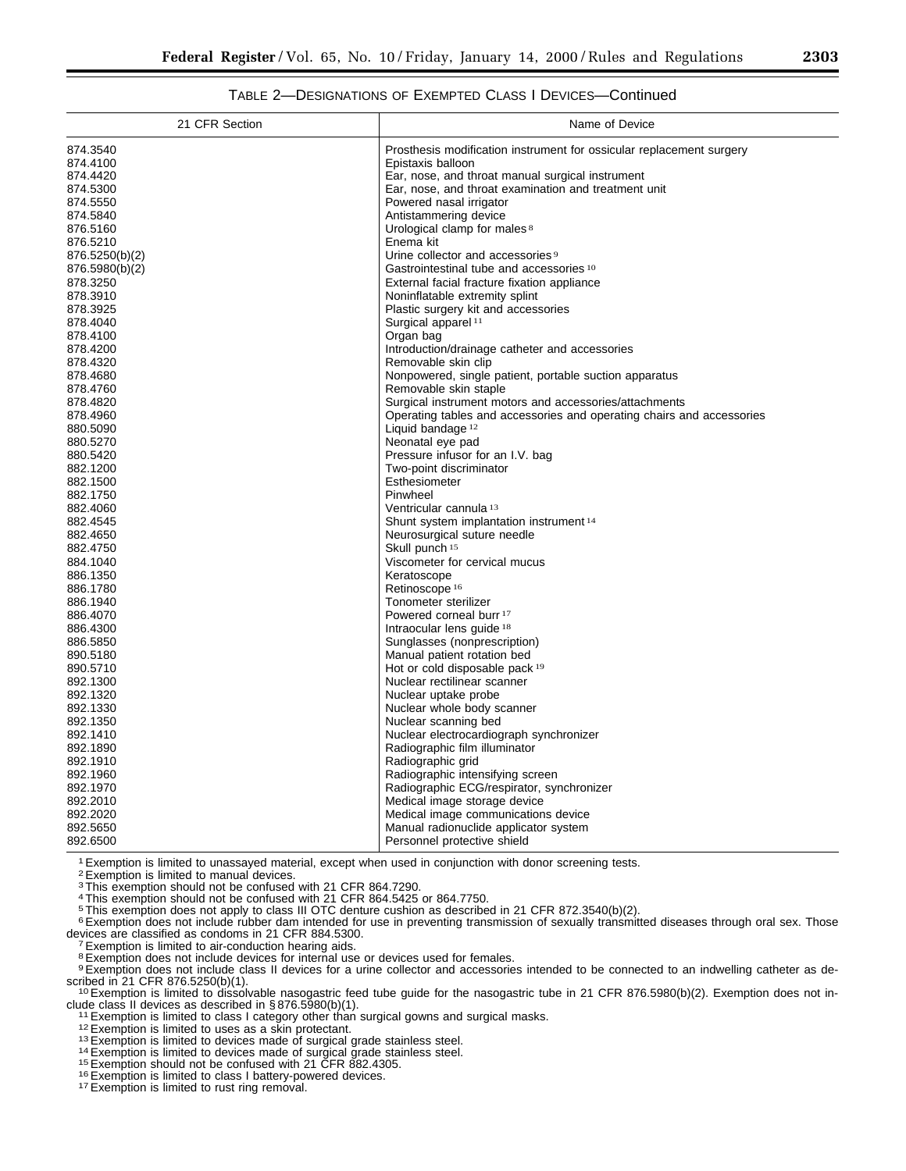# TABLE 2—DESIGNATIONS OF EXEMPTED CLASS I DEVICES—Continued

| 21 CFR Section       | Name of Device                                                        |
|----------------------|-----------------------------------------------------------------------|
| 874.3540             | Prosthesis modification instrument for ossicular replacement surgery  |
| 874.4100             | Epistaxis balloon                                                     |
| 874.4420             | Ear, nose, and throat manual surgical instrument                      |
| 874.5300             | Ear, nose, and throat examination and treatment unit                  |
| 874.5550             | Powered nasal irrigator                                               |
| 874.5840             | Antistammering device                                                 |
| 876.5160             | Urological clamp for males <sup>8</sup>                               |
| 876.5210             | Enema kit                                                             |
| 876.5250(b)(2)       | Urine collector and accessories <sup>9</sup>                          |
| 876.5980(b)(2)       | Gastrointestinal tube and accessories 10                              |
| 878.3250             | External facial fracture fixation appliance                           |
| 878.3910             | Noninflatable extremity splint                                        |
| 878.3925             | Plastic surgery kit and accessories                                   |
| 878.4040             | Surgical apparel 11                                                   |
| 878.4100             | Organ bag                                                             |
| 878.4200             | Introduction/drainage catheter and accessories                        |
| 878.4320             | Removable skin clip                                                   |
| 878.4680             | Nonpowered, single patient, portable suction apparatus                |
| 878.4760             | Removable skin staple                                                 |
| 878.4820             | Surgical instrument motors and accessories/attachments                |
| 878.4960             | Operating tables and accessories and operating chairs and accessories |
| 880.5090             | Liquid bandage 12                                                     |
| 880.5270             | Neonatal eye pad                                                      |
| 880.5420             | Pressure infusor for an I.V. bag                                      |
| 882.1200             | Two-point discriminator                                               |
| 882.1500             | Esthesiometer                                                         |
| 882.1750             | Pinwheel                                                              |
| 882.4060             | Ventricular cannula <sup>13</sup>                                     |
| 882.4545             | Shunt system implantation instrument 14                               |
| 882.4650             | Neurosurgical suture needle                                           |
| 882.4750             | Skull punch 15                                                        |
| 884.1040             | Viscometer for cervical mucus                                         |
| 886.1350             | Keratoscope                                                           |
| 886.1780             | Retinoscope 16                                                        |
| 886.1940             | Tonometer sterilizer                                                  |
| 886.4070             | Powered corneal burr <sup>17</sup>                                    |
| 886.4300             | Intraocular lens guide 18                                             |
| 886.5850             | Sunglasses (nonprescription)                                          |
| 890.5180             | Manual patient rotation bed                                           |
| 890.5710             | Hot or cold disposable pack $19$                                      |
| 892.1300             | Nuclear rectilinear scanner                                           |
| 892.1320             | Nuclear uptake probe                                                  |
| 892.1330             | Nuclear whole body scanner                                            |
| 892.1350             | Nuclear scanning bed                                                  |
| 892.1410             | Nuclear electrocardiograph synchronizer                               |
| 892.1890             | Radiographic film illuminator                                         |
| 892.1910             |                                                                       |
|                      | Radiographic grid                                                     |
| 892.1960<br>892.1970 | Radiographic intensifying screen                                      |
|                      | Radiographic ECG/respirator, synchronizer                             |
| 892.2010             | Medical image storage device                                          |
| 892.2020             | Medical image communications device                                   |
| 892.5650             | Manual radionuclide applicator system                                 |
| 892.6500             | Personnel protective shield                                           |

1Exemption is limited to unassayed material, except when used in conjunction with donor screening tests.

2Exemption is limited to manual devices.

3This exemption should not be confused with 21 CFR 864.7290.

4This exemption should not be confused with 21 CFR 864.5425 or 864.7750.

<sup>5</sup>This exemption does not apply to class III OTC denture cushion as described in 21 CFR 872.3540(b)(2).

 $^6$ Exemption does not include rubber dam intended for use in preventing transmission of sexually transmitted diseases through oral sex. Those devices are classified as condoms in 21 CFR 884.5300. 7Exemption is limited to air-conduction hearing aids.

<sup>8</sup> Exemption does not include devices for internal use or devices used for females.

9 Exemption does not include class II devices for a urine collector and accessories intended to be connected to an indwelling catheter as de-

scribed in 21 CFR 876.5250(b)(1).<br><sup>10</sup>Exemption is limited to dissolvable nasogastric feed tube guide for the nasogastric tube in 21 CFR 876.5980(b)(2). Exemption does not in-<br>clude class II devices as described in §876.59

<sup>11</sup> Exemption is limited to class I category other than surgical gowns and surgical masks.<br><sup>12</sup> Exemption is limited to uses as a skin protectant.<br><sup>13</sup> Exemption is limited to devices made of surgical grade stainless ste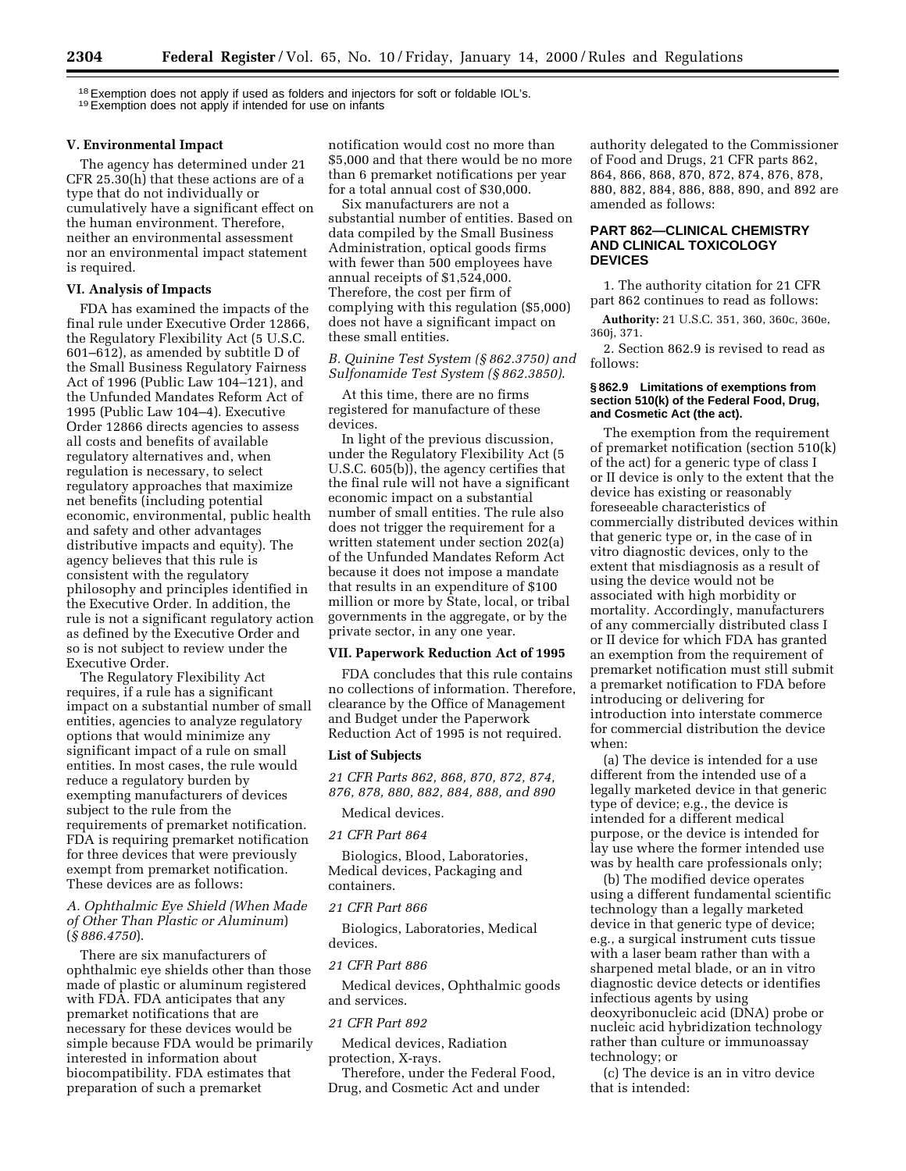$18$  Exemption does not apply if used as folders and injectors for soft or foldable IOL's.<br> $19$  Exemption does not apply if intended for use on infants

# **V. Environmental Impact**

The agency has determined under 21 CFR 25.30(h) that these actions are of a type that do not individually or cumulatively have a significant effect on the human environment. Therefore, neither an environmental assessment nor an environmental impact statement is required.

# **VI. Analysis of Impacts**

FDA has examined the impacts of the final rule under Executive Order 12866, the Regulatory Flexibility Act (5 U.S.C. 601–612), as amended by subtitle D of the Small Business Regulatory Fairness Act of 1996 (Public Law 104–121), and the Unfunded Mandates Reform Act of 1995 (Public Law 104–4). Executive Order 12866 directs agencies to assess all costs and benefits of available regulatory alternatives and, when regulation is necessary, to select regulatory approaches that maximize net benefits (including potential economic, environmental, public health and safety and other advantages distributive impacts and equity). The agency believes that this rule is consistent with the regulatory philosophy and principles identified in the Executive Order. In addition, the rule is not a significant regulatory action as defined by the Executive Order and so is not subject to review under the Executive Order.

The Regulatory Flexibility Act requires, if a rule has a significant impact on a substantial number of small entities, agencies to analyze regulatory options that would minimize any significant impact of a rule on small entities. In most cases, the rule would reduce a regulatory burden by exempting manufacturers of devices subject to the rule from the requirements of premarket notification. FDA is requiring premarket notification for three devices that were previously exempt from premarket notification. These devices are as follows:

# *A. Ophthalmic Eye Shield (When Made of Other Than Plastic or Aluminum*) (*§ 886.4750*).

There are six manufacturers of ophthalmic eye shields other than those made of plastic or aluminum registered with FDA. FDA anticipates that any premarket notifications that are necessary for these devices would be simple because FDA would be primarily interested in information about biocompatibility. FDA estimates that preparation of such a premarket

notification would cost no more than \$5,000 and that there would be no more than 6 premarket notifications per year for a total annual cost of \$30,000.

Six manufacturers are not a substantial number of entities. Based on data compiled by the Small Business Administration, optical goods firms with fewer than 500 employees have annual receipts of \$1,524,000. Therefore, the cost per firm of complying with this regulation (\$5,000) does not have a significant impact on these small entities.

# *B. Quinine Test System (§ 862.3750) and Sulfonamide Test System (§ 862.3850)*.

At this time, there are no firms registered for manufacture of these devices.

In light of the previous discussion, under the Regulatory Flexibility Act (5 U.S.C. 605(b)), the agency certifies that the final rule will not have a significant economic impact on a substantial number of small entities. The rule also does not trigger the requirement for a written statement under section 202(a) of the Unfunded Mandates Reform Act because it does not impose a mandate that results in an expenditure of \$100 million or more by State, local, or tribal governments in the aggregate, or by the private sector, in any one year.

#### **VII. Paperwork Reduction Act of 1995**

FDA concludes that this rule contains no collections of information. Therefore, clearance by the Office of Management and Budget under the Paperwork Reduction Act of 1995 is not required.

#### **List of Subjects**

*21 CFR Parts 862, 868, 870, 872, 874, 876, 878, 880, 882, 884, 888, and 890* Medical devices.

### *21 CFR Part 864*

Biologics, Blood, Laboratories, Medical devices, Packaging and containers.

#### *21 CFR Part 866*

Biologics, Laboratories, Medical devices.

# *21 CFR Part 886*

Medical devices, Ophthalmic goods and services.

# *21 CFR Part 892*

Medical devices, Radiation protection, X-rays.

Therefore, under the Federal Food, Drug, and Cosmetic Act and under

authority delegated to the Commissioner of Food and Drugs, 21 CFR parts 862, 864, 866, 868, 870, 872, 874, 876, 878, 880, 882, 884, 886, 888, 890, and 892 are amended as follows:

# **PART 862—CLINICAL CHEMISTRY AND CLINICAL TOXICOLOGY DEVICES**

1. The authority citation for 21 CFR part 862 continues to read as follows:

**Authority:** 21 U.S.C. 351, 360, 360c, 360e, 360j, 371.

2. Section 862.9 is revised to read as follows:

#### **§ 862.9 Limitations of exemptions from section 510(k) of the Federal Food, Drug, and Cosmetic Act (the act).**

The exemption from the requirement of premarket notification (section 510(k) of the act) for a generic type of class I or II device is only to the extent that the device has existing or reasonably foreseeable characteristics of commercially distributed devices within that generic type or, in the case of in vitro diagnostic devices, only to the extent that misdiagnosis as a result of using the device would not be associated with high morbidity or mortality. Accordingly, manufacturers of any commercially distributed class I or II device for which FDA has granted an exemption from the requirement of premarket notification must still submit a premarket notification to FDA before introducing or delivering for introduction into interstate commerce for commercial distribution the device when:

(a) The device is intended for a use different from the intended use of a legally marketed device in that generic type of device; e.g., the device is intended for a different medical purpose, or the device is intended for lay use where the former intended use was by health care professionals only;

(b) The modified device operates using a different fundamental scientific technology than a legally marketed device in that generic type of device; e.g., a surgical instrument cuts tissue with a laser beam rather than with a sharpened metal blade, or an in vitro diagnostic device detects or identifies infectious agents by using deoxyribonucleic acid (DNA) probe or nucleic acid hybridization technology rather than culture or immunoassay technology; or

(c) The device is an in vitro device that is intended: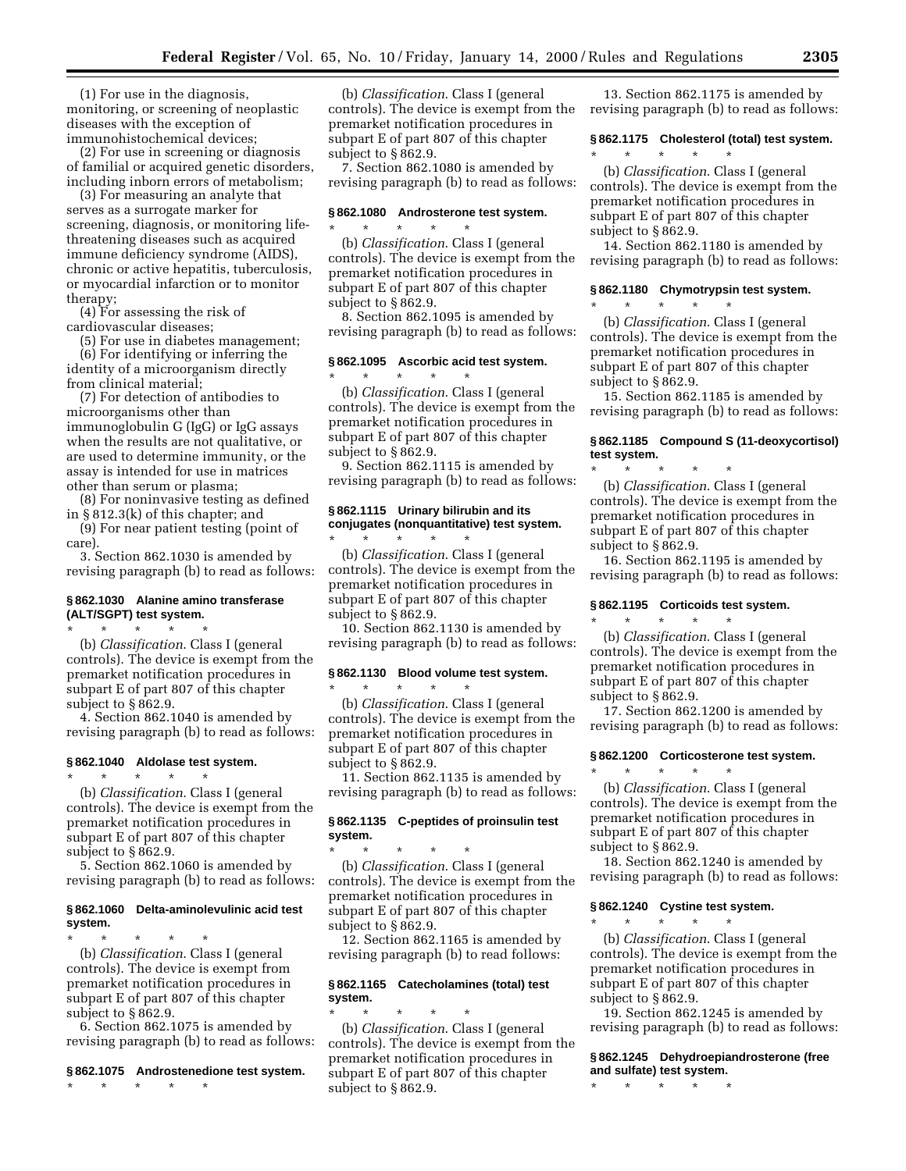(1) For use in the diagnosis, monitoring, or screening of neoplastic diseases with the exception of immunohistochemical devices;

(2) For use in screening or diagnosis of familial or acquired genetic disorders, including inborn errors of metabolism;

(3) For measuring an analyte that serves as a surrogate marker for screening, diagnosis, or monitoring lifethreatening diseases such as acquired immune deficiency syndrome (AIDS), chronic or active hepatitis, tuberculosis, or myocardial infarction or to monitor therapy;

(4) For assessing the risk of cardiovascular diseases;

(5) For use in diabetes management;

(6) For identifying or inferring the identity of a microorganism directly from clinical material;

(7) For detection of antibodies to microorganisms other than immunoglobulin G (IgG) or IgG assays when the results are not qualitative, or are used to determine immunity, or the assay is intended for use in matrices other than serum or plasma;

(8) For noninvasive testing as defined in § 812.3(k) of this chapter; and

(9) For near patient testing (point of care).

3. Section 862.1030 is amended by revising paragraph (b) to read as follows:

# **§ 862.1030 Alanine amino transferase (ALT/SGPT) test system.**

\* \* \* \* \*

(b) *Classification*. Class I (general controls). The device is exempt from the premarket notification procedures in subpart E of part 807 of this chapter subject to § 862.9.

4. Section 862.1040 is amended by revising paragraph (b) to read as follows:

# **§ 862.1040 Aldolase test system.**

\* \* \* \* \*

(b) *Classification*. Class I (general controls). The device is exempt from the premarket notification procedures in subpart E of part 807 of this chapter subject to § 862.9.

5. Section 862.1060 is amended by revising paragraph (b) to read as follows:

#### **§ 862.1060 Delta-aminolevulinic acid test system.**

\* \* \* \* \* (b) *Classification*. Class I (general controls). The device is exempt from premarket notification procedures in subpart E of part 807 of this chapter subject to § 862.9.

6. Section 862.1075 is amended by revising paragraph (b) to read as follows:

#### **§ 862.1075 Androstenedione test system.**

\* \* \* \* \*

(b) *Classification*. Class I (general controls). The device is exempt from the premarket notification procedures in subpart E of part 807 of this chapter subject to § 862.9.

7. Section 862.1080 is amended by revising paragraph (b) to read as follows:

#### **§ 862.1080 Androsterone test system.**

\* \* \* \* \* (b) *Classification*. Class I (general controls). The device is exempt from the premarket notification procedures in subpart E of part 807 of this chapter subject to § 862.9.

8. Section 862.1095 is amended by revising paragraph (b) to read as follows:

#### **§ 862.1095 Ascorbic acid test system.**

\* \* \* \* \* (b) *Classification*. Class I (general controls). The device is exempt from the premarket notification procedures in subpart E of part 807 of this chapter subject to § 862.9.

9. Section 862.1115 is amended by revising paragraph (b) to read as follows:

### **§ 862.1115 Urinary bilirubin and its conjugates (nonquantitative) test system.** \* \* \* \* \*

(b) *Classification*. Class I (general controls). The device is exempt from the premarket notification procedures in subpart E of part 807 of this chapter subject to § 862.9.

10. Section 862.1130 is amended by revising paragraph (b) to read as follows:

#### **§ 862.1130 Blood volume test system.** \* \* \* \* \*

(b) *Classification*. Class I (general controls). The device is exempt from the premarket notification procedures in subpart E of part 807 of this chapter subject to § 862.9.

11. Section 862.1135 is amended by revising paragraph (b) to read as follows:

#### **§ 862.1135 C-peptides of proinsulin test system.**

\* \* \* \* \* (b) *Classification*. Class I (general controls). The device is exempt from the premarket notification procedures in subpart E of part 807 of this chapter subject to § 862.9.

12. Section 862.1165 is amended by revising paragraph (b) to read follows:

# **§ 862.1165 Catecholamines (total) test system.**

\* \* \* \* \* (b) *Classification*. Class I (general controls). The device is exempt from the premarket notification procedures in subpart E of part 807 of this chapter subject to § 862.9.

13. Section 862.1175 is amended by revising paragraph (b) to read as follows:

# **§ 862.1175 Cholesterol (total) test system.**

(b) *Classification*. Class I (general controls). The device is exempt from the premarket notification procedures in subpart E of part 807 of this chapter subject to § 862.9.

14. Section 862.1180 is amended by revising paragraph (b) to read as follows:

# **§ 862.1180 Chymotrypsin test system.**

\* \* \* \* \*

\* \* \* \* \*

(b) *Classification*. Class I (general controls). The device is exempt from the premarket notification procedures in subpart E of part 807 of this chapter subject to § 862.9.

15. Section 862.1185 is amended by revising paragraph (b) to read as follows:

# **§ 862.1185 Compound S (11-deoxycortisol) test system.**

\* \* \* \* \* (b) *Classification*. Class I (general controls). The device is exempt from the premarket notification procedures in subpart E of part 807 of this chapter subject to § 862.9.

16. Section 862.1195 is amended by revising paragraph (b) to read as follows:

#### **§ 862.1195 Corticoids test system.**

\* \* \* \* \*

(b) *Classification*. Class I (general controls). The device is exempt from the premarket notification procedures in subpart E of part 807 of this chapter subject to § 862.9.

17. Section 862.1200 is amended by revising paragraph (b) to read as follows:

# **§ 862.1200 Corticosterone test system.**

\* \* \* \* \* (b) *Classification*. Class I (general controls). The device is exempt from the premarket notification procedures in subpart E of part 807 of this chapter subject to § 862.9.

18. Section 862.1240 is amended by revising paragraph (b) to read as follows:

#### **§ 862.1240 Cystine test system.**

\* \* \* \* \* (b) *Classification*. Class I (general controls). The device is exempt from the premarket notification procedures in subpart E of part 807 of this chapter subject to § 862.9.

19. Section 862.1245 is amended by revising paragraph (b) to read as follows:

# **§ 862.1245 Dehydroepiandrosterone (free and sulfate) test system.**

\* \* \* \* \*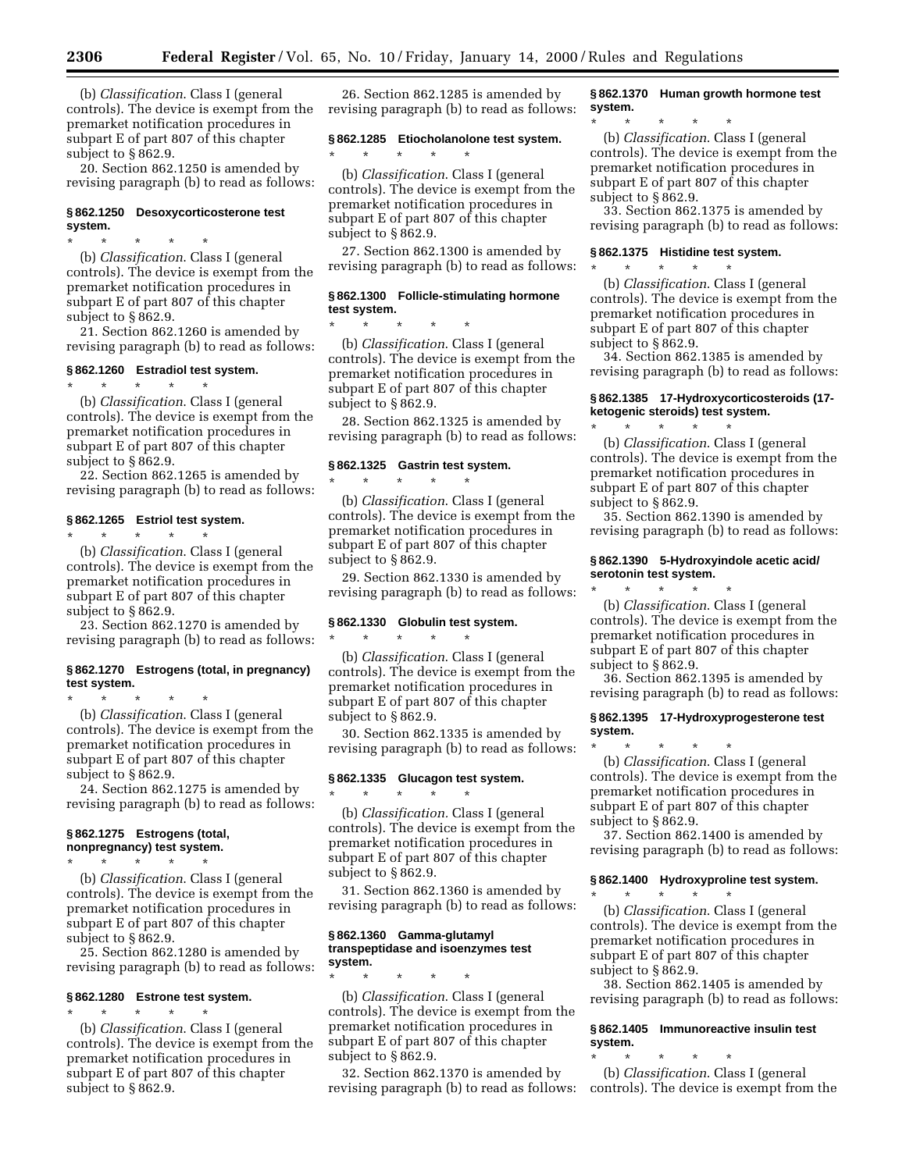(b) *Classification*. Class I (general controls). The device is exempt from the premarket notification procedures in subpart E of part 807 of this chapter subject to § 862.9.

20. Section 862.1250 is amended by revising paragraph (b) to read as follows:

# **§ 862.1250 Desoxycorticosterone test system.**

\* \* \* \* \*

(b) *Classification*. Class I (general controls). The device is exempt from the premarket notification procedures in subpart E of part 807 of this chapter subject to § 862.9.

21. Section 862.1260 is amended by revising paragraph (b) to read as follows:

# **§ 862.1260 Estradiol test system.**

\* \* \* \* \*

(b) *Classification*. Class I (general controls). The device is exempt from the premarket notification procedures in subpart E of part 807 of this chapter subject to § 862.9.

22. Section 862.1265 is amended by revising paragraph (b) to read as follows:

# **§ 862.1265 Estriol test system.**

\* \* \* \* \* (b) *Classification*. Class I (general controls). The device is exempt from the premarket notification procedures in subpart E of part 807 of this chapter subject to § 862.9.

23. Section 862.1270 is amended by revising paragraph (b) to read as follows:

# **§ 862.1270 Estrogens (total, in pregnancy) test system.**

\* \* \* \* \* (b) *Classification*. Class I (general controls). The device is exempt from the premarket notification procedures in subpart E of part 807 of this chapter subject to § 862.9.

24. Section 862.1275 is amended by revising paragraph (b) to read as follows:

#### **§ 862.1275 Estrogens (total, nonpregnancy) test system.**

\* \* \* \* \* (b) *Classification*. Class I (general controls). The device is exempt from the premarket notification procedures in subpart E of part 807 of this chapter subject to § 862.9.

25. Section 862.1280 is amended by revising paragraph (b) to read as follows:

#### **§ 862.1280 Estrone test system.** \* \* \* \* \*

(b) *Classification*. Class I (general controls). The device is exempt from the premarket notification procedures in subpart E of part 807 of this chapter subject to § 862.9.

26. Section 862.1285 is amended by revising paragraph (b) to read as follows:

# **§ 862.1285 Etiocholanolone test system.**  $\star$   $\qquad$   $\star$   $\qquad$   $\star$

(b) *Classification*. Class I (general controls). The device is exempt from the premarket notification procedures in subpart E of part 807 of this chapter subject to § 862.9.

27. Section 862.1300 is amended by revising paragraph (b) to read as follows:

#### **§ 862.1300 Follicle-stimulating hormone test system.**

\* \* \* \* \*

(b) *Classification*. Class I (general controls). The device is exempt from the premarket notification procedures in subpart E of part 807 of this chapter subject to § 862.9.

28. Section 862.1325 is amended by revising paragraph (b) to read as follows:

#### **§ 862.1325 Gastrin test system.** \* \* \* \* \*

(b) *Classification*. Class I (general controls). The device is exempt from the premarket notification procedures in subpart E of part 807 of this chapter subject to § 862.9.

29. Section 862.1330 is amended by revising paragraph (b) to read as follows:

# **§ 862.1330 Globulin test system.**

\* \* \* \* \*

(b) *Classification*. Class I (general controls). The device is exempt from the premarket notification procedures in subpart E of part 807 of this chapter subject to § 862.9.

30. Section 862.1335 is amended by revising paragraph (b) to read as follows:

#### **§ 862.1335 Glucagon test system.** \* \* \* \* \*

(b) *Classification.* Class I (general controls). The device is exempt from the premarket notification procedures in subpart E of part 807 of this chapter subject to § 862.9.

31. Section 862.1360 is amended by revising paragraph (b) to read as follows:

#### **§ 862.1360 Gamma-glutamyl transpeptidase and isoenzymes test system.**

\* \* \* \* \*

(b) *Classification*. Class I (general controls). The device is exempt from the premarket notification procedures in subpart E of part 807 of this chapter subject to § 862.9.

32. Section 862.1370 is amended by revising paragraph (b) to read as follows:

# **§ 862.1370 Human growth hormone test system.**

\* \* \* \* \* (b) *Classification*. Class I (general controls). The device is exempt from the premarket notification procedures in subpart E of part 807 of this chapter subject to § 862.9.

33. Section 862.1375 is amended by revising paragraph (b) to read as follows:

### **§ 862.1375 Histidine test system.**

\* \* \* \* \* (b) *Classification*. Class I (general controls). The device is exempt from the premarket notification procedures in subpart E of part 807 of this chapter subject to § 862.9.

34. Section 862.1385 is amended by revising paragraph (b) to read as follows:

### **§ 862.1385 17-Hydroxycorticosteroids (17 ketogenic steroids) test system.**

\* \* \* \* \*

(b) *Classification*. Class I (general controls). The device is exempt from the premarket notification procedures in subpart E of part 807 of this chapter subject to § 862.9.

35. Section 862.1390 is amended by revising paragraph (b) to read as follows:

# **§ 862.1390 5-Hydroxyindole acetic acid/ serotonin test system.**

\* \* \* \* \* (b) *Classification*. Class I (general controls). The device is exempt from the premarket notification procedures in subpart E of part 807 of this chapter subject to § 862.9.

36. Section 862.1395 is amended by revising paragraph (b) to read as follows:

### **§ 862.1395 17-Hydroxyprogesterone test system.**

\* \* \* \* \* (b) *Classification*. Class I (general controls). The device is exempt from the premarket notification procedures in subpart E of part 807 of this chapter subject to § 862.9.

37. Section 862.1400 is amended by revising paragraph (b) to read as follows:

#### **§ 862.1400 Hydroxyproline test system.**

\* \* \* \* \* (b) *Classification*. Class I (general controls). The device is exempt from the premarket notification procedures in subpart E of part 807 of this chapter subject to § 862.9.

38. Section 862.1405 is amended by revising paragraph (b) to read as follows:

# **§ 862.1405 Immunoreactive insulin test system.**

\* \* \* \* \*

(b) *Classification*. Class I (general controls). The device is exempt from the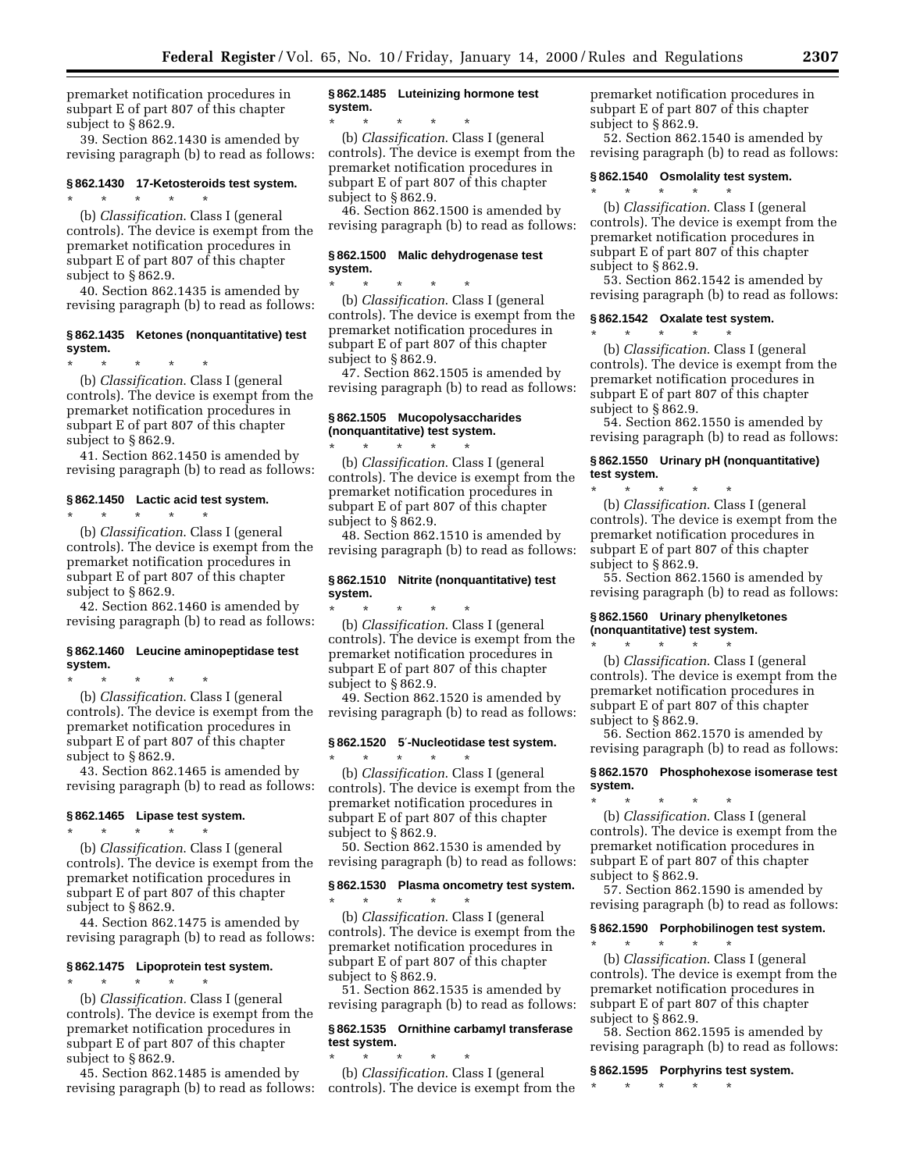premarket notification procedures in subpart E of part 807 of this chapter subject to § 862.9.

39. Section 862.1430 is amended by revising paragraph (b) to read as follows:

# **§ 862.1430 17-Ketosteroids test system.** \* \* \* \* \*

(b) *Classification*. Class I (general controls). The device is exempt from the premarket notification procedures in subpart E of part 807 of this chapter subject to § 862.9.

40. Section 862.1435 is amended by revising paragraph (b) to read as follows:

#### **§ 862.1435 Ketones (nonquantitative) test system.**

\* \* \* \* \*

(b) *Classification*. Class I (general controls). The device is exempt from the premarket notification procedures in subpart E of part 807 of this chapter subject to § 862.9.

41. Section 862.1450 is amended by revising paragraph (b) to read as follows:

#### **§ 862.1450 Lactic acid test system.** \* \* \* \* \*

(b) *Classification*. Class I (general controls). The device is exempt from the premarket notification procedures in subpart E of part 807 of this chapter subject to § 862.9.

42. Section 862.1460 is amended by revising paragraph (b) to read as follows:

#### **§ 862.1460 Leucine aminopeptidase test system.**

\* \* \* \* \*

(b) *Classification*. Class I (general controls). The device is exempt from the premarket notification procedures in subpart E of part 807 of this chapter subject to § 862.9.

43. Section 862.1465 is amended by revising paragraph (b) to read as follows:

# **§ 862.1465 Lipase test system.**

\* \* \* \* \* (b) *Classification*. Class I (general controls). The device is exempt from the premarket notification procedures in subpart E of part 807 of this chapter subject to § 862.9.

44. Section 862.1475 is amended by revising paragraph (b) to read as follows:

# **§ 862.1475 Lipoprotein test system.**

\* \* \* \* \*

(b) *Classification.* Class I (general controls). The device is exempt from the premarket notification procedures in subpart E of part 807 of this chapter subject to § 862.9.

45. Section 862.1485 is amended by revising paragraph (b) to read as follows:

### **§ 862.1485 Luteinizing hormone test system.**

\* \* \* \* \*

(b) *Classification*. Class I (general controls). The device is exempt from the premarket notification procedures in subpart E of part 807 of this chapter subject to § 862.9.

46. Section 862.1500 is amended by revising paragraph (b) to read as follows:

# **§ 862.1500 Malic dehydrogenase test system.**

\* \* \* \* \* (b) *Classification*. Class I (general controls). The device is exempt from the premarket notification procedures in subpart E of part 807 of this chapter subject to § 862.9.

47. Section 862.1505 is amended by revising paragraph (b) to read as follows:

# **§ 862.1505 Mucopolysaccharides (nonquantitative) test system.**

\* \* \* \* \* (b) *Classification*. Class I (general controls). The device is exempt from the premarket notification procedures in subpart E of part 807 of this chapter subject to § 862.9.

48. Section 862.1510 is amended by revising paragraph (b) to read as follows:

# **§ 862.1510 Nitrite (nonquantitative) test system.**

\* \* \* \* \* (b) *Classification*. Class I (general controls). The device is exempt from the premarket notification procedures in subpart E of part 807 of this chapter subject to § 862.9.

49. Section 862.1520 is amended by revising paragraph (b) to read as follows:

# **§ 862.1520 5**′**-Nucleotidase test system.** \* \* \* \* \*

(b) *Classification*. Class I (general controls). The device is exempt from the premarket notification procedures in subpart E of part 807 of this chapter subject to § 862.9.

50. Section 862.1530 is amended by revising paragraph (b) to read as follows:

# **§ 862.1530 Plasma oncometry test system.**

\* \* \* \* \*

(b) *Classification*. Class I (general controls). The device is exempt from the premarket notification procedures in subpart E of part 807 of this chapter subject to § 862.9.

51. Section 862.1535 is amended by revising paragraph (b) to read as follows:

# **§ 862.1535 Ornithine carbamyl transferase test system.**

\* \* \* \* \* (b) *Classification*. Class I (general controls). The device is exempt from the premarket notification procedures in subpart E of part 807 of this chapter subject to § 862.9.

52. Section 862.1540 is amended by revising paragraph (b) to read as follows:

# **§ 862.1540 Osmolality test system.**

 $\star$   $\qquad$   $\star$   $\qquad$   $\star$ 

(b) *Classification*. Class I (general controls). The device is exempt from the premarket notification procedures in subpart E of part 807 of this chapter subject to § 862.9.

53. Section 862.1542 is amended by revising paragraph (b) to read as follows:

#### **§ 862.1542 Oxalate test system.**

\* \* \* \* \*

\* \* \* \* \*

(b) *Classification*. Class I (general controls). The device is exempt from the premarket notification procedures in subpart E of part 807 of this chapter subject to § 862.9.

54. Section 862.1550 is amended by revising paragraph (b) to read as follows:

# **§ 862.1550 Urinary pH (nonquantitative) test system.**

(b) *Classification*. Class I (general controls). The device is exempt from the premarket notification procedures in subpart E of part 807 of this chapter subject to § 862.9.

55. Section 862.1560 is amended by revising paragraph (b) to read as follows:

# **§ 862.1560 Urinary phenylketones (nonquantitative) test system.**

\* \* \* \* \* (b) *Classification*. Class I (general controls). The device is exempt from the premarket notification procedures in subpart E of part 807 of this chapter subject to § 862.9.

56. Section 862.1570 is amended by revising paragraph (b) to read as follows:

# **§ 862.1570 Phosphohexose isomerase test system.**

\* \* \* \* \* (b) *Classification*. Class I (general controls). The device is exempt from the premarket notification procedures in subpart E of part 807 of this chapter subject to § 862.9.

57. Section 862.1590 is amended by revising paragraph (b) to read as follows:

# **§ 862.1590 Porphobilinogen test system.**

\* \* \* \* \* (b) *Classification*. Class I (general controls). The device is exempt from the premarket notification procedures in subpart E of part 807 of this chapter subject to § 862.9.

58. Section 862.1595 is amended by revising paragraph (b) to read as follows:

# **§ 862.1595 Porphyrins test system.**

\* \* \* \* \*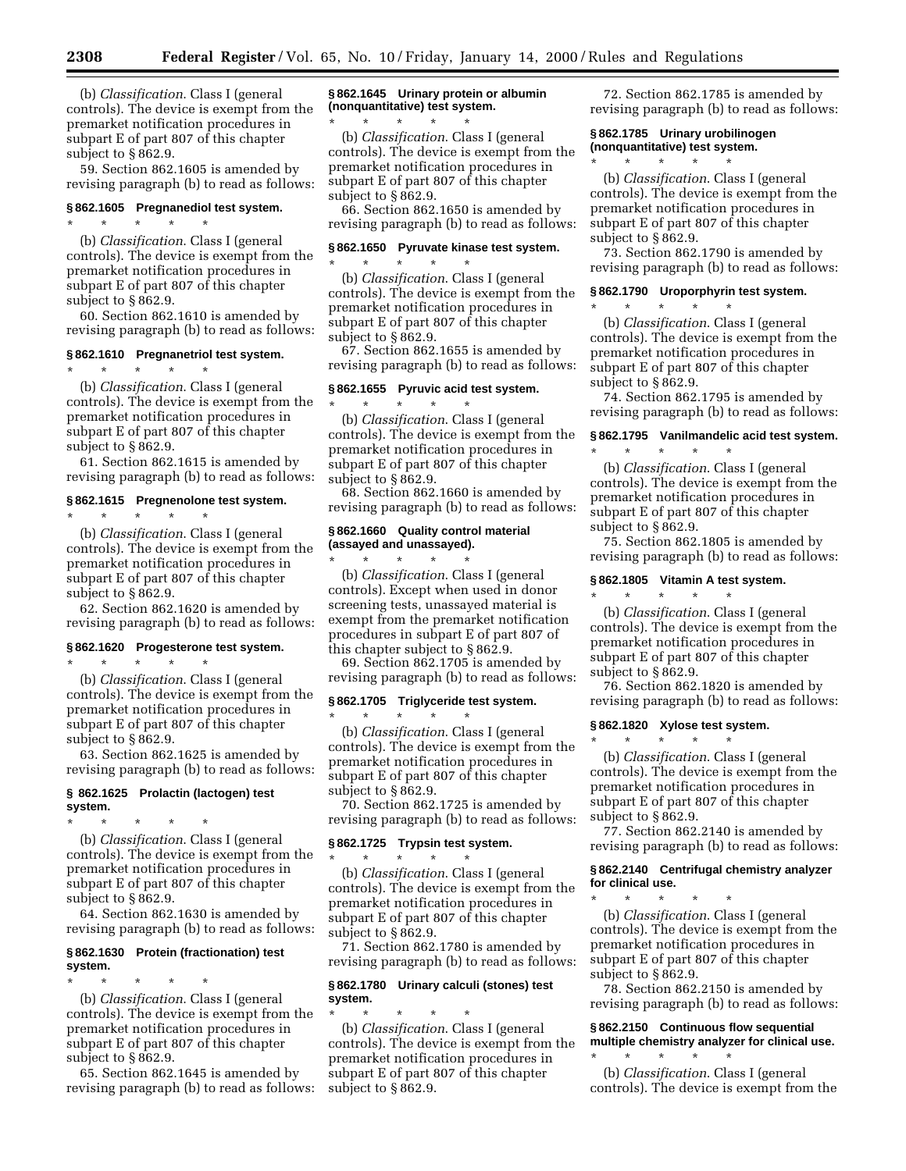(b) *Classification*. Class I (general controls). The device is exempt from the premarket notification procedures in subpart E of part 807 of this chapter subject to § 862.9.

59. Section 862.1605 is amended by revising paragraph (b) to read as follows:

#### **§ 862.1605 Pregnanediol test system.** \* \* \* \* \*

(b) *Classification*. Class I (general controls). The device is exempt from the premarket notification procedures in subpart E of part 807 of this chapter subject to § 862.9.

60. Section 862.1610 is amended by revising paragraph (b) to read as follows:

#### **§ 862.1610 Pregnanetriol test system.**

\* \* \* \* \* (b) *Classification*. Class I (general controls). The device is exempt from the premarket notification procedures in subpart E of part 807 of this chapter subject to § 862.9.

61. Section 862.1615 is amended by revising paragraph (b) to read as follows:

# **§ 862.1615 Pregnenolone test system.** \* \* \* \* \*

(b) *Classification*. Class I (general controls). The device is exempt from the premarket notification procedures in subpart E of part 807 of this chapter subject to § 862.9.

62. Section 862.1620 is amended by revising paragraph (b) to read as follows:

# **§ 862.1620 Progesterone test system.** \* \* \* \* \*

(b) *Classification*. Class I (general controls). The device is exempt from the premarket notification procedures in subpart E of part 807 of this chapter subject to § 862.9.

63. Section 862.1625 is amended by revising paragraph (b) to read as follows:

# **§ 862.1625 Prolactin (lactogen) test system.**

\* \* \* \* \* (b) *Classification*. Class I (general controls). The device is exempt from the premarket notification procedures in subpart E of part 807 of this chapter subject to § 862.9.

64. Section 862.1630 is amended by revising paragraph (b) to read as follows:

# **§ 862.1630 Protein (fractionation) test system.**

\* \* \* \* \* (b) *Classification*. Class I (general controls). The device is exempt from the premarket notification procedures in subpart E of part 807 of this chapter subject to § 862.9.

65. Section 862.1645 is amended by revising paragraph (b) to read as follows:

#### **§ 862.1645 Urinary protein or albumin (nonquantitative) test system.**  $\star$   $\star$   $\star$

(b) *Classification*. Class I (general controls). The device is exempt from the premarket notification procedures in subpart E of part 807 of this chapter subject to § 862.9.

66. Section 862.1650 is amended by revising paragraph (b) to read as follows:

# **§ 862.1650 Pyruvate kinase test system.**

\* \* \* \* \* (b) *Classification*. Class I (general controls). The device is exempt from the premarket notification procedures in subpart E of part 807 of this chapter subject to § 862.9.

67. Section 862.1655 is amended by revising paragraph (b) to read as follows:

#### **§ 862.1655 Pyruvic acid test system.** \* \* \* \* \*

(b) *Classification*. Class I (general controls). The device is exempt from the premarket notification procedures in subpart E of part 807 of this chapter subject to § 862.9.

68. Section 862.1660 is amended by revising paragraph (b) to read as follows:

#### **§ 862.1660 Quality control material (assayed and unassayed).** \* \* \* \* \*

(b) *Classification*. Class I (general controls). Except when used in donor screening tests, unassayed material is exempt from the premarket notification procedures in subpart E of part 807 of this chapter subject to § 862.9.

69. Section 862.1705 is amended by revising paragraph (b) to read as follows:

# **§ 862.1705 Triglyceride test system.** \* \* \* \* \*

(b) *Classification*. Class I (general controls). The device is exempt from the premarket notification procedures in subpart E of part 807 of this chapter subject to § 862.9.

70. Section 862.1725 is amended by revising paragraph (b) to read as follows:

# **§ 862.1725 Trypsin test system.**

\* \* \* \* \*

(b) *Classification*. Class I (general controls). The device is exempt from the premarket notification procedures in subpart E of part 807 of this chapter subject to § 862.9.

71. Section 862.1780 is amended by revising paragraph (b) to read as follows:

# **§ 862.1780 Urinary calculi (stones) test system.**

\* \* \* \* \* (b) *Classification*. Class I (general controls). The device is exempt from the premarket notification procedures in subpart E of part 807 of this chapter subject to § 862.9.

72. Section 862.1785 is amended by revising paragraph (b) to read as follows:

# **§ 862.1785 Urinary urobilinogen (nonquantitative) test system.** \* \* \* \* \*

(b) *Classification*. Class I (general controls). The device is exempt from the premarket notification procedures in subpart E of part 807 of this chapter subject to § 862.9.

73. Section 862.1790 is amended by revising paragraph (b) to read as follows:

# **§ 862.1790 Uroporphyrin test system.** \* \* \* \* \*

(b) *Classification*. Class I (general controls). The device is exempt from the premarket notification procedures in subpart E of part 807 of this chapter subject to § 862.9.

74. Section 862.1795 is amended by revising paragraph (b) to read as follows:

# **§ 862.1795 Vanilmandelic acid test system.**

 $\star$   $\star$   $\star$ (b) *Classification*. Class I (general controls). The device is exempt from the premarket notification procedures in subpart E of part 807 of this chapter subject to § 862.9.

75. Section 862.1805 is amended by revising paragraph (b) to read as follows:

# **§ 862.1805 Vitamin A test system.**

\* \* \* \* \*

(b) *Classification*. Class I (general controls). The device is exempt from the premarket notification procedures in subpart E of part 807 of this chapter subject to § 862.9.

76. Section 862.1820 is amended by revising paragraph (b) to read as follows:

# **§ 862.1820 Xylose test system.**

\* \* \* \* \* (b) *Classification*. Class I (general controls). The device is exempt from the premarket notification procedures in subpart E of part 807 of this chapter subject to § 862.9.

77. Section 862.2140 is amended by revising paragraph (b) to read as follows:

# **§ 862.2140 Centrifugal chemistry analyzer for clinical use.**

\* \* \* \* \*

(b) *Classification*. Class I (general controls). The device is exempt from the premarket notification procedures in subpart E of part 807 of this chapter subject to § 862.9.

78. Section 862.2150 is amended by revising paragraph (b) to read as follows:

# **§ 862.2150 Continuous flow sequential multiple chemistry analyzer for clinical use.**

\* \* \* \* \* (b) *Classification*. Class I (general controls). The device is exempt from the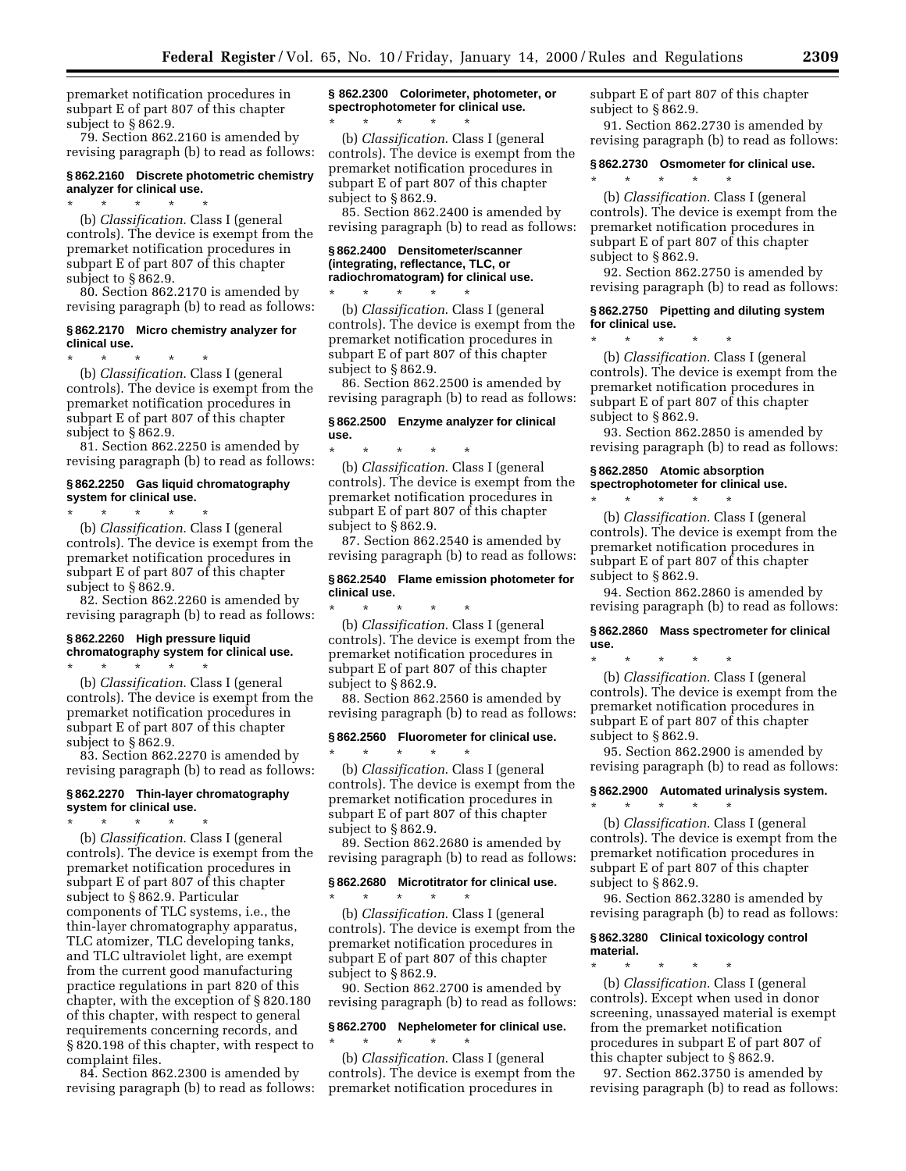premarket notification procedures in subpart E of part 807 of this chapter subject to § 862.9.

79. Section 862.2160 is amended by revising paragraph (b) to read as follows:

# **§ 862.2160 Discrete photometric chemistry analyzer for clinical use.**

\* \* \* \* \* (b) *Classification*. Class I (general controls). The device is exempt from the premarket notification procedures in subpart E of part 807 of this chapter subject to § 862.9.

80. Section 862.2170 is amended by revising paragraph (b) to read as follows:

#### **§ 862.2170 Micro chemistry analyzer for clinical use.**

\* \* \* \* \* (b) *Classification*. Class I (general controls). The device is exempt from the premarket notification procedures in subpart E of part 807 of this chapter subject to § 862.9.

81. Section 862.2250 is amended by revising paragraph (b) to read as follows:

# **§ 862.2250 Gas liquid chromatography system for clinical use.**

\* \* \* \* \* (b) *Classification*. Class I (general controls). The device is exempt from the premarket notification procedures in subpart E of part 807 of this chapter subject to § 862.9.

82. Section 862.2260 is amended by revising paragraph (b) to read as follows:

# **§ 862.2260 High pressure liquid chromatography system for clinical use.**

\* \* \* \* \* (b) *Classification*. Class I (general controls). The device is exempt from the premarket notification procedures in subpart E of part 807 of this chapter subject to § 862.9.

83. Section 862.2270 is amended by revising paragraph (b) to read as follows:

#### **§ 862.2270 Thin-layer chromatography system for clinical use.**

\* \* \* \* \* (b) *Classification*. Class I (general controls). The device is exempt from the premarket notification procedures in subpart E of part 807 of this chapter subject to § 862.9. Particular components of TLC systems, i.e., the thin-layer chromatography apparatus, TLC atomizer, TLC developing tanks, and TLC ultraviolet light, are exempt from the current good manufacturing practice regulations in part 820 of this chapter, with the exception of § 820.180 of this chapter, with respect to general requirements concerning records, and § 820.198 of this chapter, with respect to complaint files.

84. Section 862.2300 is amended by revising paragraph (b) to read as follows: **§ 862.2300 Colorimeter, photometer, or spectrophotometer for clinical use.** \* \* \* \* \*

(b) *Classification*. Class I (general controls). The device is exempt from the premarket notification procedures in subpart E of part 807 of this chapter subject to § 862.9.

85. Section 862.2400 is amended by revising paragraph (b) to read as follows:

#### **§ 862.2400 Densitometer/scanner (integrating, reflectance, TLC, or radiochromatogram) for clinical use.** \* \* \* \* \*

(b) *Classification*. Class I (general controls). The device is exempt from the premarket notification procedures in subpart E of part 807 of this chapter subject to § 862.9.

86. Section 862.2500 is amended by revising paragraph (b) to read as follows:

#### **§ 862.2500 Enzyme analyzer for clinical use.**

\* \* \* \* \* (b) *Classification*. Class I (general controls). The device is exempt from the premarket notification procedures in subpart E of part 807 of this chapter subject to § 862.9.

87. Section 862.2540 is amended by revising paragraph (b) to read as follows:

# **§ 862.2540 Flame emission photometer for clinical use.**

\* \* \* \* \* (b) *Classification*. Class I (general controls). The device is exempt from the premarket notification procedures in subpart E of part 807 of this chapter subject to § 862.9.

88. Section 862.2560 is amended by revising paragraph (b) to read as follows:

# **§ 862.2560 Fluorometer for clinical use.**

\* \* \* \* \* (b) *Classification*. Class I (general controls). The device is exempt from the premarket notification procedures in subpart E of part 807 of this chapter subject to § 862.9.

89. Section 862.2680 is amended by revising paragraph (b) to read as follows:

# **§ 862.2680 Microtitrator for clinical use.**

\* \* \* \* \*

(b) *Classification*. Class I (general controls). The device is exempt from the premarket notification procedures in subpart E of part 807 of this chapter subject to § 862.9.

90. Section 862.2700 is amended by revising paragraph (b) to read as follows:

# **§ 862.2700 Nephelometer for clinical use.** \* \* \* \* \*

(b) *Classification*. Class I (general controls). The device is exempt from the premarket notification procedures in

subpart E of part 807 of this chapter subject to § 862.9.

91. Section 862.2730 is amended by revising paragraph (b) to read as follows:

# **§ 862.2730 Osmometer for clinical use.**

\* \* \* \* \* (b) *Classification*. Class I (general controls). The device is exempt from the premarket notification procedures in subpart E of part 807 of this chapter subject to § 862.9.

92. Section 862.2750 is amended by revising paragraph (b) to read as follows:

#### **§ 862.2750 Pipetting and diluting system for clinical use.**

\* \* \* \* \* (b) *Classification*. Class I (general controls). The device is exempt from the premarket notification procedures in subpart E of part 807 of this chapter subject to § 862.9.

93. Section 862.2850 is amended by revising paragraph (b) to read as follows:

#### **§ 862.2850 Atomic absorption spectrophotometer for clinical use.**

\* \* \* \* \* (b) *Classification*. Class I (general controls). The device is exempt from the premarket notification procedures in subpart E of part 807 of this chapter subject to § 862.9.

94. Section 862.2860 is amended by revising paragraph (b) to read as follows:

## **§ 862.2860 Mass spectrometer for clinical use.**

\* \* \* \* \* (b) *Classification*. Class I (general controls). The device is exempt from the premarket notification procedures in subpart E of part 807 of this chapter subject to § 862.9.

95. Section 862.2900 is amended by revising paragraph (b) to read as follows:

# **§ 862.2900 Automated urinalysis system.** \* \* \* \* \*

(b) *Classification*. Class I (general controls). The device is exempt from the premarket notification procedures in subpart E of part 807 of this chapter subject to § 862.9.

96. Section 862.3280 is amended by revising paragraph (b) to read as follows:

# **§ 862.3280 Clinical toxicology control material.**

\* \* \* \* \* (b) *Classification*. Class I (general controls). Except when used in donor screening, unassayed material is exempt from the premarket notification procedures in subpart E of part 807 of this chapter subject to § 862.9.

97. Section 862.3750 is amended by revising paragraph (b) to read as follows: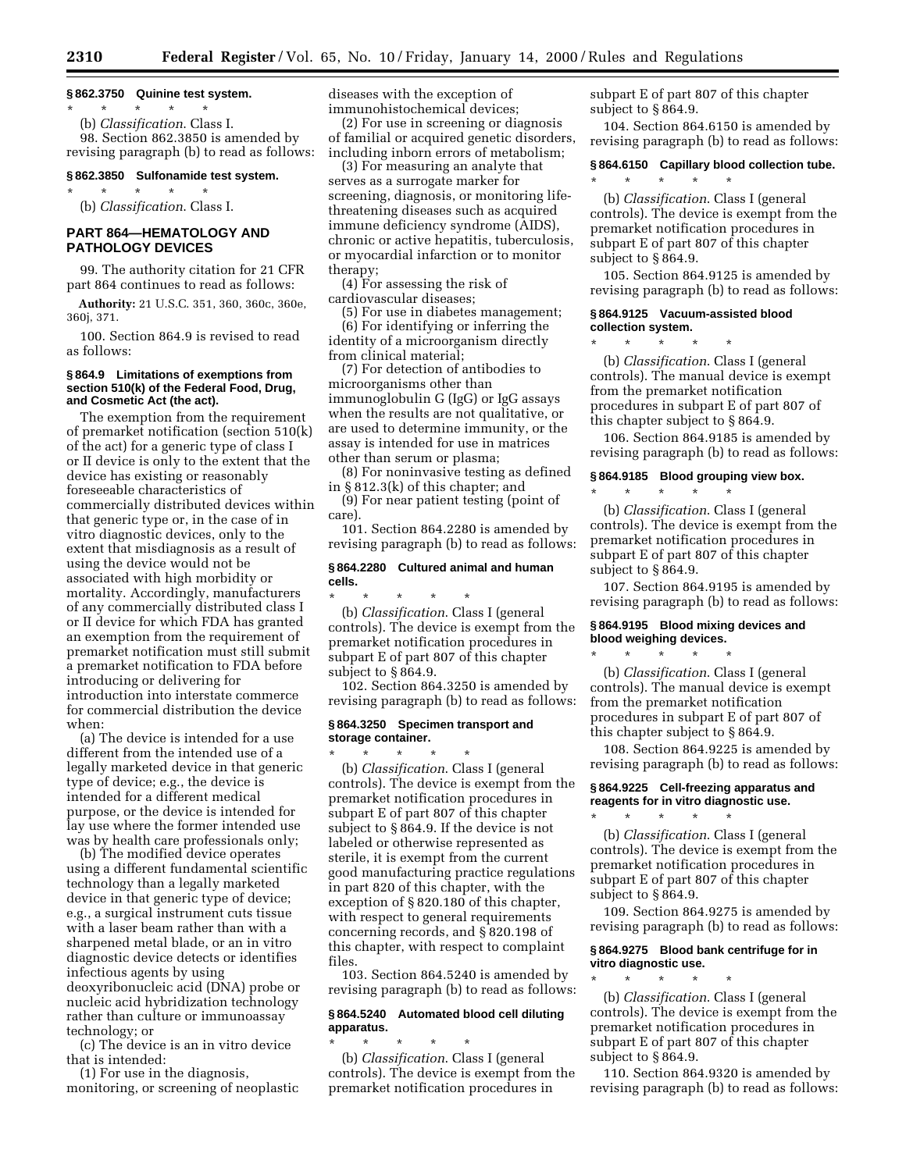# **§ 862.3750 Quinine test system.**

### \* \* \* \* \*

(b) *Classification*. Class I. 98. Section 862.3850 is amended by revising paragraph (b) to read as follows:

### **§ 862.3850 Sulfonamide test system.**

\* \* \* \* \*

# (b) *Classification*. Class I.

# **PART 864—HEMATOLOGY AND PATHOLOGY DEVICES**

99. The authority citation for 21 CFR part 864 continues to read as follows:

**Authority:** 21 U.S.C. 351, 360, 360c, 360e, 360j, 371.

100. Section 864.9 is revised to read as follows:

#### **§ 864.9 Limitations of exemptions from section 510(k) of the Federal Food, Drug, and Cosmetic Act (the act).**

The exemption from the requirement of premarket notification (section 510(k) of the act) for a generic type of class I or II device is only to the extent that the device has existing or reasonably foreseeable characteristics of commercially distributed devices within that generic type or, in the case of in vitro diagnostic devices, only to the extent that misdiagnosis as a result of using the device would not be associated with high morbidity or mortality. Accordingly, manufacturers of any commercially distributed class I or II device for which FDA has granted an exemption from the requirement of premarket notification must still submit a premarket notification to FDA before introducing or delivering for introduction into interstate commerce for commercial distribution the device when:

(a) The device is intended for a use different from the intended use of a legally marketed device in that generic type of device; e.g., the device is intended for a different medical purpose, or the device is intended for lay use where the former intended use was by health care professionals only;

(b) The modified device operates using a different fundamental scientific technology than a legally marketed device in that generic type of device; e.g., a surgical instrument cuts tissue with a laser beam rather than with a sharpened metal blade, or an in vitro diagnostic device detects or identifies infectious agents by using deoxyribonucleic acid (DNA) probe or nucleic acid hybridization technology rather than culture or immunoassay technology; or

(c) The device is an in vitro device that is intended:

(1) For use in the diagnosis, monitoring, or screening of neoplastic diseases with the exception of immunohistochemical devices;

(2) For use in screening or diagnosis of familial or acquired genetic disorders, including inborn errors of metabolism;

(3) For measuring an analyte that serves as a surrogate marker for screening, diagnosis, or monitoring lifethreatening diseases such as acquired immune deficiency syndrome (AIDS), chronic or active hepatitis, tuberculosis, or myocardial infarction or to monitor therapy;

(4) For assessing the risk of cardiovascular diseases;

(5) For use in diabetes management; (6) For identifying or inferring the identity of a microorganism directly from clinical material;

(7) For detection of antibodies to microorganisms other than immunoglobulin G (IgG) or IgG assays when the results are not qualitative, or are used to determine immunity, or the assay is intended for use in matrices other than serum or plasma;

(8) For noninvasive testing as defined in § 812.3(k) of this chapter; and

(9) For near patient testing (point of care).

101. Section 864.2280 is amended by revising paragraph (b) to read as follows:

# **§ 864.2280 Cultured animal and human cells.**

\* \* \* \* \* (b) *Classification*. Class I (general controls). The device is exempt from the premarket notification procedures in subpart E of part 807 of this chapter subject to § 864.9.

102. Section 864.3250 is amended by revising paragraph (b) to read as follows:

#### **§ 864.3250 Specimen transport and storage container.**

\* \* \* \* \* (b) *Classification*. Class I (general controls). The device is exempt from the premarket notification procedures in subpart E of part 807 of this chapter subject to § 864.9. If the device is not labeled or otherwise represented as sterile, it is exempt from the current good manufacturing practice regulations in part 820 of this chapter, with the exception of § 820.180 of this chapter, with respect to general requirements concerning records, and § 820.198 of this chapter, with respect to complaint files.

103. Section 864.5240 is amended by revising paragraph (b) to read as follows:

# **§ 864.5240 Automated blood cell diluting apparatus.**

\* \* \* \* \* (b) *Classification*. Class I (general controls). The device is exempt from the premarket notification procedures in

subpart E of part 807 of this chapter subject to § 864.9.

104. Section 864.6150 is amended by revising paragraph (b) to read as follows:

# **§ 864.6150 Capillary blood collection tube.**

(b) *Classification*. Class I (general controls). The device is exempt from the premarket notification procedures in subpart E of part 807 of this chapter subject to § 864.9.

105. Section 864.9125 is amended by revising paragraph (b) to read as follows:

### **§ 864.9125 Vacuum-assisted blood collection system.**

\* \* \* \* \* (b) *Classification*. Class I (general

\* \* \* \* \*

\* \* \* \* \*

controls). The manual device is exempt from the premarket notification procedures in subpart E of part 807 of this chapter subject to § 864.9.

106. Section 864.9185 is amended by revising paragraph (b) to read as follows:

# **§ 864.9185 Blood grouping view box.**

(b) *Classification*. Class I (general controls). The device is exempt from the premarket notification procedures in subpart E of part 807 of this chapter subject to § 864.9.

107. Section 864.9195 is amended by revising paragraph (b) to read as follows:

# **§ 864.9195 Blood mixing devices and blood weighing devices.**

\* \* \* \* \* (b) *Classification*. Class I (general controls). The manual device is exempt from the premarket notification procedures in subpart E of part 807 of this chapter subject to § 864.9.

108. Section 864.9225 is amended by revising paragraph (b) to read as follows:

#### **§ 864.9225 Cell-freezing apparatus and reagents for in vitro diagnostic use.** \* \* \* \* \*

(b) *Classification*. Class I (general controls). The device is exempt from the premarket notification procedures in subpart E of part 807 of this chapter subject to § 864.9.

109. Section 864.9275 is amended by revising paragraph (b) to read as follows:

# **§ 864.9275 Blood bank centrifuge for in vitro diagnostic use.**

\* \* \* \* \*

(b) *Classification*. Class I (general controls). The device is exempt from the premarket notification procedures in subpart E of part 807 of this chapter subject to § 864.9.

110. Section 864.9320 is amended by revising paragraph (b) to read as follows: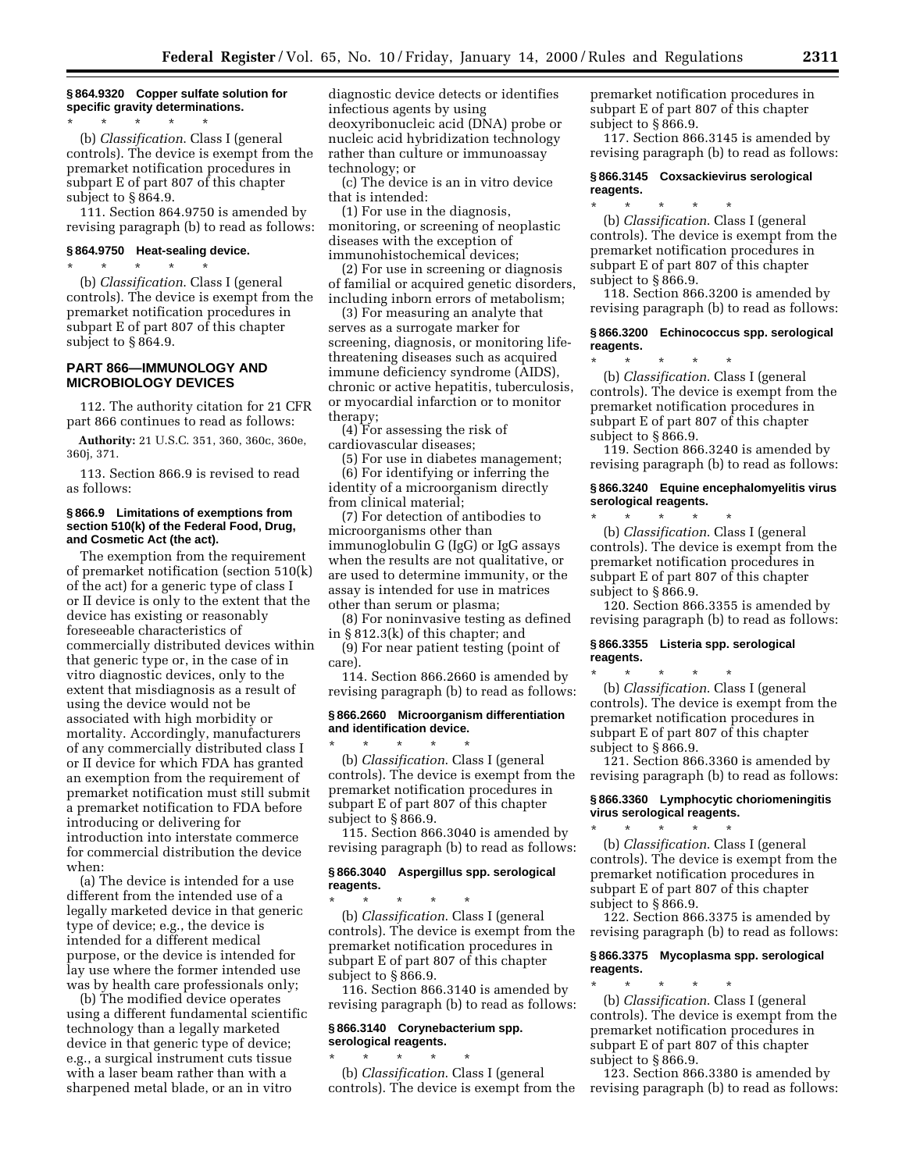# **§ 864.9320 Copper sulfate solution for specific gravity determinations.**

\* \* \* \* \* (b) *Classification*. Class I (general controls). The device is exempt from the premarket notification procedures in subpart E of part 807 of this chapter subject to § 864.9.

111. Section 864.9750 is amended by revising paragraph (b) to read as follows:

# **§ 864.9750 Heat-sealing device.**

\* \* \* \* \* (b) *Classification*. Class I (general controls). The device is exempt from the premarket notification procedures in subpart E of part 807 of this chapter subject to § 864.9.

# **PART 866—IMMUNOLOGY AND MICROBIOLOGY DEVICES**

112. The authority citation for 21 CFR part 866 continues to read as follows:

**Authority:** 21 U.S.C. 351, 360, 360c, 360e, 360j, 371.

113. Section 866.9 is revised to read as follows:

#### **§ 866.9 Limitations of exemptions from section 510(k) of the Federal Food, Drug, and Cosmetic Act (the act).**

The exemption from the requirement of premarket notification (section 510(k) of the act) for a generic type of class I or II device is only to the extent that the device has existing or reasonably foreseeable characteristics of commercially distributed devices within that generic type or, in the case of in vitro diagnostic devices, only to the extent that misdiagnosis as a result of using the device would not be associated with high morbidity or mortality. Accordingly, manufacturers of any commercially distributed class I or II device for which FDA has granted an exemption from the requirement of premarket notification must still submit a premarket notification to FDA before introducing or delivering for introduction into interstate commerce for commercial distribution the device when:

(a) The device is intended for a use different from the intended use of a legally marketed device in that generic type of device; e.g., the device is intended for a different medical purpose, or the device is intended for lay use where the former intended use was by health care professionals only;

(b) The modified device operates using a different fundamental scientific technology than a legally marketed device in that generic type of device; e.g., a surgical instrument cuts tissue with a laser beam rather than with a sharpened metal blade, or an in vitro

diagnostic device detects or identifies infectious agents by using deoxyribonucleic acid (DNA) probe or nucleic acid hybridization technology rather than culture or immunoassay technology; or

(c) The device is an in vitro device that is intended:

(1) For use in the diagnosis, monitoring, or screening of neoplastic diseases with the exception of immunohistochemical devices;

(2) For use in screening or diagnosis of familial or acquired genetic disorders, including inborn errors of metabolism;

(3) For measuring an analyte that serves as a surrogate marker for screening, diagnosis, or monitoring lifethreatening diseases such as acquired immune deficiency syndrome (AIDS), chronic or active hepatitis, tuberculosis, or myocardial infarction or to monitor therapy;

(4) For assessing the risk of cardiovascular diseases;

(5) For use in diabetes management; (6) For identifying or inferring the identity of a microorganism directly from clinical material;

(7) For detection of antibodies to microorganisms other than immunoglobulin G (IgG) or IgG assays when the results are not qualitative, or are used to determine immunity, or the assay is intended for use in matrices other than serum or plasma;

(8) For noninvasive testing as defined in § 812.3(k) of this chapter; and

(9) For near patient testing (point of care).

114. Section 866.2660 is amended by revising paragraph (b) to read as follows:

# **§ 866.2660 Microorganism differentiation and identification device.**

\* \* \* \* \* (b) *Classification*. Class I (general controls). The device is exempt from the premarket notification procedures in subpart E of part 807 of this chapter subject to § 866.9.

115. Section 866.3040 is amended by revising paragraph (b) to read as follows:

# **§ 866.3040 Aspergillus spp. serological reagents.**

\* \* \* \* \* (b) *Classification*. Class I (general controls). The device is exempt from the premarket notification procedures in subpart E of part 807 of this chapter subject to § 866.9.

116. Section 866.3140 is amended by revising paragraph (b) to read as follows:

### **§ 866.3140 Corynebacterium spp. serological reagents.**

\* \* \* \* \* (b) *Classification*. Class I (general controls). The device is exempt from the premarket notification procedures in subpart E of part 807 of this chapter subject to § 866.9.

117. Section 866.3145 is amended by revising paragraph (b) to read as follows:

### **§ 866.3145 Coxsackievirus serological reagents.**

\* \* \* \* \* (b) *Classification*. Class I (general controls). The device is exempt from the premarket notification procedures in subpart E of part 807 of this chapter subject to § 866.9.

118. Section 866.3200 is amended by revising paragraph (b) to read as follows:

# **§ 866.3200 Echinococcus spp. serological reagents.**

\* \* \* \* \* (b) *Classification*. Class I (general controls). The device is exempt from the premarket notification procedures in subpart E of part 807 of this chapter subject to § 866.9.

119. Section 866.3240 is amended by revising paragraph (b) to read as follows:

# **§ 866.3240 Equine encephalomyelitis virus serological reagents.**

\* \* \* \* \* (b) *Classification*. Class I (general controls). The device is exempt from the premarket notification procedures in subpart E of part 807 of this chapter subject to § 866.9.

120. Section 866.3355 is amended by revising paragraph (b) to read as follows:

# **§ 866.3355 Listeria spp. serological reagents.**

\* \* \* \* \* (b) *Classification*. Class I (general controls). The device is exempt from the premarket notification procedures in subpart E of part 807 of this chapter subject to § 866.9.

121. Section 866.3360 is amended by revising paragraph (b) to read as follows:

# **§ 866.3360 Lymphocytic choriomeningitis virus serological reagents.**

\* \* \* \* \* (b) *Classification*. Class I (general controls). The device is exempt from the premarket notification procedures in subpart E of part 807 of this chapter subject to § 866.9.

122. Section 866.3375 is amended by revising paragraph (b) to read as follows:

#### **§ 866.3375 Mycoplasma spp. serological reagents.**

\* \* \* \* \* (b) *Classification*. Class I (general controls). The device is exempt from the premarket notification procedures in subpart E of part 807 of this chapter subject to § 866.9.

123. Section 866.3380 is amended by revising paragraph (b) to read as follows: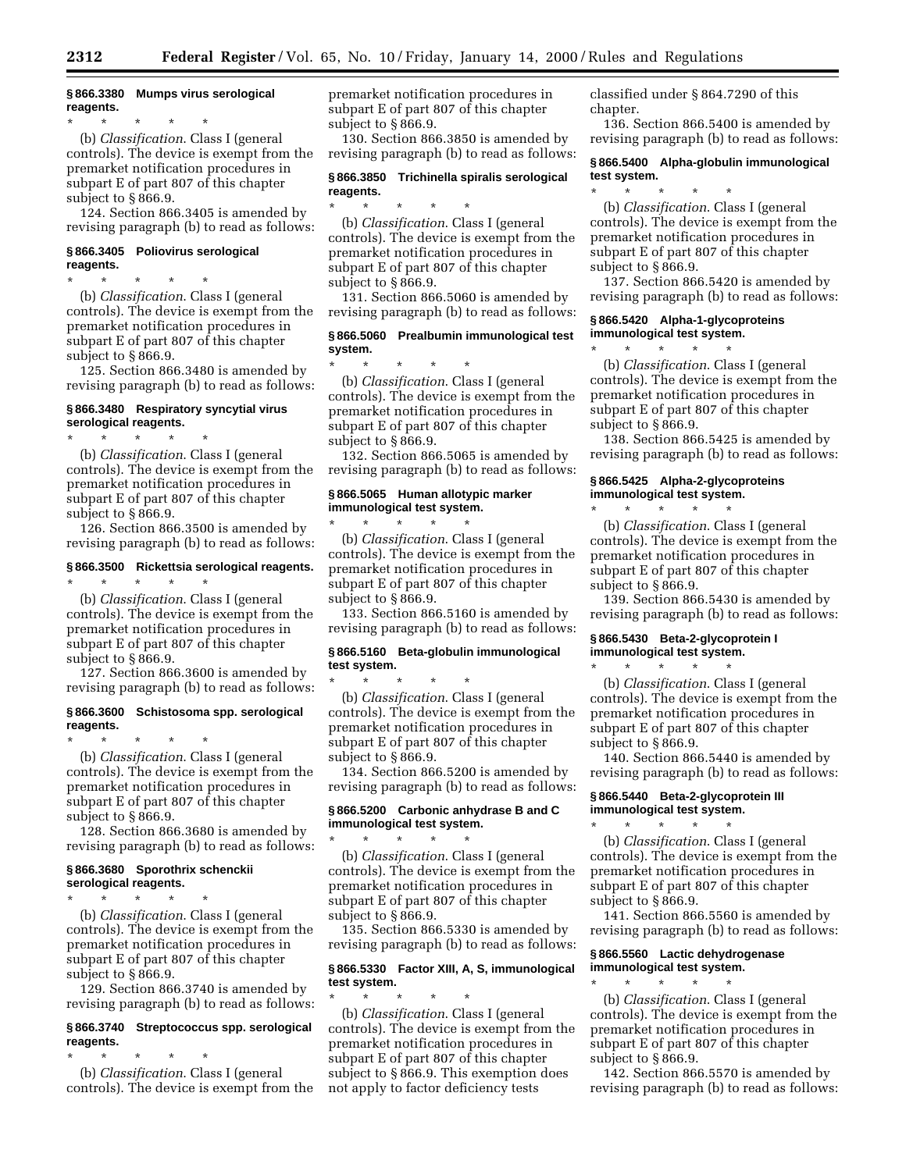# **§ 866.3380 Mumps virus serological reagents.**

\* \* \* \* \* (b) *Classification*. Class I (general controls). The device is exempt from the premarket notification procedures in subpart E of part 807 of this chapter subject to § 866.9.

124. Section 866.3405 is amended by revising paragraph (b) to read as follows:

#### **§ 866.3405 Poliovirus serological reagents.**

\* \* \* \* \* (b) *Classification*. Class I (general controls). The device is exempt from the premarket notification procedures in subpart E of part 807 of this chapter subject to § 866.9.

125. Section 866.3480 is amended by revising paragraph (b) to read as follows:

#### **§ 866.3480 Respiratory syncytial virus serological reagents.**

\* \* \* \* \* (b) *Classification*. Class I (general controls). The device is exempt from the premarket notification procedures in subpart E of part 807 of this chapter subject to § 866.9.

126. Section 866.3500 is amended by revising paragraph (b) to read as follows:

# **§ 866.3500 Rickettsia serological reagents.** \* \* \* \* \*

(b) *Classification*. Class I (general controls). The device is exempt from the premarket notification procedures in subpart E of part 807 of this chapter subject to § 866.9.

127. Section 866.3600 is amended by revising paragraph (b) to read as follows:

# **§ 866.3600 Schistosoma spp. serological reagents.**

\* \* \* \* \* (b) *Classification*. Class I (general controls). The device is exempt from the premarket notification procedures in subpart E of part 807 of this chapter subject to § 866.9.

128. Section 866.3680 is amended by revising paragraph (b) to read as follows:

# **§ 866.3680 Sporothrix schenckii serological reagents.**

\* \* \* \* \*

(b) *Classification*. Class I (general controls). The device is exempt from the premarket notification procedures in subpart E of part 807 of this chapter subject to § 866.9.

129. Section 866.3740 is amended by revising paragraph (b) to read as follows:

#### **§ 866.3740 Streptococcus spp. serological reagents.**

\* \* \* \* \* (b) *Classification*. Class I (general controls). The device is exempt from the premarket notification procedures in subpart E of part 807 of this chapter subject to § 866.9.

130. Section 866.3850 is amended by revising paragraph (b) to read as follows:

#### **§ 866.3850 Trichinella spiralis serological reagents.**

\* \* \* \* \* (b) *Classification*. Class I (general controls). The device is exempt from the premarket notification procedures in subpart E of part 807 of this chapter subject to § 866.9.

131. Section 866.5060 is amended by revising paragraph (b) to read as follows:

# **§ 866.5060 Prealbumin immunological test system.**

\* \* \* \* \* (b) *Classification*. Class I (general controls). The device is exempt from the premarket notification procedures in subpart E of part 807 of this chapter subject to § 866.9.

132. Section 866.5065 is amended by revising paragraph (b) to read as follows:

# **§ 866.5065 Human allotypic marker immunological test system.**

\* \* \* \* \* (b) *Classification*. Class I (general controls). The device is exempt from the premarket notification procedures in subpart E of part 807 of this chapter subject to § 866.9.

133. Section 866.5160 is amended by revising paragraph (b) to read as follows:

# **§ 866.5160 Beta-globulin immunological test system.**

\* \* \* \* \* (b) *Classification*. Class I (general controls). The device is exempt from the premarket notification procedures in subpart E of part 807 of this chapter subject to § 866.9.

134. Section 866.5200 is amended by revising paragraph (b) to read as follows:

# **§ 866.5200 Carbonic anhydrase B and C immunological test system.**

\* \* \* \* \* (b) *Classification*. Class I (general controls). The device is exempt from the premarket notification procedures in subpart E of part 807 of this chapter subject to § 866.9.

135. Section 866.5330 is amended by revising paragraph (b) to read as follows:

# **§ 866.5330 Factor XIII, A, S, immunological test system.**

\* \* \* \* \* (b) *Classification*. Class I (general controls). The device is exempt from the premarket notification procedures in subpart E of part 807 of this chapter subject to § 866.9. This exemption does not apply to factor deficiency tests

classified under § 864.7290 of this chapter.

136. Section 866.5400 is amended by revising paragraph (b) to read as follows:

# **§ 866.5400 Alpha-globulin immunological test system.**

\* \* \* \* \* (b) *Classification*. Class I (general controls). The device is exempt from the premarket notification procedures in subpart E of part 807 of this chapter subject to § 866.9.

137. Section 866.5420 is amended by revising paragraph (b) to read as follows:

# **§ 866.5420 Alpha-1-glycoproteins immunological test system.**

\* \* \* \* \* (b) *Classification*. Class I (general controls). The device is exempt from the premarket notification procedures in subpart E of part 807 of this chapter subject to § 866.9.

138. Section 866.5425 is amended by revising paragraph (b) to read as follows:

# **§ 866.5425 Alpha-2-glycoproteins immunological test system.**

\* \* \* \* \* (b) *Classification*. Class I (general controls). The device is exempt from the premarket notification procedures in subpart E of part 807 of this chapter subject to § 866.9.

139. Section 866.5430 is amended by revising paragraph (b) to read as follows:

# **§ 866.5430 Beta-2-glycoprotein I immunological test system.**

\* \* \* \* \*

(b) *Classification*. Class I (general controls). The device is exempt from the premarket notification procedures in subpart E of part 807 of this chapter subject to § 866.9.

140. Section 866.5440 is amended by revising paragraph (b) to read as follows:

# **§ 866.5440 Beta-2-glycoprotein III immunological test system.**

\* \* \* \* \* (b) *Classification*. Class I (general controls). The device is exempt from the premarket notification procedures in subpart E of part 807 of this chapter subject to § 866.9.

141. Section 866.5560 is amended by revising paragraph (b) to read as follows:

# **§ 866.5560 Lactic dehydrogenase immunological test system.**

\* \* \* \* \* (b) *Classification*. Class I (general controls). The device is exempt from the premarket notification procedures in subpart E of part 807 of this chapter subject to § 866.9.

142. Section 866.5570 is amended by revising paragraph (b) to read as follows: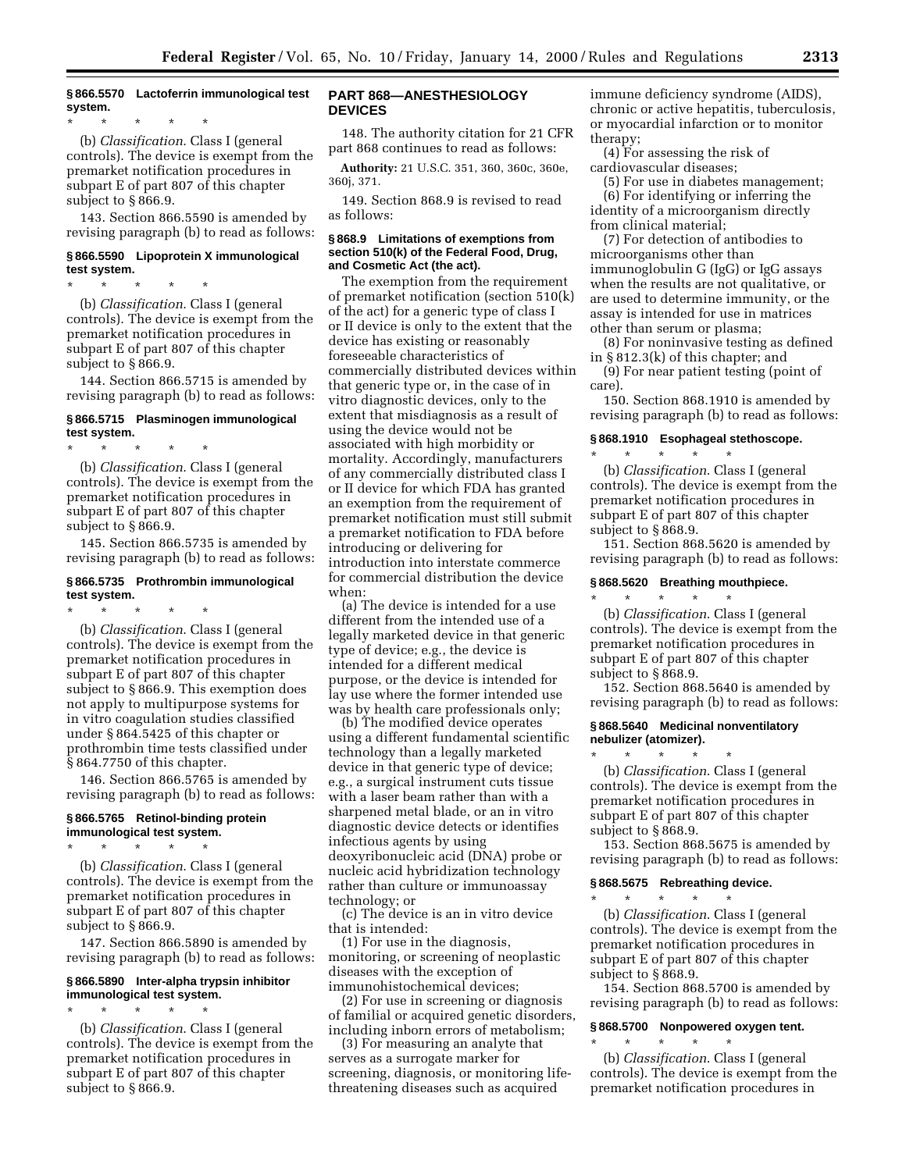# **§ 866.5570 Lactoferrin immunological test system.**

\* \* \* \* \* (b) *Classification*. Class I (general controls). The device is exempt from the premarket notification procedures in subpart E of part 807 of this chapter subject to § 866.9.

143. Section 866.5590 is amended by revising paragraph (b) to read as follows:

#### **§ 866.5590 Lipoprotein X immunological test system.**

\* \* \* \* \* (b) *Classification*. Class I (general controls). The device is exempt from the premarket notification procedures in subpart E of part 807 of this chapter subject to § 866.9.

144. Section 866.5715 is amended by revising paragraph (b) to read as follows:

#### **§ 866.5715 Plasminogen immunological test system.**

\* \* \* \* \* (b) *Classification*. Class I (general controls). The device is exempt from the premarket notification procedures in subpart E of part 807 of this chapter

subject to § 866.9. 145. Section 866.5735 is amended by revising paragraph (b) to read as follows:

# **§ 866.5735 Prothrombin immunological test system.**

\* \* \* \* \* (b) *Classification*. Class I (general controls). The device is exempt from the premarket notification procedures in subpart E of part 807 of this chapter subject to § 866.9. This exemption does not apply to multipurpose systems for in vitro coagulation studies classified under § 864.5425 of this chapter or prothrombin time tests classified under § 864.7750 of this chapter.

146. Section 866.5765 is amended by revising paragraph (b) to read as follows:

# **§ 866.5765 Retinol-binding protein immunological test system.**

 $\star$   $\star$   $\star$   $\star$ 

(b) *Classification*. Class I (general controls). The device is exempt from the premarket notification procedures in subpart E of part 807 of this chapter subject to § 866.9.

147. Section 866.5890 is amended by revising paragraph (b) to read as follows:

#### **§ 866.5890 Inter-alpha trypsin inhibitor immunological test system.**

\* \* \* \* \* (b) *Classification*. Class I (general controls). The device is exempt from the premarket notification procedures in subpart E of part 807 of this chapter subject to § 866.9.

# **PART 868—ANESTHESIOLOGY DEVICES**

148. The authority citation for 21 CFR part 868 continues to read as follows:

**Authority:** 21 U.S.C. 351, 360, 360c, 360e, 360j, 371.

149. Section 868.9 is revised to read as follows:

# **§ 868.9 Limitations of exemptions from section 510(k) of the Federal Food, Drug, and Cosmetic Act (the act).**

The exemption from the requirement of premarket notification (section 510(k) of the act) for a generic type of class I or II device is only to the extent that the device has existing or reasonably foreseeable characteristics of commercially distributed devices within that generic type or, in the case of in vitro diagnostic devices, only to the extent that misdiagnosis as a result of using the device would not be associated with high morbidity or mortality. Accordingly, manufacturers of any commercially distributed class I or II device for which FDA has granted an exemption from the requirement of premarket notification must still submit a premarket notification to FDA before introducing or delivering for introduction into interstate commerce for commercial distribution the device when:

(a) The device is intended for a use different from the intended use of a legally marketed device in that generic type of device; e.g., the device is intended for a different medical purpose, or the device is intended for lay use where the former intended use was by health care professionals only;

(b) The modified device operates using a different fundamental scientific technology than a legally marketed device in that generic type of device; e.g., a surgical instrument cuts tissue with a laser beam rather than with a sharpened metal blade, or an in vitro diagnostic device detects or identifies infectious agents by using deoxyribonucleic acid (DNA) probe or nucleic acid hybridization technology rather than culture or immunoassay technology; or

(c) The device is an in vitro device that is intended:

(1) For use in the diagnosis, monitoring, or screening of neoplastic diseases with the exception of immunohistochemical devices;

(2) For use in screening or diagnosis of familial or acquired genetic disorders, including inborn errors of metabolism;

(3) For measuring an analyte that serves as a surrogate marker for screening, diagnosis, or monitoring lifethreatening diseases such as acquired

immune deficiency syndrome (AIDS), chronic or active hepatitis, tuberculosis, or myocardial infarction or to monitor therapy;

(4) For assessing the risk of cardiovascular diseases;

(5) For use in diabetes management; (6) For identifying or inferring the identity of a microorganism directly from clinical material;

(7) For detection of antibodies to microorganisms other than immunoglobulin G (IgG) or IgG assays when the results are not qualitative, or are used to determine immunity, or the assay is intended for use in matrices other than serum or plasma;

(8) For noninvasive testing as defined in § 812.3(k) of this chapter; and

(9) For near patient testing (point of care).

150. Section 868.1910 is amended by revising paragraph (b) to read as follows:

# **§ 868.1910 Esophageal stethoscope.**

\* \* \* \* \* (b) *Classification*. Class I (general controls). The device is exempt from the premarket notification procedures in subpart E of part 807 of this chapter subject to § 868.9.

151. Section 868.5620 is amended by revising paragraph (b) to read as follows:

# **§ 868.5620 Breathing mouthpiece.**

\* \* \* \* \*

(b) *Classification*. Class I (general controls). The device is exempt from the premarket notification procedures in subpart E of part 807 of this chapter subject to § 868.9.

152. Section 868.5640 is amended by revising paragraph (b) to read as follows:

# **§ 868.5640 Medicinal nonventilatory nebulizer (atomizer).**

\* \* \* \* \* (b) *Classification*. Class I (general controls). The device is exempt from the premarket notification procedures in subpart E of part 807 of this chapter subject to § 868.9.

153. Section 868.5675 is amended by revising paragraph (b) to read as follows:

# **§ 868.5675 Rebreathing device.**

\* \* \* \* \* (b) *Classification*. Class I (general controls). The device is exempt from the premarket notification procedures in subpart E of part 807 of this chapter subject to § 868.9.

154. Section 868.5700 is amended by revising paragraph (b) to read as follows:

# **§ 868.5700 Nonpowered oxygen tent.**

\* \* \* \* \*

(b) *Classification*. Class I (general controls). The device is exempt from the premarket notification procedures in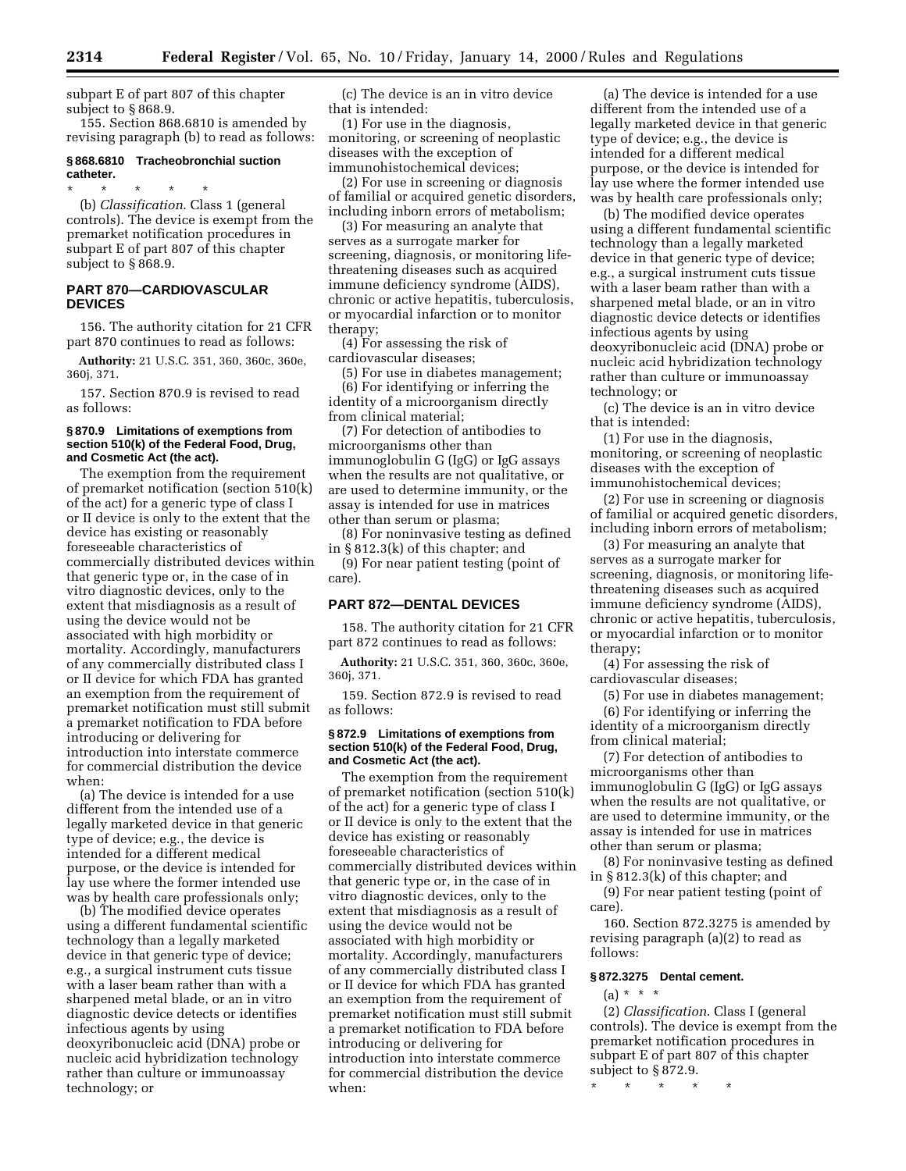subpart E of part 807 of this chapter subject to § 868.9.

155. Section 868.6810 is amended by revising paragraph (b) to read as follows:

# **§ 868.6810 Tracheobronchial suction catheter.**

\* \* \* \* \*

(b) *Classification*. Class 1 (general controls). The device is exempt from the premarket notification procedures in subpart E of part 807 of this chapter subject to § 868.9.

# **PART 870—CARDIOVASCULAR DEVICES**

156. The authority citation for 21 CFR part 870 continues to read as follows:

**Authority:** 21 U.S.C. 351, 360, 360c, 360e, 360j, 371.

157. Section 870.9 is revised to read as follows:

#### **§ 870.9 Limitations of exemptions from section 510(k) of the Federal Food, Drug, and Cosmetic Act (the act).**

The exemption from the requirement of premarket notification (section 510(k) of the act) for a generic type of class I or II device is only to the extent that the device has existing or reasonably foreseeable characteristics of commercially distributed devices within that generic type or, in the case of in vitro diagnostic devices, only to the extent that misdiagnosis as a result of using the device would not be associated with high morbidity or mortality. Accordingly, manufacturers of any commercially distributed class I or II device for which FDA has granted an exemption from the requirement of premarket notification must still submit a premarket notification to FDA before introducing or delivering for introduction into interstate commerce for commercial distribution the device when:

(a) The device is intended for a use different from the intended use of a legally marketed device in that generic type of device; e.g., the device is intended for a different medical purpose, or the device is intended for lay use where the former intended use was by health care professionals only;

(b) The modified device operates using a different fundamental scientific technology than a legally marketed device in that generic type of device; e.g., a surgical instrument cuts tissue with a laser beam rather than with a sharpened metal blade, or an in vitro diagnostic device detects or identifies infectious agents by using deoxyribonucleic acid (DNA) probe or nucleic acid hybridization technology rather than culture or immunoassay technology; or

(c) The device is an in vitro device that is intended:

(1) For use in the diagnosis, monitoring, or screening of neoplastic diseases with the exception of immunohistochemical devices;

(2) For use in screening or diagnosis of familial or acquired genetic disorders, including inborn errors of metabolism;

(3) For measuring an analyte that serves as a surrogate marker for screening, diagnosis, or monitoring lifethreatening diseases such as acquired immune deficiency syndrome (AIDS), chronic or active hepatitis, tuberculosis, or myocardial infarction or to monitor therapy;

(4) For assessing the risk of cardiovascular diseases;

(5) For use in diabetes management; (6) For identifying or inferring the

identity of a microorganism directly from clinical material;

(7) For detection of antibodies to microorganisms other than immunoglobulin G (IgG) or IgG assays when the results are not qualitative, or are used to determine immunity, or the assay is intended for use in matrices other than serum or plasma;

(8) For noninvasive testing as defined in § 812.3(k) of this chapter; and

(9) For near patient testing (point of care).

#### **PART 872—DENTAL DEVICES**

158. The authority citation for 21 CFR part 872 continues to read as follows:

**Authority:** 21 U.S.C. 351, 360, 360c, 360e, 360j, 371.

159. Section 872.9 is revised to read as follows:

#### **§ 872.9 Limitations of exemptions from section 510(k) of the Federal Food, Drug, and Cosmetic Act (the act).**

The exemption from the requirement of premarket notification (section 510(k) of the act) for a generic type of class I or II device is only to the extent that the device has existing or reasonably foreseeable characteristics of commercially distributed devices within that generic type or, in the case of in vitro diagnostic devices, only to the extent that misdiagnosis as a result of using the device would not be associated with high morbidity or mortality. Accordingly, manufacturers of any commercially distributed class I or II device for which FDA has granted an exemption from the requirement of premarket notification must still submit a premarket notification to FDA before introducing or delivering for introduction into interstate commerce for commercial distribution the device when:

(a) The device is intended for a use different from the intended use of a legally marketed device in that generic type of device; e.g., the device is intended for a different medical purpose, or the device is intended for lay use where the former intended use was by health care professionals only;

(b) The modified device operates using a different fundamental scientific technology than a legally marketed device in that generic type of device; e.g., a surgical instrument cuts tissue with a laser beam rather than with a sharpened metal blade, or an in vitro diagnostic device detects or identifies infectious agents by using deoxyribonucleic acid (DNA) probe or nucleic acid hybridization technology rather than culture or immunoassay technology; or

(c) The device is an in vitro device that is intended:

(1) For use in the diagnosis, monitoring, or screening of neoplastic diseases with the exception of immunohistochemical devices;

(2) For use in screening or diagnosis of familial or acquired genetic disorders, including inborn errors of metabolism;

(3) For measuring an analyte that serves as a surrogate marker for screening, diagnosis, or monitoring lifethreatening diseases such as acquired immune deficiency syndrome (AIDS), chronic or active hepatitis, tuberculosis, or myocardial infarction or to monitor therapy;

(4) For assessing the risk of cardiovascular diseases;

(5) For use in diabetes management;

(6) For identifying or inferring the identity of a microorganism directly from clinical material;

(7) For detection of antibodies to microorganisms other than immunoglobulin G (IgG) or IgG assays when the results are not qualitative, or are used to determine immunity, or the assay is intended for use in matrices other than serum or plasma;

(8) For noninvasive testing as defined in § 812.3(k) of this chapter; and

(9) For near patient testing (point of care).

160. Section 872.3275 is amended by revising paragraph (a)(2) to read as follows:

#### **§ 872.3275 Dental cement.**

 $(a) * * * *$ 

(2) *Classification*. Class I (general controls). The device is exempt from the premarket notification procedures in subpart E of part 807 of this chapter subject to § 872.9.

\* \* \* \* \*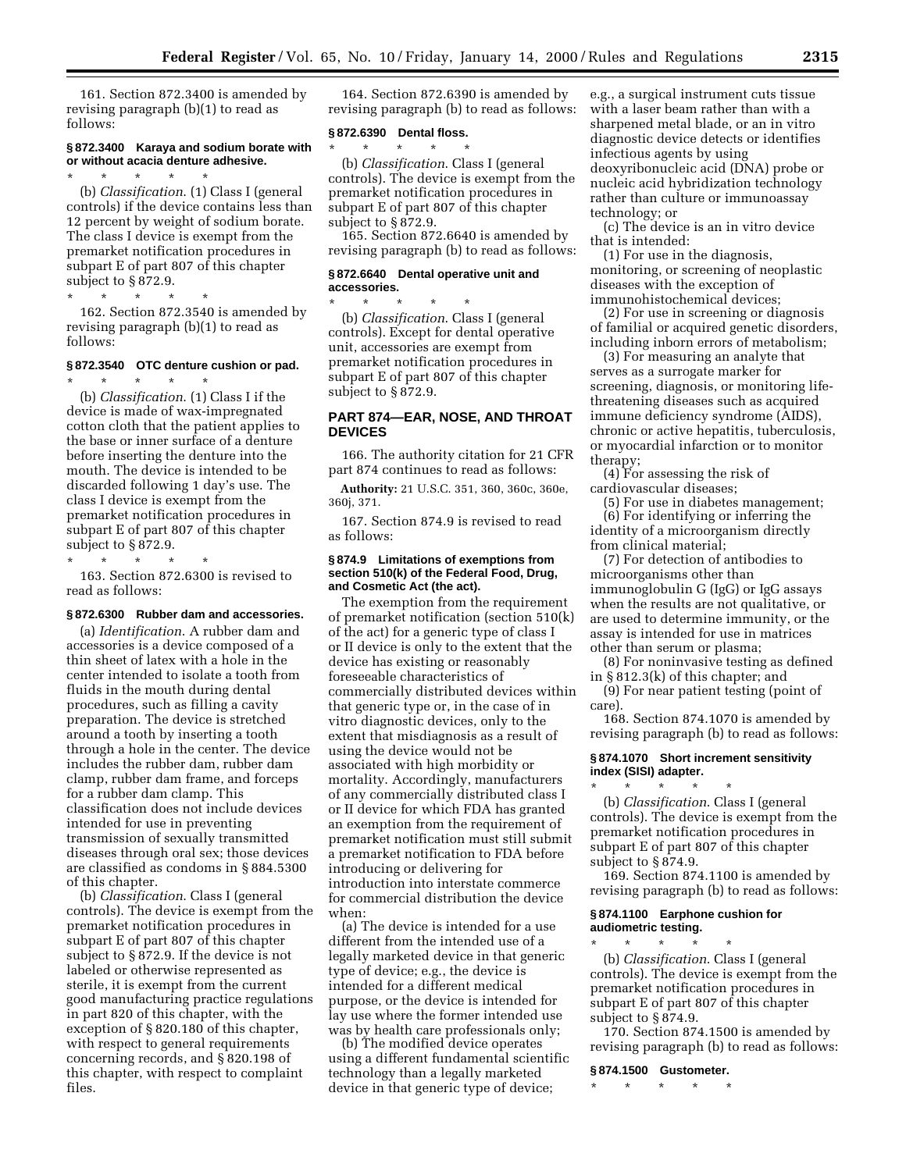161. Section 872.3400 is amended by revising paragraph (b)(1) to read as follows:

# **§ 872.3400 Karaya and sodium borate with or without acacia denture adhesive.**

\* \* \* \* \*

(b) *Classification*. (1) Class I (general controls) if the device contains less than 12 percent by weight of sodium borate. The class I device is exempt from the premarket notification procedures in subpart E of part 807 of this chapter subject to § 872.9.

\* \* \* \* \* 162. Section 872.3540 is amended by revising paragraph (b)(1) to read as follows:

# **§ 872.3540 OTC denture cushion or pad.**

\* \* \* \* \*

(b) *Classification*. (1) Class I if the device is made of wax-impregnated cotton cloth that the patient applies to the base or inner surface of a denture before inserting the denture into the mouth. The device is intended to be discarded following 1 day's use. The class I device is exempt from the premarket notification procedures in subpart E of part 807 of this chapter subject to § 872.9.

\* \* \* \* \*

163. Section 872.6300 is revised to read as follows:

#### **§ 872.6300 Rubber dam and accessories.**

(a) *Identification*. A rubber dam and accessories is a device composed of a thin sheet of latex with a hole in the center intended to isolate a tooth from fluids in the mouth during dental procedures, such as filling a cavity preparation. The device is stretched around a tooth by inserting a tooth through a hole in the center. The device includes the rubber dam, rubber dam clamp, rubber dam frame, and forceps for a rubber dam clamp. This classification does not include devices intended for use in preventing transmission of sexually transmitted diseases through oral sex; those devices are classified as condoms in § 884.5300 of this chapter.

(b) *Classification*. Class I (general controls). The device is exempt from the premarket notification procedures in subpart E of part 807 of this chapter subject to § 872.9. If the device is not labeled or otherwise represented as sterile, it is exempt from the current good manufacturing practice regulations in part 820 of this chapter, with the exception of § 820.180 of this chapter, with respect to general requirements concerning records, and § 820.198 of this chapter, with respect to complaint files.

164. Section 872.6390 is amended by revising paragraph (b) to read as follows:

#### **§ 872.6390 Dental floss.**

\* \* \* \* \* (b) *Classification*. Class I (general controls). The device is exempt from the premarket notification procedures in subpart E of part 807 of this chapter subject to § 872.9.

165. Section 872.6640 is amended by revising paragraph (b) to read as follows:

#### **§ 872.6640 Dental operative unit and accessories.**

\* \* \* \* \* (b) *Classification*. Class I (general controls). Except for dental operative unit, accessories are exempt from premarket notification procedures in subpart E of part 807 of this chapter subject to § 872.9.

# **PART 874—EAR, NOSE, AND THROAT DEVICES**

166. The authority citation for 21 CFR part 874 continues to read as follows:

**Authority:** 21 U.S.C. 351, 360, 360c, 360e, 360j, 371.

167. Section 874.9 is revised to read as follows:

#### **§ 874.9 Limitations of exemptions from section 510(k) of the Federal Food, Drug, and Cosmetic Act (the act).**

The exemption from the requirement of premarket notification (section 510(k) of the act) for a generic type of class I or II device is only to the extent that the device has existing or reasonably foreseeable characteristics of commercially distributed devices within that generic type or, in the case of in vitro diagnostic devices, only to the extent that misdiagnosis as a result of using the device would not be associated with high morbidity or mortality. Accordingly, manufacturers of any commercially distributed class I or II device for which FDA has granted an exemption from the requirement of premarket notification must still submit a premarket notification to FDA before introducing or delivering for introduction into interstate commerce for commercial distribution the device when:

(a) The device is intended for a use different from the intended use of a legally marketed device in that generic type of device; e.g., the device is intended for a different medical purpose, or the device is intended for lay use where the former intended use was by health care professionals only;

(b) The modified device operates using a different fundamental scientific technology than a legally marketed device in that generic type of device;

e.g., a surgical instrument cuts tissue with a laser beam rather than with a sharpened metal blade, or an in vitro diagnostic device detects or identifies infectious agents by using deoxyribonucleic acid (DNA) probe or nucleic acid hybridization technology rather than culture or immunoassay technology; or

(c) The device is an in vitro device that is intended:

(1) For use in the diagnosis, monitoring, or screening of neoplastic diseases with the exception of immunohistochemical devices;

(2) For use in screening or diagnosis of familial or acquired genetic disorders, including inborn errors of metabolism;

(3) For measuring an analyte that serves as a surrogate marker for screening, diagnosis, or monitoring lifethreatening diseases such as acquired immune deficiency syndrome (AIDS), chronic or active hepatitis, tuberculosis, or myocardial infarction or to monitor therapy;

(4) For assessing the risk of cardiovascular diseases;

(5) For use in diabetes management; (6) For identifying or inferring the

identity of a microorganism directly from clinical material;

(7) For detection of antibodies to microorganisms other than immunoglobulin G (IgG) or IgG assays when the results are not qualitative, or are used to determine immunity, or the assay is intended for use in matrices other than serum or plasma;

(8) For noninvasive testing as defined in § 812.3(k) of this chapter; and

(9) For near patient testing (point of care).

168. Section 874.1070 is amended by revising paragraph (b) to read as follows:

# **§ 874.1070 Short increment sensitivity index (SISI) adapter.**

\* \* \* \* \*

(b) *Classification*. Class I (general controls). The device is exempt from the premarket notification procedures in subpart E of part 807 of this chapter subject to § 874.9.

169. Section 874.1100 is amended by revising paragraph (b) to read as follows:

#### **§ 874.1100 Earphone cushion for audiometric testing.** \* \* \* \* \*

(b) *Classification*. Class I (general controls). The device is exempt from the premarket notification procedures in subpart E of part 807 of this chapter subject to § 874.9.

170. Section 874.1500 is amended by revising paragraph (b) to read as follows:

#### **§ 874.1500 Gustometer.**

\* \* \* \* \*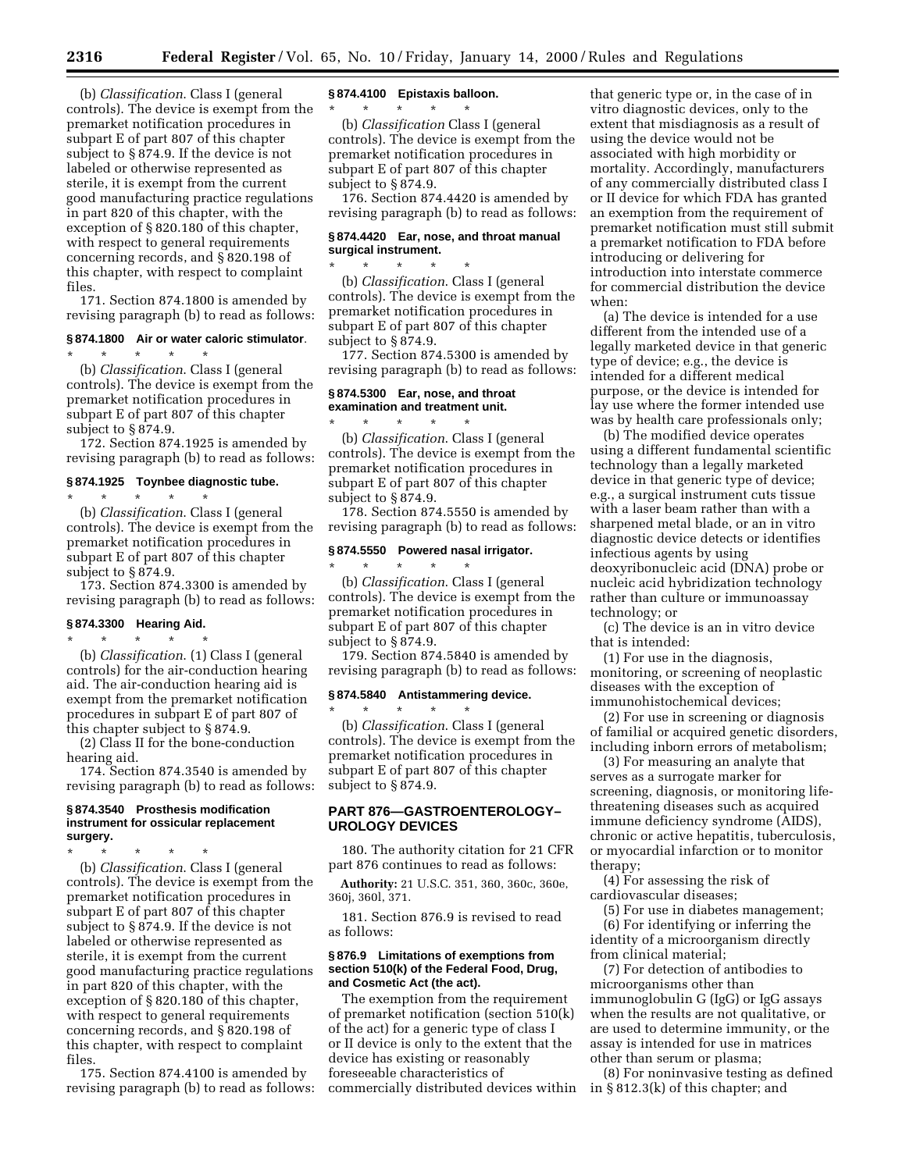(b) *Classification*. Class I (general controls). The device is exempt from the premarket notification procedures in subpart E of part 807 of this chapter subject to § 874.9. If the device is not labeled or otherwise represented as sterile, it is exempt from the current good manufacturing practice regulations in part 820 of this chapter, with the exception of § 820.180 of this chapter, with respect to general requirements concerning records, and § 820.198 of this chapter, with respect to complaint files.

171. Section 874.1800 is amended by revising paragraph (b) to read as follows:

#### **§ 874.1800 Air or water caloric stimulator**. \* \* \* \* \*

(b) *Classification*. Class I (general controls). The device is exempt from the premarket notification procedures in subpart E of part 807 of this chapter subject to § 874.9.

172. Section 874.1925 is amended by revising paragraph (b) to read as follows:

# **§ 874.1925 Toynbee diagnostic tube.**

\* \* \* \* \* (b) *Classification*. Class I (general controls). The device is exempt from the premarket notification procedures in subpart E of part 807 of this chapter subject to § 874.9.

173. Section 874.3300 is amended by revising paragraph (b) to read as follows:

#### **§ 874.3300 Hearing Aid.**

\* \* \* \* \* (b) *Classification*. (1) Class I (general controls) for the air-conduction hearing aid. The air-conduction hearing aid is exempt from the premarket notification procedures in subpart E of part 807 of this chapter subject to § 874.9.

(2) Class II for the bone-conduction hearing aid.

174. Section 874.3540 is amended by revising paragraph (b) to read as follows:

#### **§ 874.3540 Prosthesis modification instrument for ossicular replacement surgery.**

\* \* \* \* \*

(b) *Classification*. Class I (general controls). The device is exempt from the premarket notification procedures in subpart E of part 807 of this chapter subject to § 874.9. If the device is not labeled or otherwise represented as sterile, it is exempt from the current good manufacturing practice regulations in part 820 of this chapter, with the exception of § 820.180 of this chapter, with respect to general requirements concerning records, and § 820.198 of this chapter, with respect to complaint files.

175. Section 874.4100 is amended by revising paragraph (b) to read as follows:

# **§ 874.4100 Epistaxis balloon.**

 $\star$   $\star$   $\star$ (b) *Classification* Class I (general controls). The device is exempt from the premarket notification procedures in subpart E of part 807 of this chapter subject to § 874.9.

176. Section 874.4420 is amended by revising paragraph (b) to read as follows:

# **§ 874.4420 Ear, nose, and throat manual surgical instrument.**

\* \* \* \* \* (b) *Classification*. Class I (general controls). The device is exempt from the premarket notification procedures in subpart E of part 807 of this chapter subject to § 874.9.

177. Section 874.5300 is amended by revising paragraph (b) to read as follows:

#### **§ 874.5300 Ear, nose, and throat examination and treatment unit.**

\* \* \* \* \* (b) *Classification*. Class I (general controls). The device is exempt from the premarket notification procedures in subpart E of part 807 of this chapter subject to § 874.9.

178. Section 874.5550 is amended by revising paragraph (b) to read as follows:

# **§ 874.5550 Powered nasal irrigator.**

\* \* \* \* \* (b) *Classification*. Class I (general controls). The device is exempt from the premarket notification procedures in subpart E of part 807 of this chapter subject to § 874.9.

179. Section 874.5840 is amended by revising paragraph (b) to read as follows:

# **§ 874.5840 Antistammering device.**

\* \* \* \* \* (b) *Classification*. Class I (general controls). The device is exempt from the premarket notification procedures in subpart E of part 807 of this chapter subject to § 874.9.

# **PART 876—GASTROENTEROLOGY– UROLOGY DEVICES**

180. The authority citation for 21 CFR part 876 continues to read as follows:

**Authority:** 21 U.S.C. 351, 360, 360c, 360e, 360j, 360l, 371.

181. Section 876.9 is revised to read as follows:

#### **§ 876.9 Limitations of exemptions from section 510(k) of the Federal Food, Drug, and Cosmetic Act (the act).**

The exemption from the requirement of premarket notification (section 510(k) of the act) for a generic type of class I or II device is only to the extent that the device has existing or reasonably foreseeable characteristics of commercially distributed devices within

that generic type or, in the case of in vitro diagnostic devices, only to the extent that misdiagnosis as a result of using the device would not be associated with high morbidity or mortality. Accordingly, manufacturers of any commercially distributed class I or II device for which FDA has granted an exemption from the requirement of premarket notification must still submit a premarket notification to FDA before introducing or delivering for introduction into interstate commerce for commercial distribution the device when:

(a) The device is intended for a use different from the intended use of a legally marketed device in that generic type of device; e.g., the device is intended for a different medical purpose, or the device is intended for lay use where the former intended use was by health care professionals only;

(b) The modified device operates using a different fundamental scientific technology than a legally marketed device in that generic type of device; e.g., a surgical instrument cuts tissue with a laser beam rather than with a sharpened metal blade, or an in vitro diagnostic device detects or identifies infectious agents by using deoxyribonucleic acid (DNA) probe or nucleic acid hybridization technology rather than culture or immunoassay technology; or

(c) The device is an in vitro device that is intended:

(1) For use in the diagnosis, monitoring, or screening of neoplastic diseases with the exception of immunohistochemical devices;

(2) For use in screening or diagnosis of familial or acquired genetic disorders, including inborn errors of metabolism;

(3) For measuring an analyte that serves as a surrogate marker for screening, diagnosis, or monitoring lifethreatening diseases such as acquired immune deficiency syndrome (AIDS), chronic or active hepatitis, tuberculosis, or myocardial infarction or to monitor therapy;

(4) For assessing the risk of cardiovascular diseases;

(5) For use in diabetes management; (6) For identifying or inferring the identity of a microorganism directly from clinical material;

(7) For detection of antibodies to microorganisms other than immunoglobulin G (IgG) or IgG assays when the results are not qualitative, or are used to determine immunity, or the assay is intended for use in matrices other than serum or plasma;

(8) For noninvasive testing as defined in § 812.3(k) of this chapter; and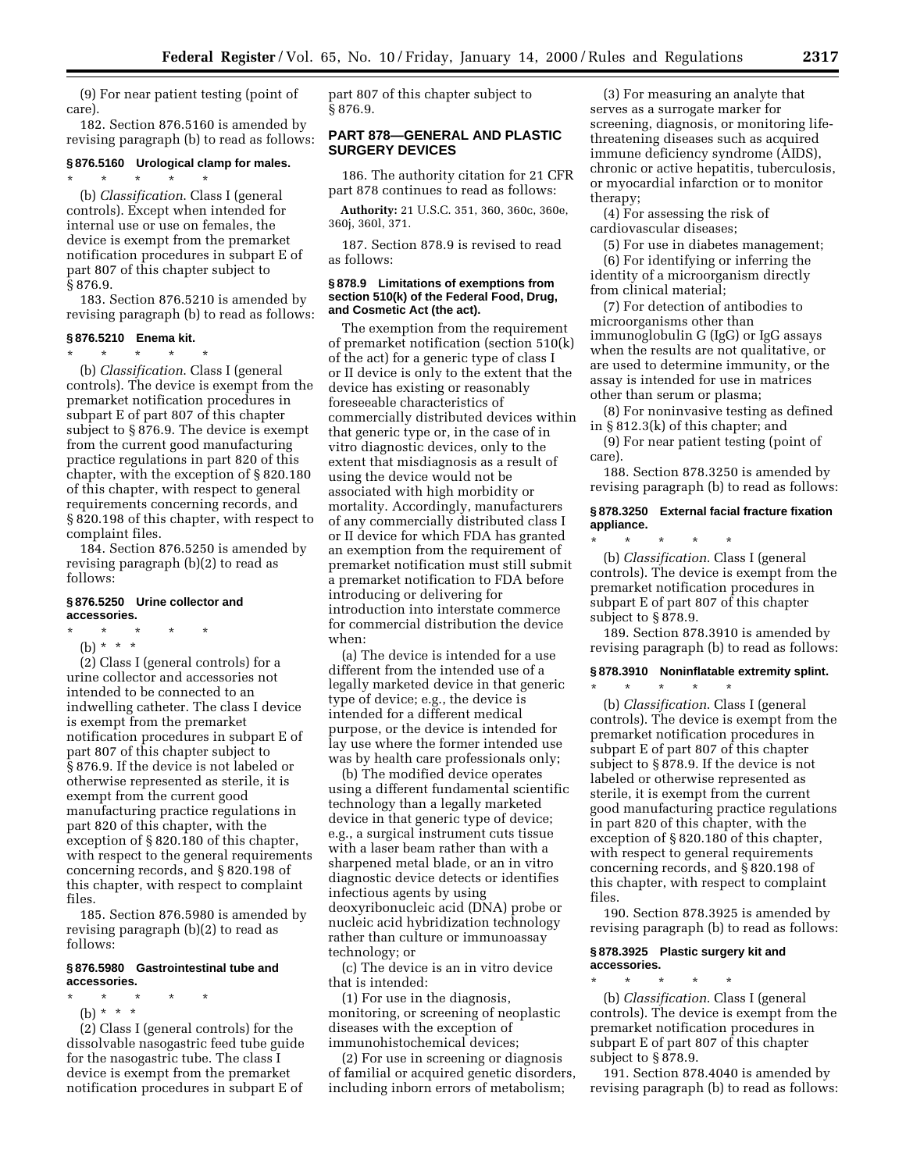(9) For near patient testing (point of care).

182. Section 876.5160 is amended by revising paragraph (b) to read as follows:

#### **§ 876.5160 Urological clamp for males.**

\* \* \* \* \* (b) *Classification*. Class I (general controls). Except when intended for internal use or use on females, the device is exempt from the premarket notification procedures in subpart E of part 807 of this chapter subject to § 876.9.

183. Section 876.5210 is amended by revising paragraph (b) to read as follows:

#### **§ 876.5210 Enema kit.**

\* \* \* \* \*

(b) *Classification*. Class I (general controls). The device is exempt from the premarket notification procedures in subpart E of part 807 of this chapter subject to § 876.9. The device is exempt from the current good manufacturing practice regulations in part 820 of this chapter, with the exception of § 820.180 of this chapter, with respect to general requirements concerning records, and § 820.198 of this chapter, with respect to complaint files.

184. Section 876.5250 is amended by revising paragraph (b)(2) to read as follows:

# **§ 876.5250 Urine collector and accessories.**

- \* \* \* \* \*
	- (b) \* \* \*

(2) Class I (general controls) for a urine collector and accessories not intended to be connected to an indwelling catheter. The class I device is exempt from the premarket notification procedures in subpart E of part 807 of this chapter subject to § 876.9. If the device is not labeled or otherwise represented as sterile, it is exempt from the current good manufacturing practice regulations in part 820 of this chapter, with the exception of § 820.180 of this chapter, with respect to the general requirements concerning records, and § 820.198 of this chapter, with respect to complaint files.

185. Section 876.5980 is amended by revising paragraph (b)(2) to read as follows:

#### **§ 876.5980 Gastrointestinal tube and accessories.**

- \* \* \* \* \*
	- (b) \* \* \*

(2) Class I (general controls) for the dissolvable nasogastric feed tube guide for the nasogastric tube. The class I device is exempt from the premarket notification procedures in subpart E of

part 807 of this chapter subject to § 876.9.

# **PART 878—GENERAL AND PLASTIC SURGERY DEVICES**

186. The authority citation for 21 CFR part 878 continues to read as follows:

**Authority:** 21 U.S.C. 351, 360, 360c, 360e, 360j, 360l, 371.

187. Section 878.9 is revised to read as follows:

#### **§ 878.9 Limitations of exemptions from section 510(k) of the Federal Food, Drug, and Cosmetic Act (the act).**

The exemption from the requirement of premarket notification (section 510(k) of the act) for a generic type of class I or II device is only to the extent that the device has existing or reasonably foreseeable characteristics of commercially distributed devices within that generic type or, in the case of in vitro diagnostic devices, only to the extent that misdiagnosis as a result of using the device would not be associated with high morbidity or mortality. Accordingly, manufacturers of any commercially distributed class I or II device for which FDA has granted an exemption from the requirement of premarket notification must still submit a premarket notification to FDA before introducing or delivering for introduction into interstate commerce for commercial distribution the device when:

(a) The device is intended for a use different from the intended use of a legally marketed device in that generic type of device; e.g., the device is intended for a different medical purpose, or the device is intended for lay use where the former intended use was by health care professionals only;

(b) The modified device operates using a different fundamental scientific technology than a legally marketed device in that generic type of device; e.g., a surgical instrument cuts tissue with a laser beam rather than with a sharpened metal blade, or an in vitro diagnostic device detects or identifies infectious agents by using deoxyribonucleic acid (DNA) probe or nucleic acid hybridization technology rather than culture or immunoassay technology; or

(c) The device is an in vitro device that is intended:

(1) For use in the diagnosis, monitoring, or screening of neoplastic diseases with the exception of immunohistochemical devices;

(2) For use in screening or diagnosis of familial or acquired genetic disorders, including inborn errors of metabolism;

(3) For measuring an analyte that serves as a surrogate marker for screening, diagnosis, or monitoring lifethreatening diseases such as acquired immune deficiency syndrome (AIDS), chronic or active hepatitis, tuberculosis, or myocardial infarction or to monitor therapy;

(4) For assessing the risk of cardiovascular diseases;

(5) For use in diabetes management; (6) For identifying or inferring the identity of a microorganism directly from clinical material;

(7) For detection of antibodies to microorganisms other than immunoglobulin G (IgG) or IgG assays when the results are not qualitative, or are used to determine immunity, or the assay is intended for use in matrices other than serum or plasma;

(8) For noninvasive testing as defined in § 812.3(k) of this chapter; and

(9) For near patient testing (point of care).

188. Section 878.3250 is amended by revising paragraph (b) to read as follows:

#### **§ 878.3250 External facial fracture fixation appliance.** \* \* \* \* \*

(b) *Classification*. Class I (general controls). The device is exempt from the premarket notification procedures in subpart E of part 807 of this chapter subject to § 878.9.

189. Section 878.3910 is amended by revising paragraph (b) to read as follows:

# **§ 878.3910 Noninflatable extremity splint.**

\* \* \* \* \*

(b) *Classification*. Class I (general controls). The device is exempt from the premarket notification procedures in subpart E of part 807 of this chapter subject to § 878.9. If the device is not labeled or otherwise represented as sterile, it is exempt from the current good manufacturing practice regulations in part 820 of this chapter, with the exception of § 820.180 of this chapter, with respect to general requirements concerning records, and § 820.198 of this chapter, with respect to complaint files.

190. Section 878.3925 is amended by revising paragraph (b) to read as follows:

#### **§ 878.3925 Plastic surgery kit and accessories.**

\* \* \* \* \* (b) *Classification*. Class I (general controls). The device is exempt from the premarket notification procedures in subpart E of part 807 of this chapter subject to § 878.9.

191. Section 878.4040 is amended by revising paragraph (b) to read as follows: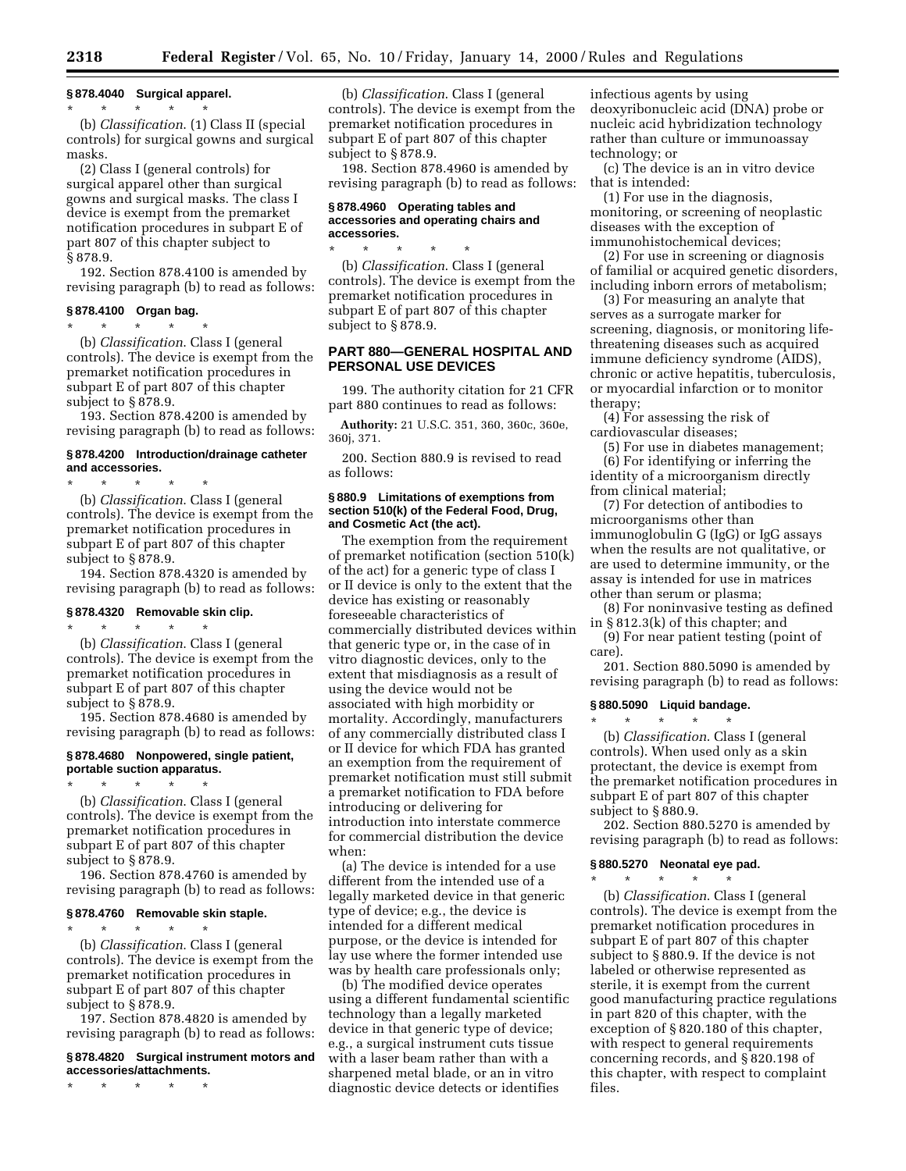# **§ 878.4040 Surgical apparel.**

\* \* \* \* \*

(b) *Classification*. (1) Class II (special controls) for surgical gowns and surgical masks.

(2) Class I (general controls) for surgical apparel other than surgical gowns and surgical masks. The class I device is exempt from the premarket notification procedures in subpart E of part 807 of this chapter subject to § 878.9.

192. Section 878.4100 is amended by revising paragraph (b) to read as follows:

#### **§ 878.4100 Organ bag.**

\* \* \* \* \*

(b) *Classification*. Class I (general controls). The device is exempt from the premarket notification procedures in subpart E of part 807 of this chapter subject to § 878.9.

193. Section 878.4200 is amended by revising paragraph (b) to read as follows:

#### **§ 878.4200 Introduction/drainage catheter and accessories.**

\* \* \* \* \* (b) *Classification*. Class I (general controls). The device is exempt from the premarket notification procedures in subpart E of part 807 of this chapter subject to § 878.9.

194. Section 878.4320 is amended by revising paragraph (b) to read as follows:

# **§ 878.4320 Removable skin clip.**

\* \* \* \* \* (b) *Classification*. Class I (general controls). The device is exempt from the premarket notification procedures in subpart E of part 807 of this chapter subject to § 878.9.

195. Section 878.4680 is amended by revising paragraph (b) to read as follows:

#### **§ 878.4680 Nonpowered, single patient, portable suction apparatus.** \* \* \* \* \*

(b) *Classification*. Class I (general controls). The device is exempt from the premarket notification procedures in subpart E of part 807 of this chapter subject to § 878.9.

196. Section 878.4760 is amended by revising paragraph (b) to read as follows:

#### **§ 878.4760 Removable skin staple.**

\* \* \* \* \* (b) *Classification*. Class I (general controls). The device is exempt from the premarket notification procedures in subpart E of part 807 of this chapter subject to § 878.9.

197. Section 878.4820 is amended by revising paragraph (b) to read as follows:

#### **§ 878.4820 Surgical instrument motors and accessories/attachments.**

\* \* \* \* \*

(b) *Classification*. Class I (general controls). The device is exempt from the premarket notification procedures in subpart E of part 807 of this chapter subject to § 878.9.

198. Section 878.4960 is amended by revising paragraph (b) to read as follows:

### **§ 878.4960 Operating tables and accessories and operating chairs and accessories.**

\* \* \* \* \* (b) *Classification*. Class I (general controls). The device is exempt from the premarket notification procedures in subpart E of part 807 of this chapter subject to § 878.9.

# **PART 880—GENERAL HOSPITAL AND PERSONAL USE DEVICES**

199. The authority citation for 21 CFR part 880 continues to read as follows:

**Authority:** 21 U.S.C. 351, 360, 360c, 360e, 360j, 371.

200. Section 880.9 is revised to read as follows:

#### **§ 880.9 Limitations of exemptions from section 510(k) of the Federal Food, Drug, and Cosmetic Act (the act).**

The exemption from the requirement of premarket notification (section 510(k) of the act) for a generic type of class I or II device is only to the extent that the device has existing or reasonably foreseeable characteristics of commercially distributed devices within that generic type or, in the case of in vitro diagnostic devices, only to the extent that misdiagnosis as a result of using the device would not be associated with high morbidity or mortality. Accordingly, manufacturers of any commercially distributed class I or II device for which FDA has granted an exemption from the requirement of premarket notification must still submit a premarket notification to FDA before introducing or delivering for introduction into interstate commerce for commercial distribution the device when:

(a) The device is intended for a use different from the intended use of a legally marketed device in that generic type of device; e.g., the device is intended for a different medical purpose, or the device is intended for lay use where the former intended use was by health care professionals only;

(b) The modified device operates using a different fundamental scientific technology than a legally marketed device in that generic type of device; e.g., a surgical instrument cuts tissue with a laser beam rather than with a sharpened metal blade, or an in vitro diagnostic device detects or identifies

infectious agents by using deoxyribonucleic acid (DNA) probe or nucleic acid hybridization technology rather than culture or immunoassay technology; or

(c) The device is an in vitro device that is intended:

(1) For use in the diagnosis, monitoring, or screening of neoplastic diseases with the exception of immunohistochemical devices;

(2) For use in screening or diagnosis of familial or acquired genetic disorders, including inborn errors of metabolism;

(3) For measuring an analyte that serves as a surrogate marker for screening, diagnosis, or monitoring lifethreatening diseases such as acquired immune deficiency syndrome (AIDS), chronic or active hepatitis, tuberculosis, or myocardial infarction or to monitor therapy;

(4) For assessing the risk of cardiovascular diseases;

(5) For use in diabetes management; (6) For identifying or inferring the identity of a microorganism directly from clinical material;

(7) For detection of antibodies to microorganisms other than immunoglobulin G (IgG) or IgG assays when the results are not qualitative, or are used to determine immunity, or the assay is intended for use in matrices other than serum or plasma;

(8) For noninvasive testing as defined in § 812.3(k) of this chapter; and

(9) For near patient testing (point of care).

201. Section 880.5090 is amended by revising paragraph (b) to read as follows:

#### **§ 880.5090 Liquid bandage.** \* \* \* \* \*

(b) *Classification*. Class I (general controls). When used only as a skin protectant, the device is exempt from the premarket notification procedures in subpart E of part 807 of this chapter subject to § 880.9.

202. Section 880.5270 is amended by revising paragraph (b) to read as follows:

# **§ 880.5270 Neonatal eye pad.**

\* \* \* \* \*

(b) *Classification*. Class I (general controls). The device is exempt from the premarket notification procedures in subpart E of part 807 of this chapter subject to § 880.9. If the device is not labeled or otherwise represented as sterile, it is exempt from the current good manufacturing practice regulations in part 820 of this chapter, with the exception of § 820.180 of this chapter, with respect to general requirements concerning records, and § 820.198 of this chapter, with respect to complaint files.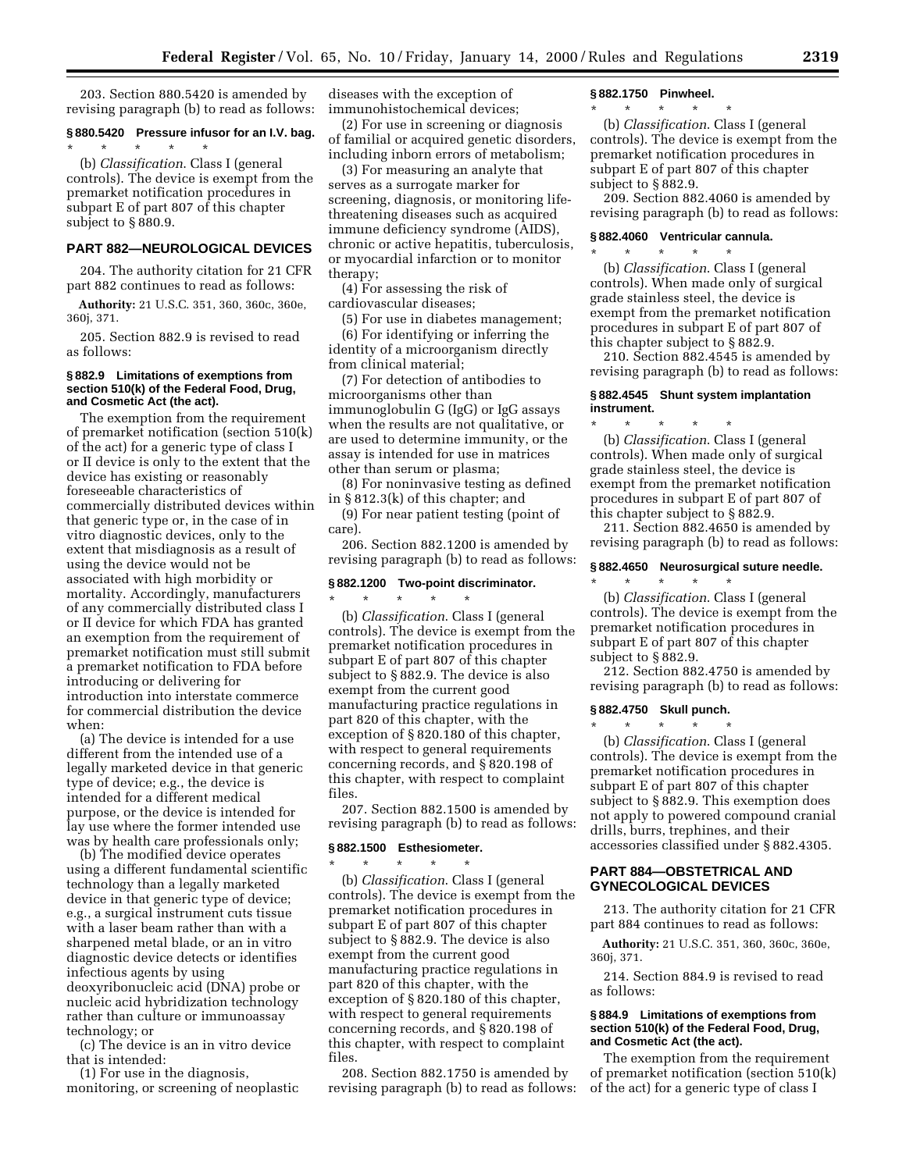203. Section 880.5420 is amended by revising paragraph (b) to read as follows:

# **§ 880.5420 Pressure infusor for an I.V. bag.** \* \* \* \* \*

(b) *Classification*. Class I (general controls). The device is exempt from the premarket notification procedures in subpart E of part 807 of this chapter subject to § 880.9.

# **PART 882—NEUROLOGICAL DEVICES**

204. The authority citation for 21 CFR part 882 continues to read as follows:

**Authority:** 21 U.S.C. 351, 360, 360c, 360e, 360j, 371.

205. Section 882.9 is revised to read as follows:

#### **§ 882.9 Limitations of exemptions from section 510(k) of the Federal Food, Drug, and Cosmetic Act (the act).**

The exemption from the requirement of premarket notification (section 510(k) of the act) for a generic type of class I or II device is only to the extent that the device has existing or reasonably foreseeable characteristics of commercially distributed devices within that generic type or, in the case of in vitro diagnostic devices, only to the extent that misdiagnosis as a result of using the device would not be associated with high morbidity or mortality. Accordingly, manufacturers of any commercially distributed class I or II device for which FDA has granted an exemption from the requirement of premarket notification must still submit a premarket notification to FDA before introducing or delivering for introduction into interstate commerce for commercial distribution the device when:

(a) The device is intended for a use different from the intended use of a legally marketed device in that generic type of device; e.g., the device is intended for a different medical purpose, or the device is intended for lay use where the former intended use was by health care professionals only;

(b) The modified device operates using a different fundamental scientific technology than a legally marketed device in that generic type of device; e.g., a surgical instrument cuts tissue with a laser beam rather than with a sharpened metal blade, or an in vitro diagnostic device detects or identifies infectious agents by using deoxyribonucleic acid (DNA) probe or nucleic acid hybridization technology rather than culture or immunoassay technology; or

(c) The device is an in vitro device that is intended:

(1) For use in the diagnosis, monitoring, or screening of neoplastic diseases with the exception of immunohistochemical devices;

(2) For use in screening or diagnosis of familial or acquired genetic disorders, including inborn errors of metabolism;

(3) For measuring an analyte that serves as a surrogate marker for screening, diagnosis, or monitoring lifethreatening diseases such as acquired immune deficiency syndrome (AIDS), chronic or active hepatitis, tuberculosis, or myocardial infarction or to monitor therapy;

(4) For assessing the risk of cardiovascular diseases;

(5) For use in diabetes management; (6) For identifying or inferring the identity of a microorganism directly from clinical material;

(7) For detection of antibodies to microorganisms other than immunoglobulin G (IgG) or IgG assays when the results are not qualitative, or are used to determine immunity, or the assay is intended for use in matrices other than serum or plasma;

(8) For noninvasive testing as defined in § 812.3(k) of this chapter; and (9) For near patient testing (point of

care).

206. Section 882.1200 is amended by revising paragraph (b) to read as follows:

#### **§ 882.1200 Two-point discriminator.** \* \* \* \* \*

(b) *Classification*. Class I (general controls). The device is exempt from the premarket notification procedures in subpart E of part 807 of this chapter subject to § 882.9. The device is also exempt from the current good manufacturing practice regulations in part 820 of this chapter, with the exception of § 820.180 of this chapter, with respect to general requirements concerning records, and § 820.198 of this chapter, with respect to complaint files.

207. Section 882.1500 is amended by revising paragraph (b) to read as follows:

#### **§ 882.1500 Esthesiometer.**

\* \* \* \* \* (b) *Classification*. Class I (general controls). The device is exempt from the premarket notification procedures in subpart E of part 807 of this chapter subject to § 882.9. The device is also exempt from the current good manufacturing practice regulations in part 820 of this chapter, with the exception of § 820.180 of this chapter, with respect to general requirements concerning records, and § 820.198 of this chapter, with respect to complaint files.

208. Section 882.1750 is amended by revising paragraph (b) to read as follows:

#### **§ 882.1750 Pinwheel.**

\* \* \* \* \*

(b) *Classification*. Class I (general controls). The device is exempt from the premarket notification procedures in subpart E of part 807 of this chapter subject to § 882.9.

209. Section 882.4060 is amended by revising paragraph (b) to read as follows:

#### **§ 882.4060 Ventricular cannula.**

\* \* \* \* \* (b) *Classification*. Class I (general controls). When made only of surgical grade stainless steel, the device is exempt from the premarket notification procedures in subpart E of part 807 of this chapter subject to § 882.9.

210. Section 882.4545 is amended by revising paragraph (b) to read as follows:

# **§ 882.4545 Shunt system implantation instrument.**

\* \* \* \* \* (b) *Classification*. Class I (general controls). When made only of surgical grade stainless steel, the device is exempt from the premarket notification procedures in subpart E of part 807 of this chapter subject to § 882.9.

211. Section 882.4650 is amended by revising paragraph (b) to read as follows:

# **§ 882.4650 Neurosurgical suture needle.**

\* \* \* \* \* (b) *Classification*. Class I (general controls). The device is exempt from the premarket notification procedures in subpart E of part 807 of this chapter subject to § 882.9.

212. Section 882.4750 is amended by revising paragraph (b) to read as follows:

# **§ 882.4750 Skull punch.** \* \* \* \* \*

(b) *Classification*. Class I (general controls). The device is exempt from the premarket notification procedures in subpart E of part 807 of this chapter subject to § 882.9. This exemption does not apply to powered compound cranial drills, burrs, trephines, and their accessories classified under § 882.4305.

# **PART 884—OBSTETRICAL AND GYNECOLOGICAL DEVICES**

213. The authority citation for 21 CFR part 884 continues to read as follows:

**Authority:** 21 U.S.C. 351, 360, 360c, 360e, 360j, 371.

214. Section 884.9 is revised to read as follows:

#### **§ 884.9 Limitations of exemptions from section 510(k) of the Federal Food, Drug, and Cosmetic Act (the act).**

The exemption from the requirement of premarket notification (section 510(k) of the act) for a generic type of class I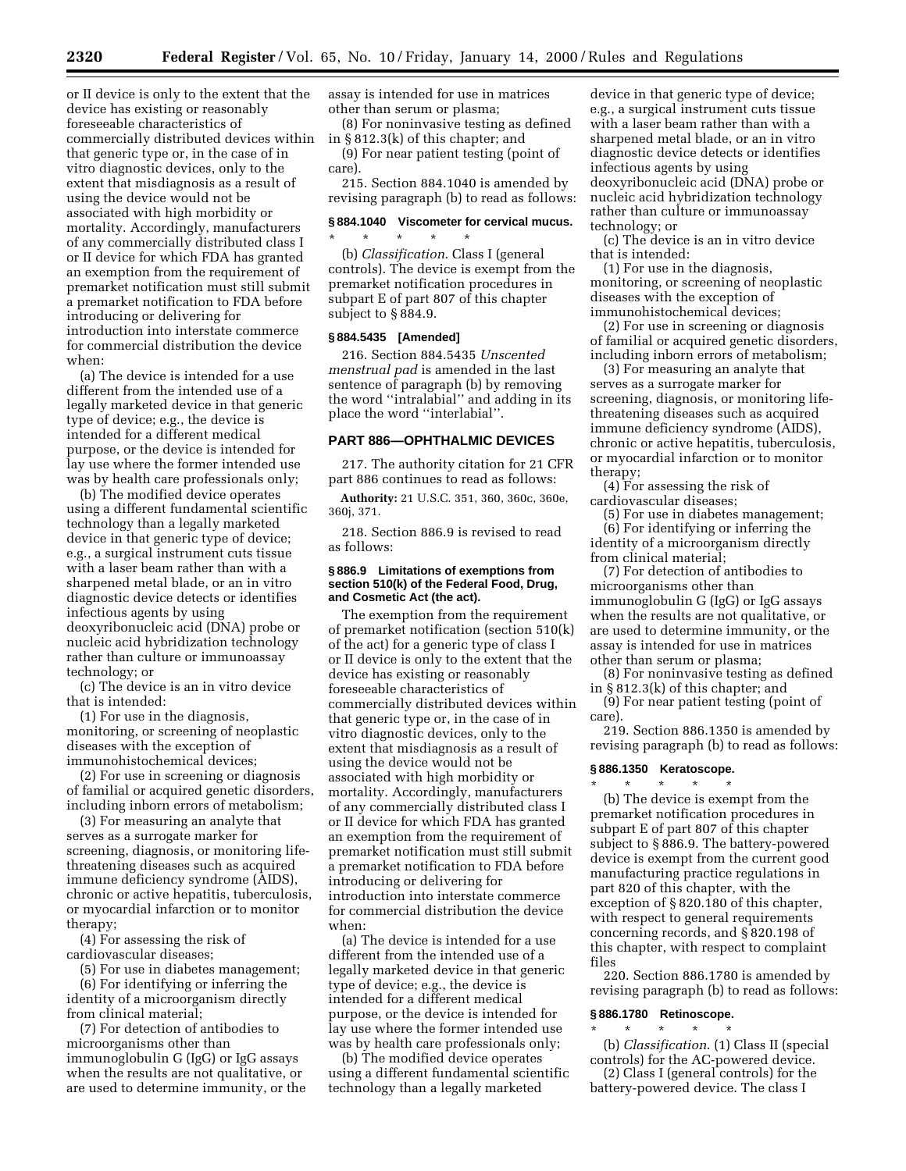or II device is only to the extent that the device has existing or reasonably foreseeable characteristics of commercially distributed devices within that generic type or, in the case of in vitro diagnostic devices, only to the extent that misdiagnosis as a result of using the device would not be associated with high morbidity or mortality. Accordingly, manufacturers of any commercially distributed class I or II device for which FDA has granted an exemption from the requirement of premarket notification must still submit a premarket notification to FDA before introducing or delivering for introduction into interstate commerce for commercial distribution the device when:

(a) The device is intended for a use different from the intended use of a legally marketed device in that generic type of device; e.g., the device is intended for a different medical purpose, or the device is intended for lay use where the former intended use was by health care professionals only;

(b) The modified device operates using a different fundamental scientific technology than a legally marketed device in that generic type of device; e.g., a surgical instrument cuts tissue with a laser beam rather than with a sharpened metal blade, or an in vitro diagnostic device detects or identifies infectious agents by using deoxyribonucleic acid (DNA) probe or nucleic acid hybridization technology rather than culture or immunoassay technology; or

(c) The device is an in vitro device that is intended:

(1) For use in the diagnosis, monitoring, or screening of neoplastic diseases with the exception of immunohistochemical devices;

(2) For use in screening or diagnosis of familial or acquired genetic disorders, including inborn errors of metabolism;

(3) For measuring an analyte that serves as a surrogate marker for screening, diagnosis, or monitoring lifethreatening diseases such as acquired immune deficiency syndrome (AIDS), chronic or active hepatitis, tuberculosis, or myocardial infarction or to monitor therapy;

(4) For assessing the risk of cardiovascular diseases;

(5) For use in diabetes management; (6) For identifying or inferring the

identity of a microorganism directly from clinical material;

(7) For detection of antibodies to microorganisms other than immunoglobulin G (IgG) or IgG assays when the results are not qualitative, or are used to determine immunity, or the assay is intended for use in matrices other than serum or plasma;

(8) For noninvasive testing as defined in § 812.3(k) of this chapter; and

(9) For near patient testing (point of care).

215. Section 884.1040 is amended by revising paragraph (b) to read as follows:

# **§ 884.1040 Viscometer for cervical mucus.**

\* \* \* \* \* (b) *Classification*. Class I (general controls). The device is exempt from the premarket notification procedures in subpart E of part 807 of this chapter subject to § 884.9.

#### **§ 884.5435 [Amended]**

216. Section 884.5435 *Unscented menstrual pad* is amended in the last sentence of paragraph (b) by removing the word ''intralabial'' and adding in its place the word ''interlabial''.

#### **PART 886—OPHTHALMIC DEVICES**

217. The authority citation for 21 CFR part 886 continues to read as follows:

**Authority:** 21 U.S.C. 351, 360, 360c, 360e, 360j, 371.

218. Section 886.9 is revised to read as follows:

#### **§ 886.9 Limitations of exemptions from section 510(k) of the Federal Food, Drug, and Cosmetic Act (the act).**

The exemption from the requirement of premarket notification (section 510(k) of the act) for a generic type of class I or II device is only to the extent that the device has existing or reasonably foreseeable characteristics of commercially distributed devices within that generic type or, in the case of in vitro diagnostic devices, only to the extent that misdiagnosis as a result of using the device would not be associated with high morbidity or mortality. Accordingly, manufacturers of any commercially distributed class I or II device for which FDA has granted an exemption from the requirement of premarket notification must still submit a premarket notification to FDA before introducing or delivering for introduction into interstate commerce for commercial distribution the device when:

(a) The device is intended for a use different from the intended use of a legally marketed device in that generic type of device; e.g., the device is intended for a different medical purpose, or the device is intended for lay use where the former intended use was by health care professionals only;

(b) The modified device operates using a different fundamental scientific technology than a legally marketed

device in that generic type of device; e.g., a surgical instrument cuts tissue with a laser beam rather than with a sharpened metal blade, or an in vitro diagnostic device detects or identifies infectious agents by using deoxyribonucleic acid (DNA) probe or nucleic acid hybridization technology rather than culture or immunoassay technology; or

(c) The device is an in vitro device that is intended:

(1) For use in the diagnosis, monitoring, or screening of neoplastic diseases with the exception of immunohistochemical devices;

(2) For use in screening or diagnosis of familial or acquired genetic disorders, including inborn errors of metabolism;

(3) For measuring an analyte that serves as a surrogate marker for screening, diagnosis, or monitoring lifethreatening diseases such as acquired immune deficiency syndrome (AIDS), chronic or active hepatitis, tuberculosis, or myocardial infarction or to monitor therapy;

(4) For assessing the risk of cardiovascular diseases;

(5) For use in diabetes management;

(6) For identifying or inferring the identity of a microorganism directly from clinical material;

(7) For detection of antibodies to microorganisms other than immunoglobulin G (IgG) or IgG assays when the results are not qualitative, or are used to determine immunity, or the assay is intended for use in matrices other than serum or plasma;

(8) For noninvasive testing as defined in § 812.3(k) of this chapter; and

(9) For near patient testing (point of care).

219. Section 886.1350 is amended by revising paragraph (b) to read as follows:

#### **§ 886.1350 Keratoscope.** \* \* \* \* \*

(b) The device is exempt from the premarket notification procedures in subpart E of part 807 of this chapter subject to § 886.9. The battery-powered device is exempt from the current good manufacturing practice regulations in part 820 of this chapter, with the exception of § 820.180 of this chapter, with respect to general requirements concerning records, and § 820.198 of this chapter, with respect to complaint files

220. Section 886.1780 is amended by revising paragraph (b) to read as follows:

#### **§ 886.1780 Retinoscope.** \* \* \* \* \*

(b) *Classification*. (1) Class II (special controls) for the AC-powered device.

(2) Class I (general controls) for the battery-powered device. The class I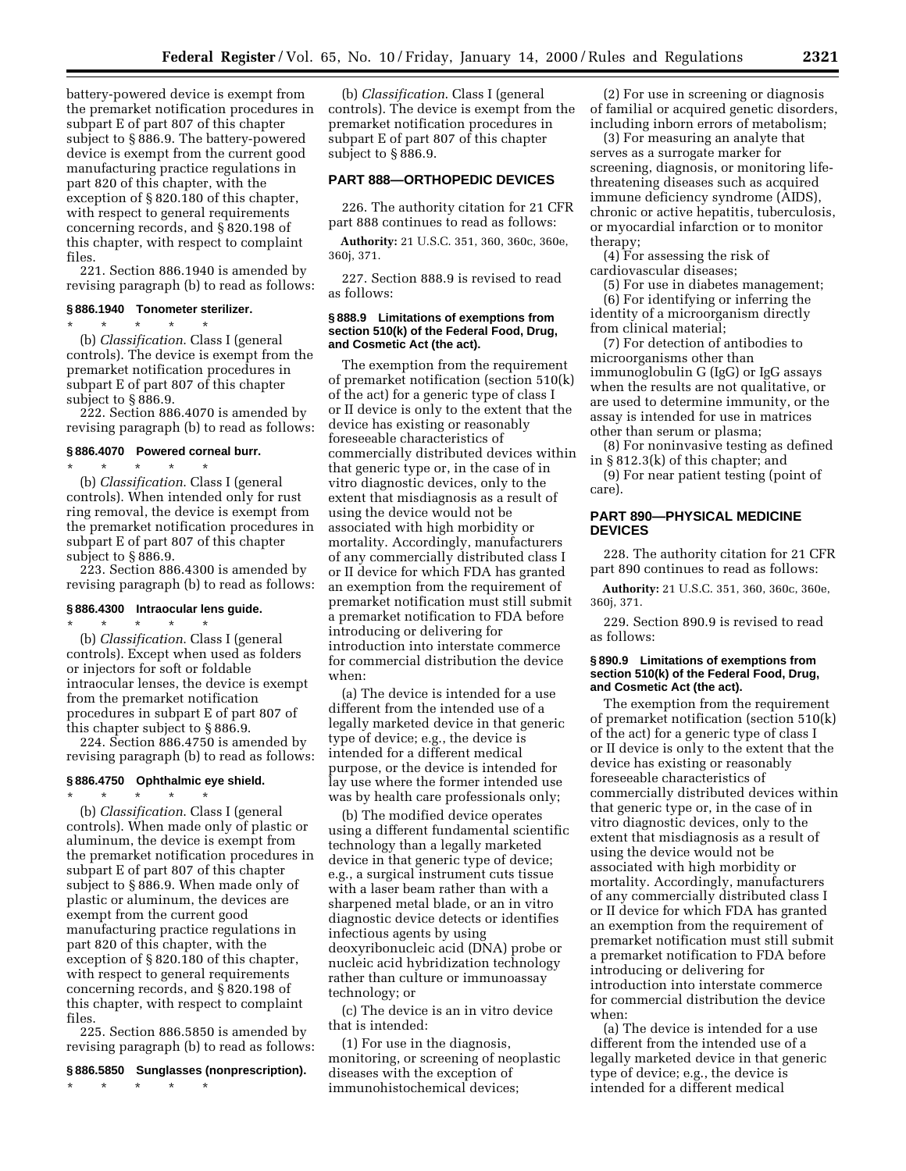battery-powered device is exempt from the premarket notification procedures in subpart E of part 807 of this chapter subject to § 886.9. The battery-powered device is exempt from the current good manufacturing practice regulations in part 820 of this chapter, with the exception of § 820.180 of this chapter, with respect to general requirements concerning records, and § 820.198 of this chapter, with respect to complaint files.

221. Section 886.1940 is amended by revising paragraph (b) to read as follows:

# **§ 886.1940 Tonometer sterilizer.**

\* \* \* \* \* (b) *Classification*. Class I (general controls). The device is exempt from the premarket notification procedures in subpart E of part 807 of this chapter subject to § 886.9.

222. Section 886.4070 is amended by revising paragraph (b) to read as follows:

#### **§ 886.4070 Powered corneal burr.**

 $\star$   $\qquad$   $\star$   $\qquad$   $\star$   $\qquad$   $\star$ (b) *Classification*. Class I (general controls). When intended only for rust ring removal, the device is exempt from the premarket notification procedures in subpart E of part 807 of this chapter subject to § 886.9.

223. Section 886.4300 is amended by revising paragraph (b) to read as follows:

#### **§ 886.4300 Intraocular lens guide.**  $*$  \*

(b) *Classification*. Class I (general controls). Except when used as folders or injectors for soft or foldable intraocular lenses, the device is exempt from the premarket notification procedures in subpart E of part 807 of this chapter subject to § 886.9.

224. Section 886.4750 is amended by revising paragraph (b) to read as follows:

# **§ 886.4750 Ophthalmic eye shield.**

\* \* \* \* \* (b) *Classification*. Class I (general controls). When made only of plastic or aluminum, the device is exempt from the premarket notification procedures in subpart E of part 807 of this chapter subject to § 886.9. When made only of plastic or aluminum, the devices are exempt from the current good manufacturing practice regulations in part 820 of this chapter, with the exception of § 820.180 of this chapter, with respect to general requirements concerning records, and § 820.198 of this chapter, with respect to complaint files.

225. Section 886.5850 is amended by revising paragraph (b) to read as follows:

#### **§ 886.5850 Sunglasses (nonprescription).**

\* \* \* \* \*

(b) *Classification*. Class I (general controls). The device is exempt from the premarket notification procedures in subpart E of part 807 of this chapter subject to § 886.9.

# **PART 888—ORTHOPEDIC DEVICES**

226. The authority citation for 21 CFR part 888 continues to read as follows:

**Authority:** 21 U.S.C. 351, 360, 360c, 360e, 360j, 371.

227. Section 888.9 is revised to read as follows:

#### **§ 888.9 Limitations of exemptions from section 510(k) of the Federal Food, Drug, and Cosmetic Act (the act).**

The exemption from the requirement of premarket notification (section 510(k) of the act) for a generic type of class I or II device is only to the extent that the device has existing or reasonably foreseeable characteristics of commercially distributed devices within that generic type or, in the case of in vitro diagnostic devices, only to the extent that misdiagnosis as a result of using the device would not be associated with high morbidity or mortality. Accordingly, manufacturers of any commercially distributed class I or II device for which FDA has granted an exemption from the requirement of premarket notification must still submit a premarket notification to FDA before introducing or delivering for introduction into interstate commerce for commercial distribution the device when:

(a) The device is intended for a use different from the intended use of a legally marketed device in that generic type of device; e.g., the device is intended for a different medical purpose, or the device is intended for lay use where the former intended use was by health care professionals only;

(b) The modified device operates using a different fundamental scientific technology than a legally marketed device in that generic type of device; e.g., a surgical instrument cuts tissue with a laser beam rather than with a sharpened metal blade, or an in vitro diagnostic device detects or identifies infectious agents by using deoxyribonucleic acid (DNA) probe or nucleic acid hybridization technology rather than culture or immunoassay technology; or

(c) The device is an in vitro device that is intended:

(1) For use in the diagnosis, monitoring, or screening of neoplastic diseases with the exception of immunohistochemical devices;

(2) For use in screening or diagnosis of familial or acquired genetic disorders, including inborn errors of metabolism;

(3) For measuring an analyte that serves as a surrogate marker for screening, diagnosis, or monitoring lifethreatening diseases such as acquired immune deficiency syndrome (AIDS), chronic or active hepatitis, tuberculosis, or myocardial infarction or to monitor therapy;

(4) For assessing the risk of cardiovascular diseases;

(5) For use in diabetes management; (6) For identifying or inferring the identity of a microorganism directly

from clinical material; (7) For detection of antibodies to

microorganisms other than immunoglobulin G (IgG) or IgG assays when the results are not qualitative, or are used to determine immunity, or the assay is intended for use in matrices other than serum or plasma;

(8) For noninvasive testing as defined in § 812.3(k) of this chapter; and

(9) For near patient testing (point of care).

# **PART 890—PHYSICAL MEDICINE DEVICES**

228. The authority citation for 21 CFR part 890 continues to read as follows:

**Authority:** 21 U.S.C. 351, 360, 360c, 360e, 360j, 371.

229. Section 890.9 is revised to read as follows:

#### **§ 890.9 Limitations of exemptions from section 510(k) of the Federal Food, Drug, and Cosmetic Act (the act).**

The exemption from the requirement of premarket notification (section 510(k) of the act) for a generic type of class I or II device is only to the extent that the device has existing or reasonably foreseeable characteristics of commercially distributed devices within that generic type or, in the case of in vitro diagnostic devices, only to the extent that misdiagnosis as a result of using the device would not be associated with high morbidity or mortality. Accordingly, manufacturers of any commercially distributed class I or II device for which FDA has granted an exemption from the requirement of premarket notification must still submit a premarket notification to FDA before introducing or delivering for introduction into interstate commerce for commercial distribution the device when:

(a) The device is intended for a use different from the intended use of a legally marketed device in that generic type of device; e.g., the device is intended for a different medical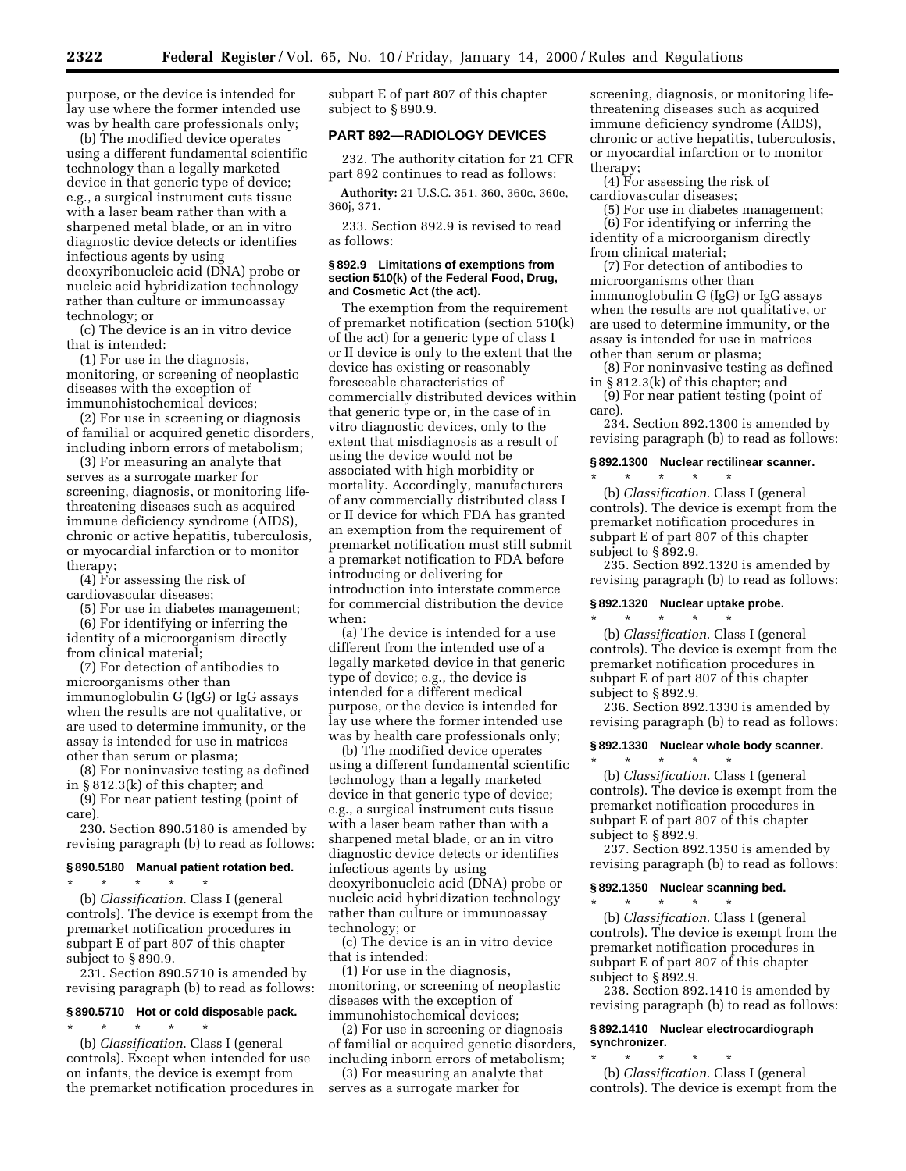purpose, or the device is intended for lay use where the former intended use was by health care professionals only;

(b) The modified device operates using a different fundamental scientific technology than a legally marketed device in that generic type of device; e.g., a surgical instrument cuts tissue with a laser beam rather than with a sharpened metal blade, or an in vitro diagnostic device detects or identifies infectious agents by using deoxyribonucleic acid (DNA) probe or nucleic acid hybridization technology rather than culture or immunoassay technology; or

(c) The device is an in vitro device that is intended:

(1) For use in the diagnosis, monitoring, or screening of neoplastic diseases with the exception of immunohistochemical devices;

(2) For use in screening or diagnosis of familial or acquired genetic disorders, including inborn errors of metabolism;

(3) For measuring an analyte that serves as a surrogate marker for screening, diagnosis, or monitoring lifethreatening diseases such as acquired immune deficiency syndrome (AIDS), chronic or active hepatitis, tuberculosis, or myocardial infarction or to monitor therapy;

(4) For assessing the risk of cardiovascular diseases;

(5) For use in diabetes management;

(6) For identifying or inferring the identity of a microorganism directly from clinical material;

(7) For detection of antibodies to microorganisms other than immunoglobulin G (IgG) or IgG assays when the results are not qualitative, or are used to determine immunity, or the assay is intended for use in matrices other than serum or plasma;

(8) For noninvasive testing as defined in § 812.3(k) of this chapter; and

(9) For near patient testing (point of care).

230. Section 890.5180 is amended by revising paragraph (b) to read as follows:

#### **§ 890.5180 Manual patient rotation bed.** \* \* \* \* \*

(b) *Classification*. Class I (general controls). The device is exempt from the premarket notification procedures in subpart E of part 807 of this chapter subject to § 890.9.

231. Section 890.5710 is amended by revising paragraph (b) to read as follows:

# **§ 890.5710 Hot or cold disposable pack.** \* \* \* \* \*

(b) *Classification*. Class I (general controls). Except when intended for use on infants, the device is exempt from the premarket notification procedures in subpart E of part 807 of this chapter subject to § 890.9.

# **PART 892—RADIOLOGY DEVICES**

232. The authority citation for 21 CFR part 892 continues to read as follows:

**Authority:** 21 U.S.C. 351, 360, 360c, 360e, 360j, 371.

233. Section 892.9 is revised to read as follows:

#### **§ 892.9 Limitations of exemptions from section 510(k) of the Federal Food, Drug, and Cosmetic Act (the act).**

The exemption from the requirement of premarket notification (section 510(k) of the act) for a generic type of class I or II device is only to the extent that the device has existing or reasonably foreseeable characteristics of commercially distributed devices within that generic type or, in the case of in vitro diagnostic devices, only to the extent that misdiagnosis as a result of using the device would not be associated with high morbidity or mortality. Accordingly, manufacturers of any commercially distributed class I or II device for which FDA has granted an exemption from the requirement of premarket notification must still submit a premarket notification to FDA before introducing or delivering for introduction into interstate commerce for commercial distribution the device when:

(a) The device is intended for a use different from the intended use of a legally marketed device in that generic type of device; e.g., the device is intended for a different medical purpose, or the device is intended for lay use where the former intended use was by health care professionals only;

(b) The modified device operates using a different fundamental scientific technology than a legally marketed device in that generic type of device; e.g., a surgical instrument cuts tissue with a laser beam rather than with a sharpened metal blade, or an in vitro diagnostic device detects or identifies infectious agents by using deoxyribonucleic acid (DNA) probe or nucleic acid hybridization technology rather than culture or immunoassay technology; or

(c) The device is an in vitro device that is intended:

(1) For use in the diagnosis, monitoring, or screening of neoplastic diseases with the exception of immunohistochemical devices;

(2) For use in screening or diagnosis of familial or acquired genetic disorders, including inborn errors of metabolism;

(3) For measuring an analyte that serves as a surrogate marker for

screening, diagnosis, or monitoring lifethreatening diseases such as acquired immune deficiency syndrome (AIDS), chronic or active hepatitis, tuberculosis, or myocardial infarction or to monitor therapy;

(4) For assessing the risk of cardiovascular diseases;

(5) For use in diabetes management; (6) For identifying or inferring the identity of a microorganism directly

from clinical material; (7) For detection of antibodies to

microorganisms other than immunoglobulin G (IgG) or IgG assays when the results are not qualitative, or are used to determine immunity, or the assay is intended for use in matrices other than serum or plasma;

(8) For noninvasive testing as defined in § 812.3(k) of this chapter; and

(9) For near patient testing (point of care).

234. Section 892.1300 is amended by revising paragraph (b) to read as follows:

# **§ 892.1300 Nuclear rectilinear scanner.**

\* \* \* \* \*

(b) *Classification*. Class I (general controls). The device is exempt from the premarket notification procedures in subpart E of part 807 of this chapter subject to § 892.9.

235. Section 892.1320 is amended by revising paragraph (b) to read as follows:

#### **§ 892.1320 Nuclear uptake probe.**

\* \* \* \* \* (b) *Classification*. Class I (general controls). The device is exempt from the premarket notification procedures in subpart E of part 807 of this chapter subject to § 892.9.

236. Section 892.1330 is amended by revising paragraph (b) to read as follows:

#### **§ 892.1330 Nuclear whole body scanner.**

\* \* \* \* \* (b) *Classification.* Class I (general controls). The device is exempt from the premarket notification procedures in subpart E of part 807 of this chapter subject to § 892.9.

237. Section 892.1350 is amended by revising paragraph (b) to read as follows:

# **§ 892.1350 Nuclear scanning bed.**

\* \* \* \* \*

(b) *Classification*. Class I (general controls). The device is exempt from the premarket notification procedures in subpart E of part 807 of this chapter subject to § 892.9.

238. Section 892.1410 is amended by revising paragraph (b) to read as follows:

### **§ 892.1410 Nuclear electrocardiograph synchronizer.**

\* \* \* \* \* (b) *Classification*. Class I (general controls). The device is exempt from the